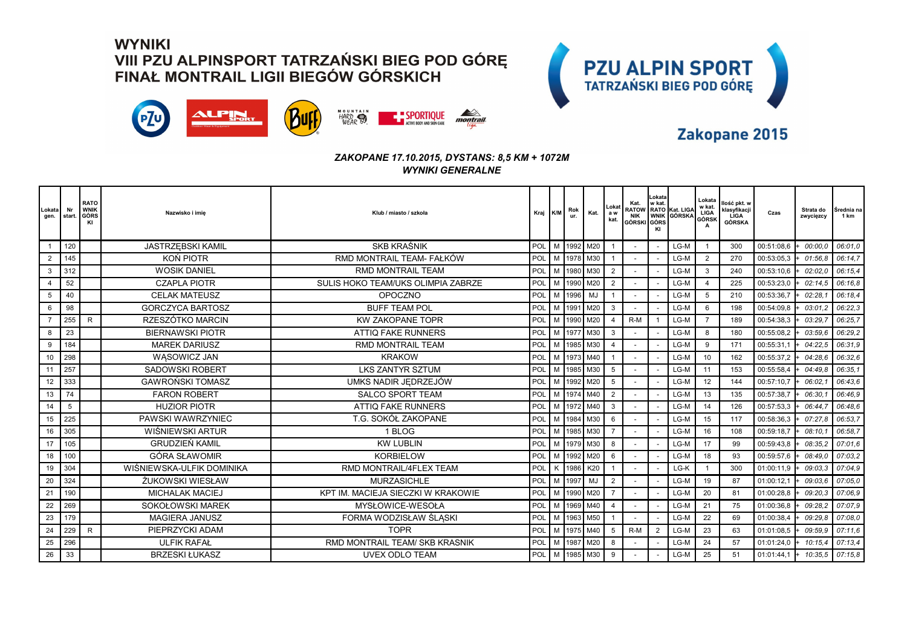



### Zakopane 2015

#### *ZAKOPANE 17.10.2015, DYSTANS: 8,5 KM + 1072M WYNIKI GENERALNE*

| Lokata<br>gen. | Nr<br>start | <b>RATO</b><br><b>WNIK</b><br>GÓRS<br>KI | Nazwisko i imie           | Klub / miasto / szkoła             | Kraj K/M |   | Rok<br>ur. | Kat.           | Lokat<br>a w<br>kat. | Kat.<br>NIK<br>GÓRSKI GÓRS | Lokata<br>w kat. | <b>RATOW RATO Kat. LIGA</b><br>WNIK GÓRSKA | Lokata<br>w kat.<br>LIGA<br>GÓRSK | Ilość pkt. w<br>klasyfikacji<br><b>LIGA</b><br>GÓRSKA | Czas       | Strata do<br>zwycięzcy | Srednia na<br>1 km |
|----------------|-------------|------------------------------------------|---------------------------|------------------------------------|----------|---|------------|----------------|----------------------|----------------------------|------------------|--------------------------------------------|-----------------------------------|-------------------------------------------------------|------------|------------------------|--------------------|
|                | 120         |                                          | <b>JASTRZEBSKI KAMIL</b>  | <b>SKB KRAŚNIK</b>                 | POL      |   |            | M 1992 M20     |                      |                            |                  | $LG-M$                                     |                                   | 300                                                   | 00:51:08,6 | 00:00.0                | 06:01.0            |
|                | 145         |                                          | KON PIOTR                 | RMD MONTRAIL TEAM- FAŁKÓW          | POL      |   |            | M 1978 M30     |                      |                            |                  | LG-M                                       | $\overline{2}$                    | 270                                                   | 00:53:05,3 | 01:56.8                | 06:14.7            |
| 3              | 312         |                                          | <b>WOSIK DANIEL</b>       | <b>RMD MONTRAIL TEAM</b>           | POL      |   |            | M 1980 M30     | $\overline{2}$       |                            |                  | LG-M                                       | 3                                 | 240                                                   | 00:53:10,6 | 02:02.0                | 06:15.4            |
|                | 52          |                                          | <b>CZAPLA PIOTR</b>       | SULIS HOKO TEAM/UKS OLIMPIA ZABRZE | POL      |   |            | M 1990 M20     | $\overline{2}$       |                            |                  | LG-M                                       | $\overline{\mathbf{4}}$           | 225                                                   | 00:53:23,0 | 02:14.5                | 06:16.8            |
| 5              | 40          |                                          | <b>CELAK MATEUSZ</b>      | <b>OPOCZNO</b>                     | POL      | M | 1996       | MJ             |                      |                            |                  | $LG-M$                                     | 5                                 | 210                                                   | 00:53:36,7 | 02:28.                 | 06:18.4            |
| 6              | 98          |                                          | <b>GORCZYCA BARTOSZ</b>   | <b>BUFF TEAM POL</b>               | POL      |   | 1991       | M20            | 3                    |                            |                  | $LG-M$                                     | 6                                 | 198                                                   | 00:54:09.8 | 03:01.                 | 06:22.3            |
|                | 255         | $\mathsf{R}$                             | RZESZÓTKO MARCIN          | <b>KW ZAKOPANE TOPR</b>            | POL      | M | 1990       | M20            | $\overline{4}$       | $R-M$                      |                  | LG-M                                       | $\overline{7}$                    | 189                                                   | 00:54:38,3 | 03:29.                 | 06:25.7            |
| 8              | 23          |                                          | <b>BIERNAWSKI PIOTR</b>   | <b>ATTIQ FAKE RUNNERS</b>          | POL      |   |            | M 1977 M30     | 3                    |                            |                  | $LG-M$                                     | 8                                 | 180                                                   | 00:55:08,2 | 03:59.6                | 06:29,2            |
| 9              | 184         |                                          | <b>MAREK DARIUSZ</b>      | <b>RMD MONTRAIL TEAM</b>           | POL      |   | 1985       | M30            | $\overline{4}$       |                            |                  | LG-M                                       | 9                                 | 171                                                   | 00:55:31,1 | 04:22.5                | 06:31.9            |
| 10             | 298         |                                          | WĄSOWICZ JAN              | <b>KRAKOW</b>                      | POL      |   |            | 1973 M40       |                      |                            |                  | LG-M                                       | 10                                | 162                                                   | 00:55:37,2 | 04:28.6                | 06:32.6            |
| 11             | 257         |                                          | <b>SADOWSKI ROBERT</b>    | <b>LKS ZANTYR SZTUM</b>            | POL      |   | 1985       | M30            | 5                    |                            |                  | LG-M                                       | 11                                | 153                                                   | 00:55:58,4 | 04:49.8                | 06:35.1            |
| 12             | 333         |                                          | <b>GAWROŃSKI TOMASZ</b>   | UMKS NADIR JEDRZEJÓW               | POL      |   |            | M   1992   M20 | 5                    |                            |                  | LG-M                                       | 12                                | 144                                                   | 00:57:10,7 | 06:02.                 | 06:43.6            |
| 13             | 74          |                                          | <b>FARON ROBERT</b>       | <b>SALCO SPORT TEAM</b>            | POL      |   | 1974       | M40            | $\overline{2}$       |                            |                  | LG-M                                       | 13                                | 135                                                   | 00:57:38,7 | 06:30.                 | 06:46.9            |
| 14             | 5           |                                          | <b>HUZIOR PIOTR</b>       | <b>ATTIQ FAKE RUNNERS</b>          | POL      | M |            | 1972 M40       | 3                    |                            |                  | LG-M                                       | 14                                | 126                                                   | 00:57:53,3 | 06:44.                 | 06:48.6            |
| 15             | 225         |                                          | PAWSKI WAWRZYNIEC         | T.G. SOKÓŁ ZAKOPANE                | POL      |   | 1984       | M30            | 6                    |                            |                  | LG-M                                       | 15                                | 117                                                   | 00:58:36,3 | 07:27                  | 06:53.7            |
| 16             | 305         |                                          | WIŚNIEWSKI ARTUR          | 1 BLOG                             | POL      |   |            | M   1985   M30 |                      |                            |                  | LG-M                                       | 16                                | 108                                                   | 00:59:18,7 | 08:10.1                | 06:58.7            |
| 17             | 105         |                                          | <b>GRUDZIEŃ KAMIL</b>     | <b>KW LUBLIN</b>                   | POL      | M |            | 1979 M30       | 8                    |                            |                  | LG-M                                       | 17                                | 99                                                    | 00:59:43,8 | 08:35.2                | 07:01.6            |
| 18             | 100         |                                          | GÓRA SŁAWOMIR             | <b>KORBIELOW</b>                   | POL      | м | 1992       | M20            | 6                    |                            |                  | LG-M                                       | 18                                | 93                                                    | 00:59:57,6 | 08:49.0                | 07:03.2            |
| 19             | 304         |                                          | WIŚNIEWSKA-ULFIK DOMINIKA | RMD MONTRAIL/4FLEX TEAM            | POL      | K | 1986       | K20            |                      |                            |                  | LG-K                                       |                                   | 300                                                   | 01:00:11,9 | 09:03.3                | 07:04,9            |
| 20             | 324         |                                          | ŻUKOWSKI WIESŁAW          | <b>MURZASICHLE</b>                 | POL      |   | M 1997     | MJ             | $\overline{2}$       |                            |                  | LG-M                                       | 19                                | 87                                                    | 01:00:12,1 | 09:03.6                | 07:05.0            |
| 21             | 190         |                                          | <b>MICHALAK MACIEJ</b>    | KPT IM. MACIEJA SIECZKI W KRAKOWIE | POL      | M | 1990       | I M20          | -7                   |                            |                  | $LG-M$                                     | 20                                | 81                                                    | 01:00:28,8 | 09:20.3                | 07:06.9            |
| 22             | 269         |                                          | SOKOŁOWSKI MAREK          | MYSŁOWICE-WESOŁA                   | POL      | M |            | 1969 M40       | $\overline{4}$       |                            |                  | LG-M                                       | 21                                | 75                                                    | 01:00:36,8 | 09:28.                 | 07:07.9            |
| 23             | 179         |                                          | <b>MAGIERA JANUSZ</b>     | FORMA WODZISŁAW ŚLĄSKI             | POL      |   | 1963       | M50            |                      |                            |                  | LG-M                                       | 22                                | 69                                                    | 01:00:38,4 | 09:29.8                | 07:08.0            |
| 24             | 229         | $\mathsf{R}$                             | PIEPRZYCKI ADAM           | <b>TOPR</b>                        | POL      | M |            | 1975 M40       | 5                    | $R-M$                      | $\overline{2}$   | LG-M                                       | 23                                | 63                                                    | 01:01:08.5 | 09:59.9                | 07:11.6            |
| 25             | 296         |                                          | <b>ULFIK RAFAL</b>        | RMD MONTRAIL TEAM/ SKB KRASNIK     | POL      | M | 1987       | M20            | 8                    |                            |                  | LG-M                                       | 24                                | 57                                                    | 01:01:24,0 | 10:15.4                | 07:13.4            |
| 26             | 33          |                                          | <b>BRZESKI ŁUKASZ</b>     | <b>UVEX ODLO TEAM</b>              | POL      |   |            | M   1985   M30 | 9                    |                            |                  | LG-M                                       | 25                                | 51                                                    | 01:01:44,1 | 10:35.5                | 07:15.8            |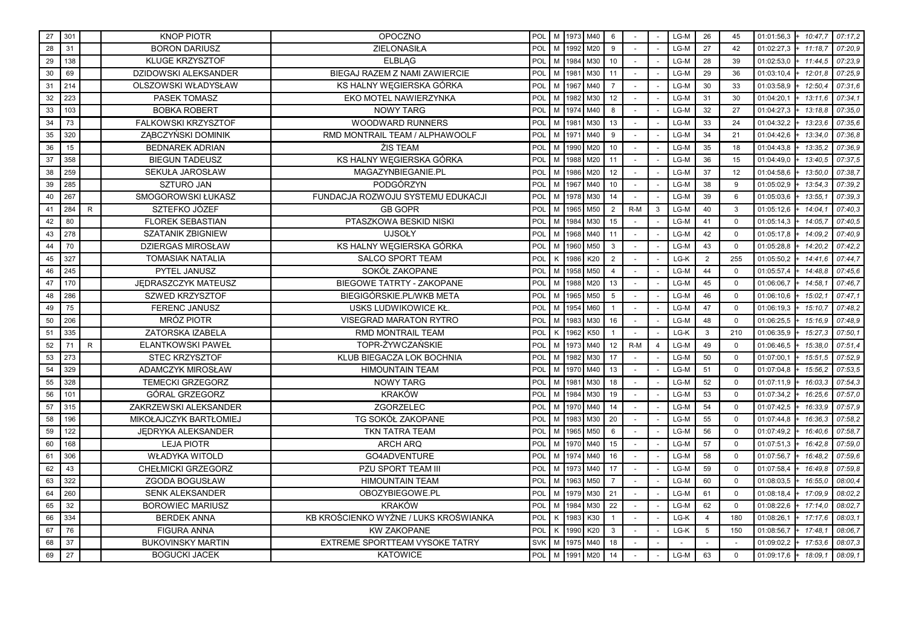| 27 | 301 |              | <b>KNOP PIOTR</b>           | <b>OPOCZNO</b>                        | POL        |   |      | M 1973 M40 | 6              |        |   | LG-M   | 26             | 45             | 01:01:56,3<br>$+ 10:47.7$ | 07:17,2 |
|----|-----|--------------|-----------------------------|---------------------------------------|------------|---|------|------------|----------------|--------|---|--------|----------------|----------------|---------------------------|---------|
| 28 | 31  |              | <b>BORON DARIUSZ</b>        | <b>ZIELONASIŁA</b>                    | POL        | M |      | 1992 M20   | 9              |        |   | LG-M   | 27             | 42             | 01:02:27,3<br>11:18.7     | 07:20.9 |
| 29 | 138 |              | <b>KLUGE KRZYSZTOF</b>      | <b>ELBLAG</b>                         | POL        | M | 1984 | M30        | 10             |        |   | LG-M   | 28             | 39             | 01:02:53,0<br>11:44.5     | 07:23,9 |
| 30 | 69  |              | <b>DZIDOWSKI ALEKSANDER</b> | BIEGAJ RAZEM Z NAMI ZAWIERCIE         | POL        | M | 1981 | I мзо      | 11             |        |   | LG-M   | 29             | 36             | 12:01.8<br>01:03:10,4     | 07:25.9 |
| 31 | 214 |              | <b>OLSZOWSKI WŁADYSŁAW</b>  | KS HALNY WEGIERSKA GÓRKA              | POL        | M | 1967 | M40        | $\overline{7}$ |        |   | LG-M   | 30             | 33             | 01:03:58,9<br>12:50.4     | 07:31.6 |
| 32 | 223 |              | PASEK TOMASZ                | EKO MOTEL NAWIERZYNKA                 | POL        | M | 1982 | M30        | 12             |        |   | LG-M   | 31             | 30             | 13:11.6<br>01:04:20,1     | 07:34,1 |
| 33 | 103 |              | <b>BOBKA ROBERT</b>         | <b>NOWY TARG</b>                      | POL        | M | 1974 | M40        | 8              |        |   | LG-M   | 32             | 27             | 01:04:27,3<br>13:18.8     | 07:35,0 |
| 34 | 73  |              | FALKOWSKI KRZYSZTOF         | <b>WOODWARD RUNNERS</b>               | POL        | M | 1981 | M30        | 13             |        |   | LG-M   | 33             | 24             | 13:23.6<br>01:04:32,2     | 07:35.6 |
| 35 | 320 |              | ZABCZYŃSKI DOMINIK          | RMD MONTRAIL TEAM / ALPHAWOOLF        | POL        | M | 1971 | M40        | $\mathbf{Q}$   |        |   | LG-M   | 34             | 21             | 01:04:42,6<br>13:34.0     | 07:36.8 |
| 36 | 15  |              | <b>BEDNAREK ADRIAN</b>      | ŻIS TEAM                              | POL        | M | 1990 | M20        | 10             | $\sim$ |   | LG-M   | 35             | 18             | 01:04:43,8<br>13:35.2     | 07:36.9 |
| 37 | 358 |              | <b>BIEGUN TADEUSZ</b>       | KS HALNY WEGIERSKA GÓRKA              | POL        | M | 1988 | M20        | 11             |        |   | LG-M   | 36             | 15             | 13:40.5<br>01:04:49,0     | 07:37,5 |
| 38 | 259 |              | SEKUŁA JAROSŁAW             | MAGAZYNBIEGANIE.PL                    | POL        | M | 1986 | M20        | 12             |        |   | LG-M   | 37             | 12             | 01:04:58,6<br>13:50.0     | 07:38,7 |
| 39 | 285 |              | <b>SZTURO JAN</b>           | PODGÓRZYN                             | POL        | M | 1967 | M40        | 10             |        |   | LG-M   | 38             | 9              | 01:05:02,9<br>13:54.3     | 07:39.2 |
| 40 | 267 |              | SMOGOROWSKI ŁUKASZ          | FUNDACJA ROZWOJU SYSTEMU EDUKACJI     | POL        | M | 1978 | M30        | 14             |        |   | LG-M   | 39             | 6              | 01:05:03,6<br>13:55.1     | 07:39.3 |
| 41 | 284 | R.           | SZTEFKO JÓZEF               | <b>GB GOPR</b>                        | POL        | M | 1965 | M50        | $\overline{2}$ | $R-M$  | 3 | LG-M   | 40             | $\mathbf{3}$   | 01:05:12,6<br>14:04.      | 07:40.3 |
| 42 | 80  |              | <b>FLOREK SEBASTIAN</b>     | PTASZKOWA BESKID NISKI                | POL        | M | 1984 | M30        | 15             |        |   | LG-M   | 41             | $\mathbf 0$    | 01:05:14,3<br>14:05.7     | 07:40,5 |
| 43 | 278 |              | <b>SZATANIK ZBIGNIEW</b>    | <b>UJSOŁY</b>                         | POL        | M | 1968 | M40        | 11             |        |   | LG-M   | 42             | $\mathbf 0$    | 01:05:17,8<br>14:09,2     | 07:40.9 |
| 44 | 70  |              | <b>DZIERGAS MIROSŁAW</b>    | KS HALNY WĘGIERSKA GÓRKA              | POL        | M | 1960 | M50        | 3              |        |   | LG-M   | 43             | $\mathbf 0$    | 01:05:28,8<br>14:20,2     | 07:42,2 |
| 45 | 327 |              | <b>TOMASIAK NATALIA</b>     | <b>SALCO SPORT TEAM</b>               | POL        | K | 1986 | K20        | $\overline{2}$ |        |   | LG-K   | $\overline{2}$ | 255            | 01:05:50,2<br>14:41.6     | 07:44,7 |
| 46 | 245 |              | PYTEL JANUSZ                | SOKÓŁ ZAKOPANE                        | POL        | M | 1958 | M50        | $\overline{4}$ |        |   | LG-M   | 44             | $\mathbf 0$    | 01:05:57,4<br>14:48.8     | 07:45.6 |
| 47 | 170 |              | JEDRASZCZYK MATEUSZ         | <b>BIEGOWE TATRTY - ZAKOPANE</b>      | POL        | M | 1988 | M20        | 13             |        |   | LG-M   | 45             | $\mathbf 0$    | 14:58.<br>01:06:06,7      | 07:46.7 |
| 48 | 286 |              | SZWED KRZYSZTOF             | BIEGIGÓRSKIE.PL/WKB META              | POL        | M | 1965 | M50        | 5              |        |   | LG-M   | 46             | $\mathbf 0$    | 15:02.<br>01:06:10,6      | 07:47,1 |
| 49 | 75  |              | <b>FERENC JANUSZ</b>        | USKS LUDWIKOWICE KŁ                   | POL        | M | 1954 | M60        | $\mathbf{1}$   |        |   | LG-M   | 47             | $\mathbf 0$    | 01:06:19,3<br>15:10,7     | 07:48,2 |
| 50 | 206 |              | <b>MRÓZ PIOTR</b>           | <b>VISEGRAD MARATON RYTRO</b>         | POL        | M | 1983 | M30        | 16             |        |   | LG-M   | 48             | $\mathbf 0$    | 01:06:25,5<br>15:16.9     | 07:48.9 |
| 51 | 335 |              | <b>ZATORSKA IZABELA</b>     | <b>RMD MONTRAIL TEAM</b>              | POL        | K | 1962 | K50        | $\mathbf{1}$   | $\sim$ |   | LG-K   | $\mathbf{3}$   | 210            | 01:06:35,9<br>15:27,3     | 07:50.1 |
| 52 | 71  | $\mathsf{R}$ | <b>ELANTKOWSKI PAWEŁ</b>    | TOPR-ŻYWCZAŃSKIE                      | POL        | M | 1973 | M40        | 12             | $R-M$  | 4 | LG-M   | 49             | $\mathbf 0$    | 15:38.0<br>01:06:46,5     | 07:51,4 |
| 53 | 273 |              | STEC KRZYSZTOF              | KLUB BIEGACZA LOK BOCHNIA             | POL        | M |      | 1982 M30   | 17             | $\sim$ |   | LG-M   | 50             | $\mathbf 0$    | 15:51,5<br>01:07:00,1     | 07:52,9 |
| 54 | 329 |              | ADAMCZYK MIROSŁAW           | <b>HIMOUNTAIN TEAM</b>                | POL        | M | 1970 | M40        | 13             |        |   | LG-M   | 51             | $\Omega$       | 15:56.2<br>01:07:04,8     | 07:53,5 |
| 55 | 328 |              | <b>TEMECKI GRZEGORZ</b>     | <b>NOWY TARG</b>                      | POL        | M | 1981 | M30        | 18             |        |   | LG-M   | 52             | $\Omega$       | 01:07:11,9<br>16:03.3     | 07:54.3 |
| 56 | 101 |              | GÓRAL GRZEGORZ              | <b>KRAKÓW</b>                         | POL        | M | 1984 | M30        | 19             |        |   | LG-M   | 53             | $\mathbf 0$    | 16:25.6<br>01:07:34,2     | 07:57,0 |
| 57 | 315 |              | ZAKRZEWSKI ALEKSANDER       | ZGORZELEC                             | POL        | M | 1970 | M40        | 14             |        |   | LG-M   | 54             | $\mathbf 0$    | 16:33.9<br>01:07:42,5     | 07:57,9 |
| 58 | 196 |              | MIKOŁAJCZYK BARTŁOMIEJ      | TG SOKÓŁ ZAKOPANE                     | POL        | M | 1983 | M30        | 20             |        |   | LG-M   | 55             | $\mathbf 0$    | 01:07:44,8<br>16:36,3     | 07:58,2 |
| 59 | 122 |              | JEDRYKA ALEKSANDER          | <b>TKN TATRA TEAM</b>                 | POL        | M | 1965 | M50        | 6              |        |   | LG-M   | 56             | $\mathbf 0$    | 01:07:49,2<br>16:40,6     | 07:58,7 |
| 60 | 168 |              | <b>LEJA PIOTR</b>           | <b>ARCH ARQ</b>                       | POL        | M | 1970 | M40        | 15             |        |   | LG-M   | 57             | $\mathbf 0$    | 01:07:51,3<br>16:42.8     | 07:59.0 |
| 61 | 306 |              | <b>WŁADYKA WITOLD</b>       | GO4ADVENTURE                          | POL        | M | 1974 | M40        | 16             |        |   | LG-M   | 58             | $\mathbf 0$    | 16:48.2<br>01:07:56,7     | 07:59,6 |
| 62 | 43  |              | <b>CHEŁMICKI GRZEGORZ</b>   | PZU SPORT TEAM III                    | POL        | M | 1973 | M40        | 17             |        |   | LG-M   | 59             | $\mathbf 0$    | 01:07:58,4<br>16:49.8     | 07:59.8 |
| 63 | 322 |              | ZGODA BOGUSŁAW              | <b>HIMOUNTAIN TEAM</b>                | POL        | M | 1963 | M50        | $\overline{7}$ |        |   | LG-M   | 60             | $\mathbf 0$    | 16:55.0<br>01:08:03,5     | 08:00.4 |
| 64 | 260 |              | <b>SENK ALEKSANDER</b>      | OBOZYBIEGOWE.PL                       | POL        | M | 1979 | M30        | 21             |        |   | LG-M   | 61             | $\mathbf 0$    | 01:08:18,4<br>17:09,9     | 08:02.2 |
| 65 | 32  |              | <b>BOROWIEC MARIUSZ</b>     | <b>KRAKÓW</b>                         | POL        | M | 1984 | M30        | 22             |        |   | LG-M   | 62             | $\mathbf 0$    | 01:08:22,6<br>17:14.0     | 08:02.7 |
| 66 | 334 |              | <b>BERDEK ANNA</b>          | KB KROŚCIENKO WYŻNE / LUKS KROŚWIANKA | POL        | K | 1983 | K30        | $\mathbf{1}$   |        |   | LG-K   | $\overline{4}$ | 180            | 17:17.6<br>01:08:26,1     | 08:03.1 |
| 67 | 76  |              | <b>FIGURA ANNA</b>          | <b>KW ZAKOPANE</b>                    | POL        | K | 1990 | K20        | 3              |        |   | $LG-K$ | 5              | 150            | 17:48.1<br>01:08:56,7     | 08:06.7 |
| 68 | 37  |              | <b>BUKOVINSKY MARTIN</b>    | EXTREME SPORTTEAM VYSOKE TATRY        | <b>SVK</b> | M | 1975 | M40        | 18             |        |   | $\sim$ |                | $\overline{a}$ | 01:09:02,2<br>17:53.6     | 08:07,3 |
| 69 | 27  |              | <b>BOGUCKI JACEK</b>        | <b>KATOWICE</b>                       | POL        | M | 1991 | I M20      | 14             |        |   | $LG-M$ | 63             | $\Omega$       | 01:09:17.6<br>18:09.1     | 08:09.1 |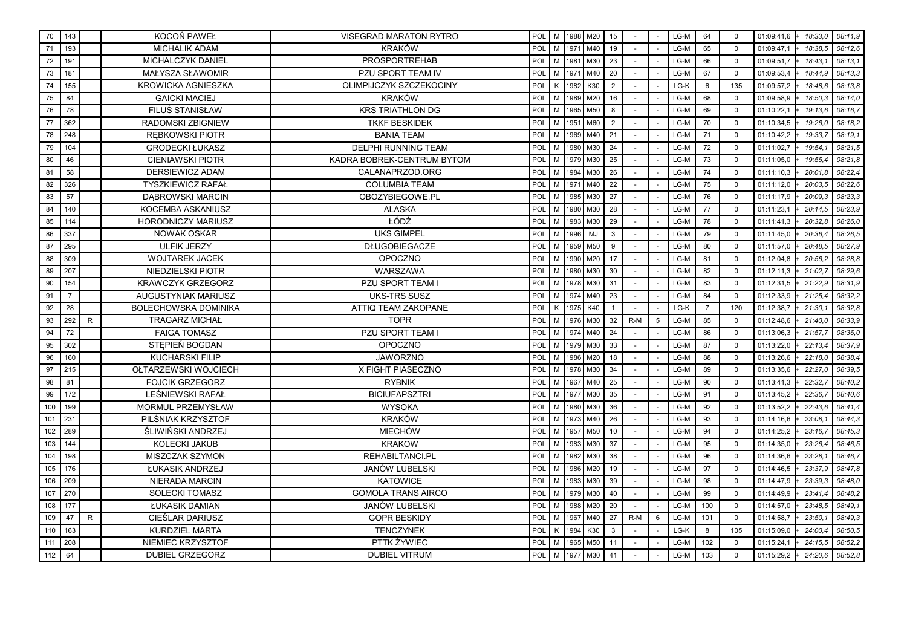| 70  | 143            |              | KOCOŃ PAWEŁ                 | <b>VISEGRAD MARATON RYTRO</b> | POL |   |      | M 1988 M20       | 15             |       |   | LG-M   | 64             | $\mathbf 0$ | 01:09:41,6<br>18:33.0     | 08:11.9 |
|-----|----------------|--------------|-----------------------------|-------------------------------|-----|---|------|------------------|----------------|-------|---|--------|----------------|-------------|---------------------------|---------|
| 71  | 193            |              | <b>MICHALIK ADAM</b>        | <b>KRAKÓW</b>                 | POL | M | 1971 | $\mathsf{I}$ M40 | 19             |       |   | LG-M   | 65             | $\Omega$    | 01:09:47,1<br>18:38.5     | 08:12.6 |
| 72  | 191            |              | MICHALCZYK DANIEL           | <b>PROSPORTREHAB</b>          | POL | M | 1981 | M30              | 23             |       |   | LG-M   | 66             | $\mathbf 0$ | 01:09:51,7<br>18:43.7     | 08:13.1 |
| 73  | 181            |              | MAŁYSZA SŁAWOMIR            | PZU SPORT TEAM IV             | POL | M | 1971 | M40              | 20             |       |   | LG-M   | 67             | $\mathbf 0$ | 01:09:53,4<br>18:44.9     | 08:13.3 |
| 74  | 155            |              | <b>KROWICKA AGNIESZKA</b>   | OLIMPIJCZYK SZCZEKOCINY       | POL | K | 1982 | K30              | $\overline{2}$ |       |   | LG-K   | 6              | 135         | 01:09:57,2<br>18:48.6     | 08:13.8 |
| 75  | 84             |              | <b>GAICKI MACIEJ</b>        | <b>KRAKÓW</b>                 | POL | M | 1989 | M20              | 16             |       |   | LG-M   | 68             | $\Omega$    | 01:09:58,9<br>18:50.3     | 08:14,0 |
| 76  | 78             |              | <b>FILUS STANISŁAW</b>      | <b>KRS TRIATHLON DG</b>       | POL | M | 1965 | M50              | 8              |       |   | LG-M   | 69             | $\mathbf 0$ | 01:10:22.1<br>19:13.6     | 08:16,7 |
| 77  | 362            |              | RADOMSKI ZBIGNIEW           | <b>TKKF BESKIDEK</b>          | POL | M | 1951 | M60              | $\overline{2}$ |       |   | LG-M   | 70             | $\mathbf 0$ | 01:10:34,5<br>19:26.0     | 08:18.2 |
| 78  | 248            |              | <b>REBKOWSKI PIOTR</b>      | <b>BANIA TEAM</b>             | POL | M | 1969 | M40              | 21             |       |   | LG-M   | 71             | $\mathbf 0$ | 01:10:42,2<br>19:33.7     | 08:19.1 |
| 79  | 104            |              | <b>GRODECKI ŁUKASZ</b>      | <b>DELPHI RUNNING TEAM</b>    | POL | M | 1980 | M30              | 24             |       |   | LG-M   | 72             | $\mathbf 0$ | 01:11:02,7<br>19:54.      | 08:21,5 |
| 80  | 46             |              | <b>CIENIAWSKI PIOTR</b>     | KADRA BOBREK-CENTRUM BYTOM    | POL | M | 1979 | M30              | 25             |       |   | LG-M   | 73             | $\Omega$    | 19:56.4<br>01:11:05,0     | 08:21.8 |
| 81  | 58             |              | <b>DERSIEWICZ ADAM</b>      | CALANAPRZOD.ORG               | POL | M | 1984 | M30              | 26             |       |   | LG-M   | 74             | $\mathbf 0$ | 20:01.8<br>01:11:10,3     | 08:22.4 |
| 82  | 326            |              | <b>TYSZKIEWICZ RAFAŁ</b>    | <b>COLUMBIA TEAM</b>          | POL | M | 1971 | M40              | 22             |       |   | LG-M   | 75             | $\mathbf 0$ | 20:03.5<br>01:11:12,0     | 08:22.6 |
| 83  | 57             |              | <b>DABROWSKI MARCIN</b>     | OBOZYBIEGOWE.PL               | POL | M | 1985 | M30              | 27             |       |   | LG-M   | 76             | $\mathbf 0$ | 01:11:17,9<br>20:09.3     | 08:23.3 |
| 84  | 140            |              | KOCEMBA ASKANIUSZ           | <b>ALASKA</b>                 | POL | M | 1980 | M30              | 28             |       |   | LG-M   | 77             | $\Omega$    | 01:11:23.1<br>20:14.5     | 08:23,9 |
| 85  | 114            |              | <b>HORODNICZY MARIUSZ</b>   | ŁÓDŹ                          | POL | M | 1983 | M30              | 29             |       |   | LG-M   | 78             | $\mathbf 0$ | 20:32.8<br>01:11:41,3     | 08:26.0 |
| 86  | 337            |              | <b>NOWAK OSKAR</b>          | <b>UKS GIMPEL</b>             | POL | M | 1996 | MJ               | 3              |       |   | LG-M   | 79             | $\mathbf 0$ | 01:11:45,0<br>20:36.4     | 08:26.5 |
| 87  | 295            |              | <b>ULFIK JERZY</b>          | <b>DŁUGOBIEGACZE</b>          | POL | M | 1959 | M50              | 9              |       |   | LG-M   | 80             | $\mathbf 0$ | 01:11:57,0<br>20:48,5     | 08:27,9 |
| 88  | 309            |              | <b>WOJTAREK JACEK</b>       | <b>OPOCZNO</b>                | POL | M | 1990 | M20              | 17             |       |   | LG-M   | 81             | $\mathbf 0$ | 01:12:04,8<br>20:56,2     | 08:28,8 |
| 89  | 207            |              | NIEDZIELSKI PIOTR           | WARSZAWA                      | POL | M |      | 1980 M30         | 30             |       |   | LG-M   | 82             | $\mathbf 0$ | 21:02.7<br>01:12:11,3     | 08:29.6 |
| 90  | 154            |              | <b>KRAWCZYK GRZEGORZ</b>    | PZU SPORT TEAM I              | POL | M | 1978 | M30              | 31             |       |   | LG-M   | 83             | $\mathbf 0$ | 01:12:31,5<br>21:22.9     | 08:31.9 |
| 91  | $\overline{7}$ |              | AUGUSTYNIAK MARIUSZ         | <b>UKS-TRS SUSZ</b>           | POL | M | 1974 | M40              | 23             |       |   | LG-M   | 84             | $\mathbf 0$ | 01:12:33,9<br>21:25,4     | 08:32.2 |
| 92  | 28             |              | <b>BOLECHOWSKA DOMINIKA</b> | ATTIQ TEAM ZAKOPANE           | POL | K | 1975 | K40              | $\mathbf{1}$   |       |   | LG-K   | $\overline{7}$ | 120         | 01:12:38.7<br>21:30.1     | 08:32.8 |
| 93  | 292            | $\mathsf{R}$ | <b>TRAGARZ MICHAŁ</b>       | <b>TOPR</b>                   | POL | M | 1976 | M30              | 32             | $R-M$ | 5 | LG-M   | 85             | $\mathbf 0$ | 01:12:48,6<br>21:40.0     | 08:33.9 |
| 94  | 72             |              | <b>FAIGA TOMASZ</b>         | <b>PZU SPORT TEAM I</b>       | POL | M |      | 1974 M40         | 24             |       |   | LG-M   | 86             | $\mathbf 0$ | 21:57.7<br>01:13:06,3     | 08:36.0 |
| 95  | 302            |              | STEPIEŃ BOGDAN              | <b>OPOCZNO</b>                | POL | M | 1979 | M30              | 33             |       |   | LG-M   | 87             | $\mathbf 0$ | 01:13:22,0<br>22:13.4     | 08:37.9 |
| 96  | 160            |              | <b>KUCHARSKI FILIP</b>      | <b>JAWORZNO</b>               | POL | M | 1986 | M20              | 18             |       |   | LG-M   | 88             | $\mathbf 0$ | 01:13:26,6<br>22:18.0     | 08:38.4 |
| 97  | 215            |              | OŁTARZEWSKI WOJCIECH        | X FIGHT PIASECZNO             | POL | M | 1978 | M30              | 34             |       |   | LG-M   | 89             | $\mathbf 0$ | 22:27.0<br>01:13:35,6     | 08:39.5 |
| 98  | 81             |              | <b>FOJCIK GRZEGORZ</b>      | <b>RYBNIK</b>                 | POL | M | 1967 | M40              | 25             |       |   | LG-M   | 90             | $\mathbf 0$ | 22:32.7<br>01:13:41,3     | 08:40.2 |
| 99  | 172            |              | LEŚNIEWSKI RAFAŁ            | <b>BICIUFAPSZTRI</b>          | POL | M | 1977 | M30              | 35             |       |   | LG-M   | 91             | $\mathbf 0$ | 22:36.7<br>01:13:45,2     | 08:40.6 |
| 100 | 199            |              | MORMUL PRZEMYSŁAW           | <b>WYSOKA</b>                 | POL | M | 1980 | M30              | 36             |       |   | LG-M   | 92             | $\mathbf 0$ | 01:13:52,2<br>22:43.6     | 08:41,4 |
| 101 | 231            |              | PILŚNIAK KRZYSZTOF          | <b>KRAKÓW</b>                 | POL | M | 1973 | M40              | 26             |       |   | LG-M   | 93             | $\Omega$    | 01:14:16,6<br>23:08.1     | 08:44.3 |
| 102 | 289            |              | ŚLIWIŃSKI ANDRZEJ           | <b>MIECHÓW</b>                | POL | M | 1957 | M50              | 10             |       |   | LG-M   | 94             | $\mathbf 0$ | 01:14:25,2<br>23:16.7     | 08:45.3 |
| 103 | 144            |              | <b>KOLECKI JAKUB</b>        | <b>KRAKOW</b>                 | POL | M | 1983 | M30              | 37             |       |   | LG-M   | 95             | $\mathbf 0$ | 01:14:35,0<br>23:26.4     | 08:46.5 |
| 104 | 198            |              | MISZCZAK SZYMON             | REHABILTANCI.PL               | POL | M |      | 1982 M30         | 38             |       |   | LG-M   | 96             | $\Omega$    | 01:14:36,6<br>23:28.1     | 08:46,7 |
| 105 | 176            |              | ŁUKASIK ANDRZEJ             | <b>JANÓW LUBELSKI</b>         | POL | M | 1986 | M20              | 19             |       |   | LG-M   | 97             | $\Omega$    | 01:14:46,5<br>23:37.9     | 08:47.8 |
| 106 | 209            |              | NIERADA MARCIN              | <b>KATOWICE</b>               | POL | M | 1983 | M30              | 39             |       |   | LG-M   | 98             | $\mathbf 0$ | 23:39.3<br>01:14:47,9     | 08:48.0 |
| 107 | 270            |              | <b>SOLECKI TOMASZ</b>       | <b>GOMOLA TRANS AIRCO</b>     | POL | M | 1979 | M30              | 40             |       |   | LG-M   | 99             | $\mathbf 0$ | 23:41.4<br>01:14:49,9     | 08:48,2 |
| 108 | 177            |              | ŁUKASIK DAMIAN              | <b>JANÓW LUBELSKI</b>         | POL | M | 1988 | M20              | 20             |       |   | LG-M   | 100            | $\mathbf 0$ | 01:14:57,0<br>23:48,5     | 08:49,1 |
| 109 | 47             | $\mathsf{R}$ | CIEŚLAR DARIUSZ             | <b>GOPR BESKIDY</b>           | POL | M | 1967 | M40              | 27             | $R-M$ | 6 | LG-M   | 101            | $\mathbf 0$ | 01:14:58,7<br>23:50.1     | 08:49.3 |
| 110 | 163            |              | <b>KURDZIEL MARTA</b>       | <b>TENCZYNEK</b>              | POL | K | 1984 | K30              | 3              |       |   | LG-K   | 8              | 105         | 24:00.4<br>01:15:09,0     | 08:50.5 |
| 111 | 208            |              | NIEMIEC KRZYSZTOF           | PTTK ŻYWIEC                   | POL | M | 1965 | M50              | 11             |       |   | $LG-M$ | 102            | $\mathbf 0$ | 01:15:24,1<br>24:15.5     | 08:52.2 |
| 112 | 64             |              | <b>DUBIEL GRZEGORZ</b>      | <b>DUBIEL VITRUM</b>          | POL |   |      | M 1977 M30       | 41             |       |   | $LG-M$ | 103            | $\mathbf 0$ | 01:15:29,2<br>$+ 24:20,6$ | 08:52.8 |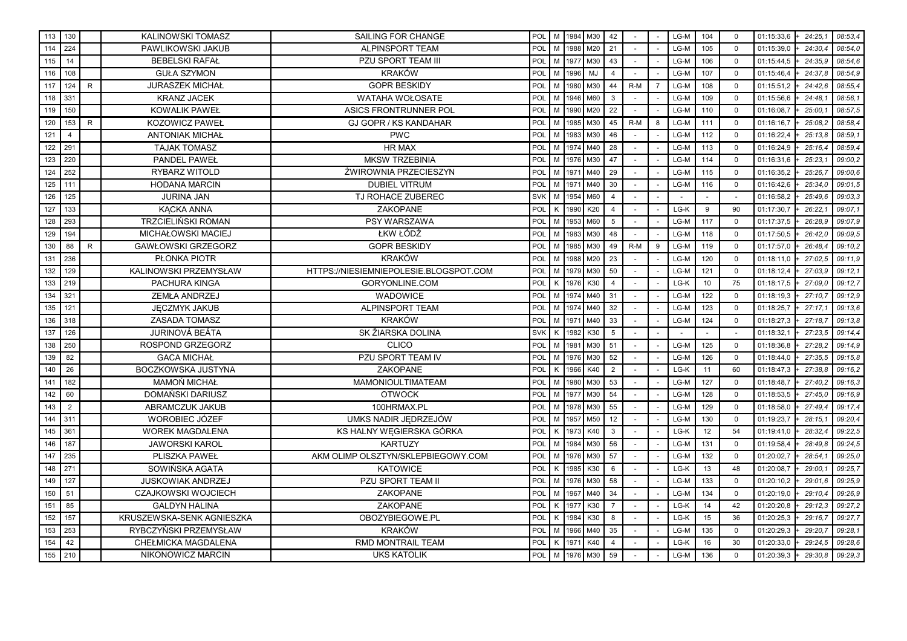| 113 | 130            |              | KALINOWSKI TOMASZ          | SAILING FOR CHANGE                     | POL        |              |      | M   1984   M30 | 42             |       |                | LG-M   | 104 | $\mathbf 0$ | 01:15:33,6<br>$+24:25,1$ | 08:53,4 |
|-----|----------------|--------------|----------------------------|----------------------------------------|------------|--------------|------|----------------|----------------|-------|----------------|--------|-----|-------------|--------------------------|---------|
| 114 | 224            |              | PAWLIKOWSKI JAKUB          | <b>ALPINSPORT TEAM</b>                 | POL        | M            | 1988 | M20            | 21             |       | $\overline{a}$ | LG-M   | 105 | $\Omega$    | 01:15:39.0<br>24:30.4    | 08:54.0 |
| 115 | 14             |              | <b>BEBELSKI RAFAŁ</b>      | <b>PZU SPORT TEAM III</b>              | POL        | M            | 1977 | M30            | 43             |       |                | LG-M   | 106 | $\mathbf 0$ | 01:15:44,5<br>24:35.9    | 08:54.6 |
| 116 | 108            |              | <b>GUŁA SZYMON</b>         | <b>KRAKÓW</b>                          | <b>POL</b> | M            | 1996 | MJ             | 4              |       |                | LG-M   | 107 | $\mathbf 0$ | 24:37.8<br>01:15:46,4    | 08:54.9 |
| 117 | 124            | $\sf R$      | <b>JURASZEK MICHAŁ</b>     | <b>GOPR BESKIDY</b>                    | POL        | M            | 1980 | M30            | 44             | $R-M$ | $\overline{7}$ | LG-M   | 108 | $\mathbf 0$ | 01:15:51,2<br>24:42.6    | 08:55.4 |
| 118 | 331            |              | <b>KRANZ JACEK</b>         | WATAHA WOŁOSATE                        | POL        | M            | 1946 | M60            | 3              |       |                | LG-M   | 109 | $\Omega$    | 01:15:56,6<br>24:48.1    | 08:56,1 |
| 119 | 150            |              | <b>KOWALIK PAWEŁ</b>       | ASICS FRONTRUNNER POL                  | POL        | M            | 1990 | M20            | 22             |       |                | LG-M   | 110 | $\Omega$    | 01:16:08,7<br>25:00.1    | 08:57.5 |
| 120 | 153            | R            | <b>KOZOWICZ PAWEŁ</b>      | <b>GJ GOPR / KS KANDAHAR</b>           | <b>POL</b> | M            | 1985 | M30            | 45             | R-M   | 8              | LG-M   | 111 | $\mathbf 0$ | 25:08.2<br>01:16:16,7    | 08:58.4 |
| 121 | 4              |              | <b>ANTONIAK MICHAŁ</b>     | <b>PWC</b>                             | POL        | M            | 1983 | M30            | 46             |       |                | LG-M   | 112 | $\mathbf 0$ | 01:16:22,4<br>25:13.8    | 08:59.1 |
| 122 | 291            |              | <b>TAJAK TOMASZ</b>        | HR MAX                                 | POL        | M            | 1974 | M40            | 28             |       |                | LG-M   | 113 | $\Omega$    | 01:16:24,9<br>25:16.4    | 08:59,4 |
| 123 | 220            |              | <b>PANDEL PAWEŁ</b>        | <b>MKSW TRZEBINIA</b>                  | POL        | M            | 1976 | M30            | 47             |       |                | LG-M   | 114 | $\mathbf 0$ | 01:16:31,6<br>25:23.1    | 09:00.2 |
| 124 | 252            |              | RYBARZ WITOLD              | ŻWIROWNIA PRZECIESZYN                  | <b>POL</b> | M            | 1971 | M40            | 29             |       |                | LG-M   | 115 | $\mathbf 0$ | 25:26.7<br>01:16:35,2    | 09:00.6 |
| 125 | 111            |              | <b>HODANA MARCIN</b>       | <b>DUBIEL VITRUM</b>                   | POL        | M            | 1971 | M40            | 30             |       |                | LG-M   | 116 | $\mathbf 0$ | 01:16:42,6<br>25:34,0    | 09:01,5 |
| 126 | 125            |              | <b>JURINA JAN</b>          | TJ ROHACE ZUBEREC                      | <b>SVK</b> | M            | 1954 | M60            | $\overline{4}$ |       |                |        |     |             | 01:16:58,2<br>25:49,6    | 09:03,3 |
| 127 | 133            |              | <b>KACKA ANNA</b>          | <b>ZAKOPANE</b>                        | POL        | K            | 1990 | K20            | $\overline{4}$ |       |                | LG-K   | 9   | 90          | 01:17:30,7<br>26:22.1    | 09:07.1 |
| 128 | 293            |              | <b>TRZCIELIŃSKI ROMAN</b>  | PSY WARSZAWA                           | <b>POL</b> | M            | 1953 | M60            | 5              |       |                | LG-M   | 117 | $\mathbf 0$ | 26:28.9<br>01:17:37,5    | 09:07.9 |
| 129 | 194            |              | MICHAŁOWSKI MACIEJ         | ŁKW ŁÓDŹ                               | POL        | M            | 1983 | M30            | 48             |       |                | LG-M   | 118 | $\mathbf 0$ | 01:17:50,5<br>26:42.0    | 09:09.5 |
| 130 | 88             | $\mathsf{R}$ | <b>GAWŁOWSKI GRZEGORZ</b>  | <b>GOPR BESKIDY</b>                    | POL        | M            | 1985 | M30            | 49             | $R-M$ | 9              | LG-M   | 119 | $\Omega$    | 01:17:57,0<br>26:48.4    | 09:10.2 |
| 131 | 236            |              | PŁONKA PIOTR               | <b>KRAKÓW</b>                          | POL        | M            | 1988 | M20            | 23             |       |                | LG-M   | 120 | $\mathbf 0$ | 27:02.5<br>01:18:11,0    | 09:11.9 |
| 132 | 129            |              | KALINOWSKI PRZEMYSŁAW      | HTTPS://NIESIEMNIEPOLESIE.BLOGSPOT.COM | POL        | M            | 1979 | M30            | 50             |       |                | LG-M   | 121 | $\mathbf 0$ | 27:03.9<br>01:18:12,4    | 09:12.1 |
| 133 | 219            |              | <b>PACHURA KINGA</b>       | GORYONLINE.COM                         | POL        | K            | 1976 | K30            | $\overline{4}$ |       |                | LG-K   | 10  | 75          | 27:09.0<br>01:18:17,5    | 09:12,7 |
| 134 | 321            |              | ZEMŁA ANDRZEJ              | WADOWICE                               | POL        | M            | 1974 | M40            | 31             |       |                | LG-M   | 122 | $\mathbf 0$ | 01:18:19,3<br>27:10.7    | 09:12.9 |
| 135 | 121            |              | <b>JECZMYK JAKUB</b>       | <b>ALPINSPORT TEAM</b>                 | POL        | M            | 1974 | M40            | 32             |       |                | LG-M   | 123 | $\mathbf 0$ | 01:18:25,7<br>27:17.1    | 09:13.6 |
| 136 | 318            |              | <b>ZASADA TOMASZ</b>       | <b>KRAKÓW</b>                          | POL        | M            | 1971 | M40            | 33             |       |                | LG-M   | 124 | $\mathbf 0$ | 01:18:27,3<br>27:18.7    | 09:13.8 |
| 137 | 126            |              | <b>JURINOVÁ BEÁTA</b>      | SK ŽIARSKA DOLINA                      | <b>SVK</b> | $\mathsf{K}$ | 1982 | K30            | 5              |       |                | $\sim$ |     | $\sim$      | 01:18:32,1<br>27:23.5    | 09:14,4 |
| 138 | 250            |              | ROSPOND GRZEGORZ           | <b>CLICO</b>                           | POL        | M            | 1981 | M30            | 51             |       |                | LG-M   | 125 | $\mathbf 0$ | 27:28.2<br>01:18:36,8    | 09:14,9 |
| 139 | 82             |              | <b>GACA MICHAŁ</b>         | PZU SPORT TEAM IV                      | POL        | M            | 1976 | M30            | 52             |       |                | LG-M   | 126 | $\Omega$    | 27:35.5<br>01:18:44,0    | 09:15,8 |
| 140 | 26             |              | <b>BOCZKOWSKA JUSTYNA</b>  | <b>ZAKOPANE</b>                        | POL        | K            | 1966 | K40            | 2              |       |                | LG-K   | 11  | 60          | 01:18:47,3<br>27:38.8    | 09:16.2 |
| 141 | 182            |              | <b>MAMOŃ MICHAŁ</b>        | <b>MAMONIOULTIMATEAM</b>               | POL        | M            | 1980 | M30            | 53             |       |                | LG-M   | 127 | $\Omega$    | 27:40.2<br>01:18:48,7    | 09:16.3 |
| 142 | 60             |              | DOMAŃSKI DARIUSZ           | <b>OTWOCK</b>                          | POL        | M            | 1977 | M30            | 54             |       |                | LG-M   | 128 | $\mathbf 0$ | 27:45.0<br>01:18:53,5    | 09:16,9 |
| 143 | $\overline{2}$ |              | ABRAMCZUK JAKUB            | 100HRMAX.PL                            | POL        | M            | 1978 | M30            | 55             |       |                | LG-M   | 129 | $\Omega$    | 01:18:58,0<br>27:49,4    | 09:17,4 |
| 144 | 311            |              | WOROBIEC JÓZEF             | UMKS NADIR JEDRZEJÓW                   | POL        | M            | 1957 | M50            | 12             |       |                | LG-M   | 130 | $\mathbf 0$ | 01:19:23,7<br>28:15.1    | 09:20.4 |
| 145 | 361            |              | <b>WOREK MAGDALENA</b>     | KS HALNY WEGIERSKA GÓRKA               | POL        | K            | 1973 | K40            | 3              |       |                | LG-K   | 12  | 54          | 28:32.4<br>01:19:41,0    | 09:22.5 |
| 146 | 187            |              | <b>JAWORSKI KAROL</b>      | <b>KARTUZY</b>                         | POL        | M            | 1984 | M30            | 56             |       |                | LG-M   | 131 | $\mathbf 0$ | 01:19:58,4<br>28:49.8    | 09:24,5 |
| 147 | 235            |              | PLISZKA PAWEŁ              | AKM OLIMP OLSZTYN/SKLEPBIEGOWY.COM     | POL        | M            | 1976 | M30            | 57             |       |                | LG-M   | 132 | $\mathbf 0$ | 01:20:02,7<br>28:54,1    | 09:25,0 |
| 148 | 271            |              | SOWIŃSKA AGATA             | <b>KATOWICE</b>                        | <b>POL</b> | K            | 1985 | K30            | 6              |       |                | LG-K   | 13  | 48          | 01:20:08,7<br>29:00.1    | 09:25.7 |
| 149 | 127            |              | <b>JUSKOWIAK ANDRZEJ</b>   | PZU SPORT TEAM II                      | POL        | M            | 1976 | M30            | 58             |       |                | LG-M   | 133 | $\mathbf 0$ | 01:20:10,2<br>29:01.6    | 09:25.9 |
| 150 | 51             |              | <b>CZAJKOWSKI WOJCIECH</b> | ZAKOPANE                               | POL        | M            | 1967 | M40            | 34             |       |                | LG-M   | 134 | $\mathbf 0$ | 01:20:19,0<br>29:10.4    | 09:26.9 |
| 151 | 85             |              | <b>GALDYN HALINA</b>       | ZAKOPANE                               | POL        | Κ            | 1977 | K30            | $\overline{7}$ |       |                | LG-K   | 14  | 42          | 01:20:20,8<br>29:12.3    | 09:27,2 |
| 152 | 157            |              | KRUSZEWSKA-SENK AGNIESZKA  | OBOZYBIEGOWE.PL                        | POL        | K            | 1984 | K30            | 8              |       |                | LG-K   | 15  | 36          | 01:20:25,3<br>29:16.7    | 09:27.7 |
| 153 | 253            |              | RYBCZYŃSKI PRZEMYSŁAW      | <b>KRAKÓW</b>                          | POL        | M            | 1966 | M40            | 35             |       |                | LG-M   | 135 | $\mathbf 0$ | 01:20:29,3<br>29:20.7    | 09:28.1 |
| 154 | 42             |              | CHEŁMICKA MAGDALENA        | RMD MONTRAIL TEAM                      | <b>POL</b> | K            | 1971 | K40            | 4              |       |                | LG-K   | 16  | 30          | 01:20:33,0<br>29:24.5    | 09:28.6 |
| 155 | 210            |              | NIKONOWICZ MARCIN          | <b>UKS KATOLIK</b>                     | POL        | M            | 1976 | M30            | 59             |       |                | LG-M   | 136 | $\mathbf 0$ | 01:20:39,3<br>29:30,8    | 09:29,3 |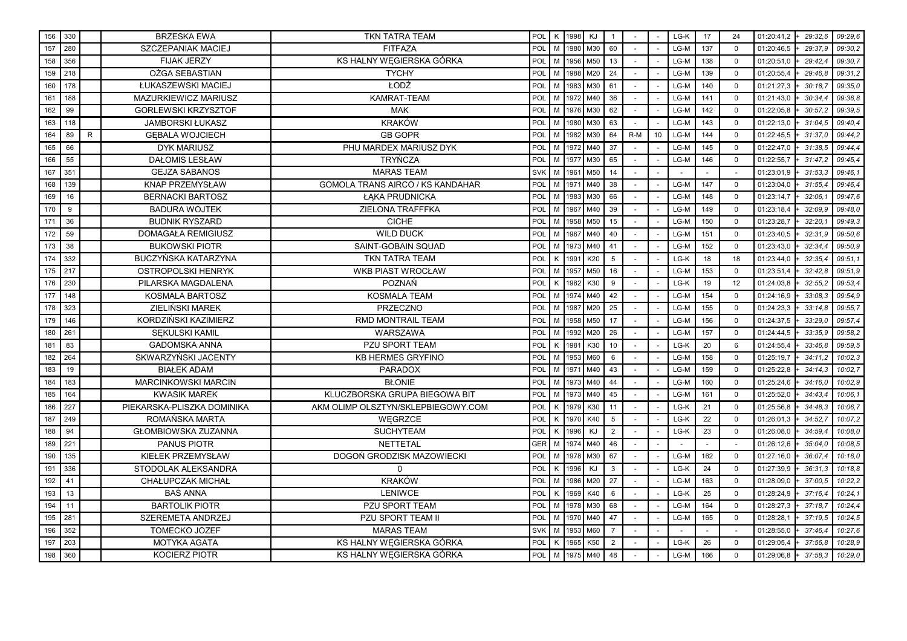| 156 | 330 |              | <b>BRZESKA EWA</b>         | TKN TATRA TEAM                          | POL        | кI | 1998 | KJ       | $\mathbf{1}$   |       |                 | LG-K   | 17  | 24          | 01:20:41,2<br>29:32.6    | 09:29.6 |
|-----|-----|--------------|----------------------------|-----------------------------------------|------------|----|------|----------|----------------|-------|-----------------|--------|-----|-------------|--------------------------|---------|
| 157 | 280 |              | <b>SZCZEPANIAK MACIEJ</b>  | <b>FITFAZA</b>                          | POL        | M  | 1980 | M30      | 60             |       |                 | LG-M   | 137 | $\Omega$    | 01:20:46.5<br>29:37.9    | 09:30.2 |
| 158 | 356 |              | <b>FIJAK JERZY</b>         | KS HALNY WEGIERSKA GÓRKA                | POL        | M  | 1956 | M50      | 13             |       |                 | LG-M   | 138 | $\Omega$    | 01:20:51,0<br>29:42.4    | 09:30.7 |
| 159 | 218 |              | OŻGA SEBASTIAN             | <b>TYCHY</b>                            | POL        | M  | 1988 | M20      | 24             |       |                 | LG-M   | 139 | $\Omega$    | 01:20:55,4<br>29:46.8    | 09:31.2 |
| 160 | 178 |              | ŁUKASZEWSKI MACIEJ         | ŁODŹ                                    | POL        | M  | 1983 | M30      | 61             |       |                 | LG-M   | 140 | $\mathbf 0$ | 30:18.7<br>01:21:27,3    | 09:35.0 |
| 161 | 188 |              | MAZURKIEWICZ MARIUSZ       | KAMRAT-TEAM                             | POL        | M  | 1972 | M40      | 36             |       |                 | LG-M   | 141 | $\mathbf 0$ | 30:34.4<br>01:21:43,0    | 09:36.8 |
| 162 | 99  |              | <b>GORLEWSKI KRZYSZTOF</b> | <b>MAK</b>                              | POL        | M  | 1976 | M30      | 62             |       |                 | LG-M   | 142 | $\Omega$    | 01:22:05,8<br>30:57.2    | 09:39,5 |
| 163 | 118 |              | <b>JAMBORSKI ŁUKASZ</b>    | <b>KRAKÓW</b>                           | POL        | M  | 1980 | M30      | 63             |       |                 | LG-M   | 143 | $\mathbf 0$ | 01:22:13,0<br>31:04.5    | 09:40.4 |
| 164 | 89  | $\mathsf{R}$ | <b>GEBALA WOJCIECH</b>     | <b>GB GOPR</b>                          | POL        | M  | 1982 | M30      | 64             | $R-M$ | 10 <sup>1</sup> | LG-M   | 144 | $\Omega$    | 01:22:45,5<br>31:37.0    | 09:44.2 |
| 165 | 66  |              | <b>DYK MARIUSZ</b>         | PHU MARDEX MARIUSZ DYK                  | POL        | M  | 1972 | M40      | 37             |       |                 | LG-M   | 145 | $\mathbf 0$ | 01:22:47,0<br>31:38.5    | 09:44.4 |
| 166 | 55  |              | <b>DAŁOMIS LESŁAW</b>      | <b>TRYŃCZA</b>                          | POL        | M  | 1977 | M30      | 65             |       |                 | LG-M   | 146 | $\mathbf 0$ | 01:22:55,7<br>31:47.2    | 09:45,4 |
| 167 | 351 |              | <b>GEJZA SABANOS</b>       | <b>MARAS TEAM</b>                       | <b>SVK</b> | M  | 1961 | M50      | 14             |       |                 |        |     |             | 01:23:01,9<br>31:53,3    | 09:46.1 |
| 168 | 139 |              | <b>KNAP PRZEMYSŁAW</b>     | <b>GOMOLA TRANS AIRCO / KS KANDAHAR</b> | POL        | M  | 1971 | M40      | 38             |       |                 | LG-M   | 147 | $\Omega$    | 01:23:04,0<br>31:55.4    | 09:46.4 |
| 169 | 16  |              | <b>BERNACKI BARTOSZ</b>    | ŁAKA PRUDNICKA                          | POL        | M  | 1983 | M30      | 66             |       |                 | LG-M   | 148 | $\Omega$    | 32:06.1<br>01:23:14,7    | 09:47,6 |
| 170 | 9   |              | <b>BADURA WOJTEK</b>       | ZIELONA TRAFFFKA                        | POL        | M  | 1967 | M40      | 39             |       |                 | LG-M   | 149 | $\mathbf 0$ | 01:23:18,4<br>32:09.9    | 09:48.0 |
| 171 | 36  |              | <b>BUDNIK RYSZARD</b>      | <b>CICHE</b>                            | <b>POL</b> | M  | 1958 | M50      | 15             |       |                 | LG-M   | 150 | $\Omega$    | 01:23:28,7<br>32:20,7    | 09:49,3 |
| 172 | 59  |              | <b>DOMAGAŁA REMIGIUSZ</b>  | <b>WILD DUCK</b>                        | POL        | M  | 1967 | M40      | 40             |       |                 | LG-M   | 151 | $\Omega$    | 01:23:40,5<br>32:31.9    | 09:50.6 |
| 173 | 38  |              | <b>BUKOWSKI PIOTR</b>      | <b>SAINT-GOBAIN SQUAD</b>               | POL        | M  | 1973 | M40      | 41             |       |                 | LG-M   | 152 | $\mathbf 0$ | 32:34.4<br>01:23:43,0    | 09:50.9 |
| 174 | 332 |              | BUCZYŃSKA KATARZYNA        | <b>TKN TATRA TEAM</b>                   | POL        | K  | 1991 | K20      | 5              |       |                 | LG-K   | 18  | 18          | 01:23:44,0<br>32:35.4    | 09:51.1 |
| 175 | 217 |              | <b>OSTROPOLSKI HENRYK</b>  | <b>WKB PIAST WROCŁAW</b>                | POL        | M  | 1957 | M50      | 16             |       |                 | LG-M   | 153 | $\mathbf 0$ | 32:42.8<br>01:23:51,4    | 09:51.9 |
| 176 | 230 |              | PILARSKA MAGDALENA         | <b>POZNAŃ</b>                           | POL        | K  | 1982 | K30      | 9              |       |                 | LG-K   | 19  | 12          | 01:24:03.8<br>32:55.2    | 09:53.4 |
| 177 | 148 |              | KOSMALA BARTOSZ            | <b>KOSMALA TEAM</b>                     | POL        | M  | 1974 | M40      | 42             |       |                 | LG-M   | 154 | $\Omega$    | 01:24:16.9<br>33:08.3    | 09:54.9 |
| 178 | 323 |              | ZIELIŃSKI MAREK            | PRZECZNO                                | POL        | M  | 1987 | M20      | 25             |       |                 | LG-M   | 155 | $\mathbf 0$ | 33:14.8<br>01:24:23,3    | 09:55.7 |
| 179 | 146 |              | KORDZIŃSKI KAZIMIERZ       | RMD MONTRAIL TEAM                       | POL        | M  | 1958 | M50      | 17             |       |                 | LG-M   | 156 | $\mathbf 0$ | 33:29.0<br>01:24:37,5    | 09:57.4 |
| 180 | 261 |              | <b>SEKULSKI KAMIL</b>      | WARSZAWA                                | POL        | M  | 1992 | M20      | 26             |       |                 | LG-M   | 157 | $\Omega$    | 33:35.9<br>01:24:44,5    | 09:58.2 |
| 181 | 83  |              | <b>GADOMSKA ANNA</b>       | <b>PZU SPORT TEAM</b>                   | POL        | K  | 1981 | K30      | 10             |       |                 | LG-K   | 20  | 6           | 01:24:55,4<br>33:46.8    | 09:59.5 |
| 182 | 264 |              | SKWARZYŃSKI JACENTY        | <b>KB HERMES GRYFINO</b>                | POL        | M  | 1953 | M60      | 6              |       |                 | LG-M   | 158 | $\mathbf 0$ | 01:25:19,7<br>34:11.2    | 10:02.3 |
| 183 | 19  |              | <b>BIAŁEK ADAM</b>         | <b>PARADOX</b>                          | POL        | M  | 1971 | M40      | 43             |       |                 | LG-M   | 159 | $\mathbf 0$ | 01:25:22,8<br>34:14.3    | 10:02.7 |
| 184 | 183 |              | <b>MARCINKOWSKI MARCIN</b> | <b>BŁONIE</b>                           | POL        | M  | 1973 | M40      | 44             |       |                 | LG-M   | 160 | $\mathbf 0$ | 01:25:24,6<br>34:16.0    | 10:02.9 |
| 185 | 164 |              | <b>KWASIK MAREK</b>        | KLUCZBORSKA GRUPA BIEGOWA BIT           | POL        | M  | 1973 | M40      | 45             |       |                 | LG-M   | 161 | $\Omega$    | 01:25:52,0<br>34:43.4    | 10:06,1 |
| 186 | 227 |              | PIEKARSKA-PLISZKA DOMINIKA | AKM OLIMP OLSZTYN/SKLEPBIEGOWY.COM      | <b>POL</b> | K  | 1979 | K30      | 11             |       |                 | LG-K   | 21  | $\Omega$    | 01:25:56,8<br>34:48.3    | 10:06.7 |
| 187 | 249 |              | ROMAŃSKA MARTA             | <b>WEGRZCE</b>                          | POL        | K  | 1970 | K40      | 5              |       |                 | LG-K   | 22  | $\mathbf 0$ | 34:52.7<br>01:26:01,3    | 10:07.2 |
| 188 | 94  |              | GŁOMBIOWSKA ZUZANNA        | <b>SUCHYTEAM</b>                        | POL        | K  | 1996 | KJ       | 2              |       |                 | $LG-K$ | 23  | $\mathbf 0$ | 34:59.4<br>01:26:08,0    | 10:08.0 |
| 189 | 221 |              | <b>PANUS PIOTR</b>         | NETTETAL                                | GER        | M  | 1974 | M40      | 46             |       |                 |        |     |             | 01:26:12,6<br>35:04.0    | 10:08,5 |
| 190 | 135 |              | <b>KIEŁEK PRZEMYSŁAW</b>   | DOGOŃ GRODZISK MAZOWIECKI               | <b>POL</b> | M  | 1978 | M30      | 67             |       |                 | LG-M   | 162 | $\mathbf 0$ | 36:07.4<br>01:27:16,0    | 10:16.0 |
| 191 | 336 |              | STODOLAK ALEKSANDRA        | $\mathbf{0}$                            | POL        | K  | 1996 | KJ       | 3              |       |                 | LG-K   | 24  | $\Omega$    | 01:27:39,9<br>36:31.3    | 10:18.8 |
| 192 | 41  |              | <b>CHAŁUPCZAK MICHAŁ</b>   | <b>KRAKÓW</b>                           | POL        | M  | 1986 | M20      | 27             |       |                 | LG-M   | 163 | $\mathbf 0$ | 37:00.5<br>01:28:09,0    | 10:22.2 |
| 193 | 13  |              | <b>BAŚ ANNA</b>            | <b>LENIWCE</b>                          | POL        | K  | 1969 | K40      | 6              |       |                 | LG-K   | 25  | $\mathbf 0$ | 01:28:24,9<br>37:16.4    | 10:24,1 |
| 194 | 11  |              | <b>BARTOLIK PIOTR</b>      | PZU SPORT TEAM                          | POL        | M  | 1978 | M30      | 68             |       |                 | LG-M   | 164 | $\Omega$    | 01:28:27.3<br>37:18.7    | 10:24,4 |
| 195 | 281 |              | <b>SZEREMETA ANDRZEJ</b>   | PZU SPORT TEAM II                       | POL        | M  | 1970 | M40      | 47             |       |                 | LG-M   | 165 | $\Omega$    | 37:19.5<br>01:28:28,1    | 10:24.5 |
| 196 | 352 |              | <b>TOMECKO JOZEF</b>       | <b>MARAS TEAM</b>                       | <b>SVK</b> | M  | 1953 | M60      | $\overline{7}$ |       |                 |        |     |             | 37:46.4<br>01:28:55,0    | 10:27.6 |
| 197 | 203 |              | MOTYKA AGATA               | KS HALNY WEGIERSKA GÓRKA                | POL        | K  | 1965 | K50      | $\overline{2}$ |       |                 | $LG-K$ | 26  | $\mathbf 0$ | 01:29:05,4<br>37:56.8    | 10:28.9 |
| 198 | 360 |              | <b>KOCIERZ PIOTR</b>       | KS HALNY WEGIERSKA GÓRKA                | POL        | M  |      | 1975 M40 | 48             |       |                 | LG-M   | 166 | $\mathbf 0$ | $-37:58.3$<br>01:29:06,8 | 10:29.0 |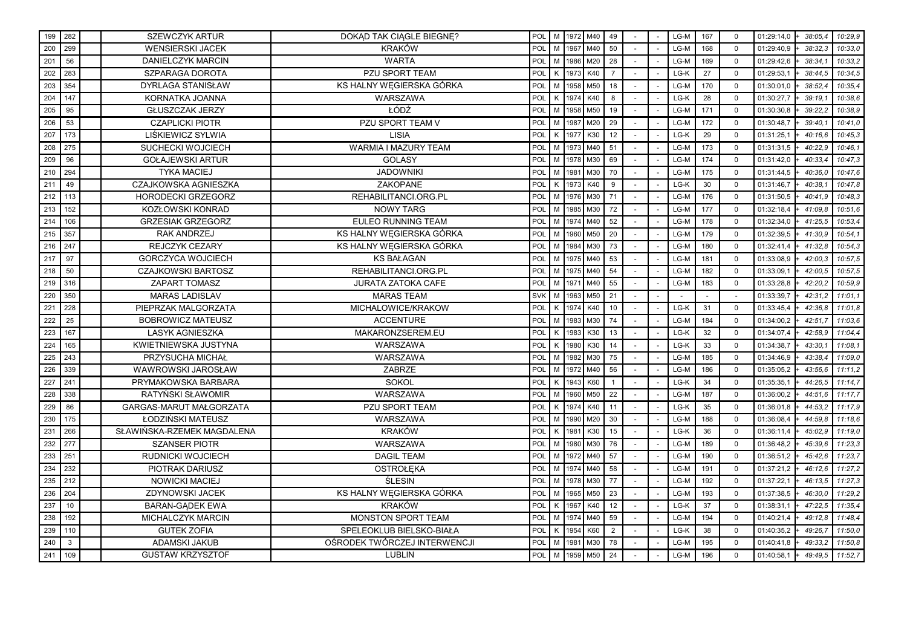| 199 | 282          | <b>SZEWCZYK ARTUR</b>      | DOKAD TAK CIAGLE BIEGNE?     | POL        |              |      | M 1972 M40 | 49             |  | LG-M | 167 | $\mathbf 0$ | 01:29:14,0<br>38:05.4 | 10:29.9 |
|-----|--------------|----------------------------|------------------------------|------------|--------------|------|------------|----------------|--|------|-----|-------------|-----------------------|---------|
| 200 | 299          | <b>WENSIERSKI JACEK</b>    | <b>KRAKÓW</b>                | POL        | M            | 1967 | M40        | 50             |  | LG-M | 168 | $\mathbf 0$ | 38:32.3<br>01:29:40,9 | 10:33.0 |
| 201 | 56           | DANIELCZYK MARCIN          | <b>WARTA</b>                 | POL        | M            | 1986 | M20        | 28             |  | LG-M | 169 | $\Omega$    | 38:34.7<br>01:29:42,6 | 10:33,2 |
| 202 | 283          | SZPARAGA DOROTA            | PZU SPORT TEAM               | POL        | K            | 1973 | K40        | $\overline{7}$ |  | LG-K | 27  | $\mathbf 0$ | 01:29:53,1<br>38:44.5 | 10:34.5 |
| 203 | 354          | <b>DYRLAGA STANISŁAW</b>   | KS HALNY WĘGIERSKA GÓRKA     | <b>POL</b> | M            | 1958 | M50        | 18             |  | LG-M | 170 | $\mathbf 0$ | 01:30:01,0<br>38:52.4 | 10:35.4 |
| 204 | 147          | KORNATKA JOANNA            | WARSZAWA                     | POL        | $\mathsf{K}$ | 1974 | K40        | 8              |  | LG-K | 28  | $\mathbf 0$ | 01:30:27,7<br>39:19.1 | 10:38,6 |
| 205 | 95           | <b>GŁUSZCZAK JERZY</b>     | ŁÓDŹ                         | POL        | M            | 1958 | M50        | 19             |  | LG-M | 171 | $\Omega$    | 01:30:30,8<br>39:22.2 | 10:38,9 |
| 206 | 53           | <b>CZAPLICKI PIOTR</b>     | PZU SPORT TEAM V             | <b>POL</b> | M            | 1987 | M20        | 29             |  | LG-M | 172 | $\mathbf 0$ | 01:30:48,7<br>39:40.1 | 10:41.0 |
| 207 | 173          | LIŚKIEWICZ SYLWIA          | <b>LISIA</b>                 | POL        | K            | 1977 | K30        | 12             |  | LG-K | 29  | $\mathbf 0$ | 01:31:25,1<br>40:16.6 | 10:45,3 |
| 208 | 275          | SUCHECKI WOJCIECH          | <b>WARMIA I MAZURY TEAM</b>  | POL        | M            | 1973 | M40        | 51             |  | LG-M | 173 | $\mathbf 0$ | 01:31:31,5<br>40:22.9 | 10:46,1 |
| 209 | 96           | <b>GOŁAJEWSKI ARTUR</b>    | <b>GOLASY</b>                | POL        | M            | 1978 | M30        | 69             |  | LG-M | 174 | $\mathbf 0$ | 40:33.4<br>01:31:42,0 | 10:47,3 |
| 210 | 294          | <b>TYKA MACIEJ</b>         | <b>JADOWNIKI</b>             | POL        | M            | 1981 | M30        | 70             |  | LG-M | 175 | $\Omega$    | 01:31:44,5<br>40:36,0 | 10:47,6 |
| 211 | 49           | CZAJKOWSKA AGNIESZKA       | <b>ZAKOPANE</b>              | POL        | K            | 1973 | K40        | 9              |  | LG-K | 30  | $\Omega$    | 01:31:46,7<br>40:38.1 | 10:47.8 |
| 212 | 113          | <b>HORODECKI GRZEGORZ</b>  | REHABILITANCI.ORG.PL         | <b>POL</b> | M            | 1976 | M30        | 71             |  | LG-M | 176 | $\mathbf 0$ | 40:41.9<br>01:31:50,5 | 10:48,3 |
| 213 | 152          | KOZŁOWSKI KONRAD           | <b>NOWY TARG</b>             | POL        | M            | 1985 | M30        | 72             |  | LG-M | 177 | $\mathbf 0$ | 41:09.8<br>01:32:18,4 | 10:51,6 |
| 214 | 106          | <b>GRZESIAK GRZEGORZ</b>   | <b>EULEO RUNNING TEAM</b>    | POL        | M            | 1974 | M40        | 52             |  | LG-M | 178 | $\Omega$    | 01:32:34,0<br>41:25,5 | 10:53,4 |
| 215 | 357          | <b>RAK ANDRZEJ</b>         | KS HALNY WEGIERSKA GÓRKA     | POL        | M            | 1960 | M50        | 20             |  | LG-M | 179 | $\Omega$    | 01:32:39,5<br>41:30.9 | 10:54.1 |
| 216 | 247          | REJCZYK CEZARY             | KS HALNY WEGIERSKA GÓRKA     | POL        | M            | 1984 | M30        | 73             |  | LG-M | 180 | $\mathbf 0$ | 01:32:41,4<br>41:32.8 | 10:54.3 |
| 217 | 97           | <b>GORCZYCA WOJCIECH</b>   | <b>KS BAŁAGAN</b>            | POL        | M            | 1975 | M40        | 53             |  | LG-M | 181 | $\mathbf 0$ | 42:00.3<br>01:33:08,9 | 10:57,5 |
| 218 | 50           | <b>CZAJKOWSKI BARTOSZ</b>  | REHABILITANCI.ORG.PL         | POL        | M            | 1975 | M40        | 54             |  | LG-M | 182 | $\mathbf 0$ | 42:00,5<br>01:33:09,1 | 10:57,5 |
| 219 | 316          | ZAPART TOMASZ              | <b>JURATA ZATOKA CAFE</b>    | POL        | M            | 1971 | M40        | 55             |  | LG-M | 183 | $\Omega$    | 42:20.2<br>01:33:28.8 | 10:59,9 |
| 220 | 350          | <b>MARAS LADISLAV</b>      | <b>MARAS TEAM</b>            | <b>SVK</b> | M            | 1963 | M50        | 21             |  |      |     |             | 42:31.2<br>01:33:39,7 | 11:01.1 |
| 221 | 228          | PIEPRZAK MALGORZATA        | MICHALOWICE/KRAKOW           | POL        | K            | 1974 | K40        | 10             |  | LG-K | 31  | $\mathbf 0$ | 42:36.8<br>01:33:45,4 | 11:01.8 |
| 222 | 25           | <b>BOBROWICZ MATEUSZ</b>   | <b>ACCENTURE</b>             | POL        | M            | 1983 | M30        | 74             |  | LG-M | 184 | $\mathbf 0$ | 42:51.7<br>01:34:00,2 | 11:03.6 |
| 223 | 167          | <b>LASYK AGNIESZKA</b>     | MAKARONZSEREM.EU             | POL        | K            | 1983 | K30        | 13             |  | LG-K | 32  | $\Omega$    | 42:58.9<br>01:34:07,4 | 11:04,4 |
| 224 | 165          | KWIETNIEWSKA JUSTYNA       | WARSZAWA                     | POL        | K            | 1980 | K30        | 14             |  | LG-K | 33  | $\mathbf 0$ | 43:30.1<br>01:34:38,7 | 11:08.1 |
| 225 | 243          | PRZYSUCHA MICHAŁ           | WARSZAWA                     | POL        | M            | 1982 | M30        | 75             |  | LG-M | 185 | $\mathbf 0$ | 01:34:46,9<br>43:38.4 | 11:09.0 |
| 226 | 339          | WAWROWSKI JAROSŁAW         | ZABRZE                       | POL        | M            | 1972 | M40        | 56             |  | LG-M | 186 | $\mathbf 0$ | 01:35:05,2<br>43:56.6 | 11:11,2 |
| 227 | 241          | PRYMAKOWSKA BARBARA        | <b>SOKOL</b>                 | POL        | K            | 1943 | K60        |                |  | LG-K | 34  | $\mathbf 0$ | 01:35:35,1<br>44:26.5 | 11:14,7 |
| 228 | 338          | RATYŃSKI SŁAWOMIR          | WARSZAWA                     | POL        | M            | 1960 | M50        | 22             |  | LG-M | 187 | $\Omega$    | 44:51,6<br>01:36:00,2 | 11:17,7 |
| 229 | 86           | GARGAS-MARUT MAŁGORZATA    | PZU SPORT TEAM               | POL        | K            | 1974 | K40        | 11             |  | LG-K | 35  | $\Omega$    | 01:36:01.8<br>44:53.2 | 11:17.9 |
| 230 | 175          | ŁODZIŃSKI MATEUSZ          | WARSZAWA                     | POL        | M            | 1990 | M20        | 30             |  | LG-M | 188 | $\mathbf 0$ | 01:36:08,4<br>44:59.8 | 11:18,6 |
| 231 | 266          | SŁAWIŃSKA-RZEMEK MAGDALENA | <b>KRAKÓW</b>                | POL        | K            | 1981 | K30        | 15             |  | LG-K | 36  | $\mathbf 0$ | 45:02.9<br>01:36:11,4 | 11:19,0 |
| 232 | 277          | <b>SZANSER PIOTR</b>       | WARSZAWA                     | POL        | M            | 1980 | M30        | 76             |  | LG-M | 189 | $\mathbf 0$ | 45:39,6<br>01:36:48,2 | 11:23,3 |
| 233 | 251          | <b>RUDNICKI WOJCIECH</b>   | <b>DAGIL TEAM</b>            | POL        | M            | 1972 | M40        | 57             |  | LG-M | 190 | $\mathbf 0$ | 45:42.6<br>01:36:51,2 | 11:23.7 |
| 234 | 232          | PIOTRAK DARIUSZ            | <b>OSTROŁEKA</b>             | POL        | M            | 1974 | M40        | 58             |  | LG-M | 191 | $\Omega$    | 01:37:21,2<br>46:12.6 | 11:27,2 |
| 235 | 212          | <b>NOWICKI MACIEJ</b>      | <b>ŚLESIN</b>                | POL        | M            | 1978 | M30        | 77             |  | LG-M | 192 | $\mathbf 0$ | 46:13.5<br>01:37:22,1 | 11:27,3 |
| 236 | 204          | ZDYNOWSKI JACEK            | KS HALNY WEGIERSKA GÓRKA     | POL        | M            | 1965 | M50        | 23             |  | LG-M | 193 | $\mathbf 0$ | 01:37:38,5<br>46:30,0 | 11:29,2 |
| 237 | 10           | <b>BARAN-GĄDEK EWA</b>     | <b>KRAKÓW</b>                | POL        | K            | 1967 | K40        | 12             |  | LG-K | 37  | $\Omega$    | 47:22,5<br>01:38:31,1 | 11:35,4 |
| 238 | 192          | MICHALCZYK MARCIN          | MONSTON SPORT TEAM           | POL        | M            | 1974 | M40        | 59             |  | LG-M | 194 | $\Omega$    | 49:12.8<br>01:40:21,4 | 11:48.4 |
| 239 | 110          | <b>GUTEK ZOFIA</b>         | SPELEOKLUB BIELSKO-BIAŁA     | POL        | K            | 1954 | K60        | $\overline{2}$ |  | LG-K | 38  | $\mathbf 0$ | 01:40:35,2<br>49:26.7 | 11:50.0 |
| 240 | $\mathbf{3}$ | <b>ADAMSKI JAKUB</b>       | OŚRODEK TWÓRCZEJ INTERWENCJI | POL        | M            | 1981 | M30        | 78             |  | LG-M | 195 | $\mathbf 0$ | 01:40:41,8<br>49:33.2 | 11:50.8 |
| 241 | 109          | <b>GUSTAW KRZYSZTOF</b>    | <b>LUBLIN</b>                | POL        | M            | 1959 | M50        | 24             |  | LG-M | 196 | $\mathbf 0$ | 01:40:58,1<br>49:49,5 | 11:52,7 |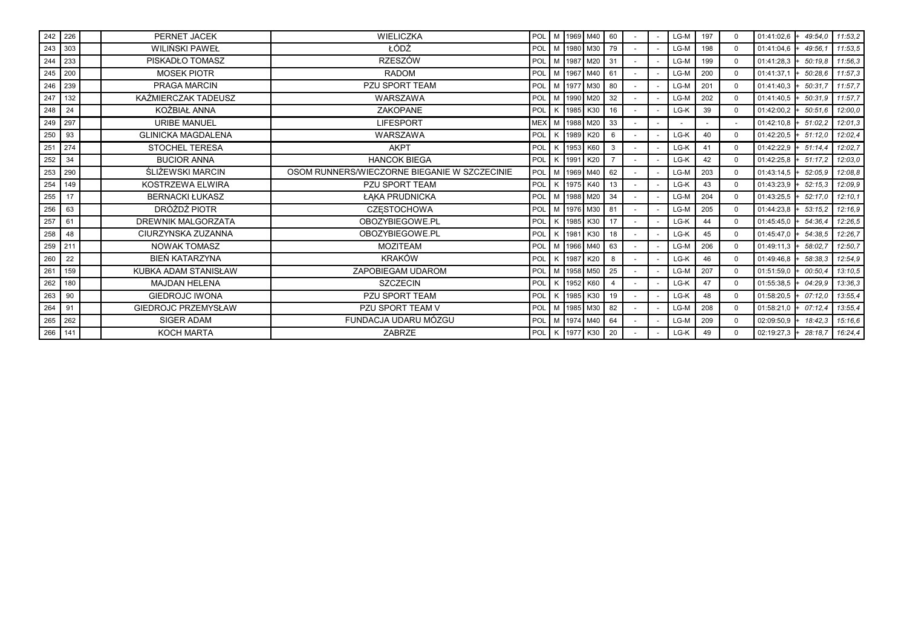|     | 242 226 | PERNET JACEK               | <b>WIELICZKA</b>                             |            |          | POL M 1969 M40       | 60           |  | LG-M | 197 | $\Omega$ | $01:41:02.6$ +                 | 49:54.0 | 11:53,2 |
|-----|---------|----------------------------|----------------------------------------------|------------|----------|----------------------|--------------|--|------|-----|----------|--------------------------------|---------|---------|
|     | 243 303 | <b>WILIŃSKI PAWEŁ</b>      | ŁÓDŹ                                         | POL        | M   1980 | M30                  | 79           |  | LG-M | 198 | $\Omega$ | 01:41:04,6                     | 49:56.  | 11:53.5 |
| 244 | 233     | PISKADŁO TOMASZ            | <b>RZESZÓW</b>                               | POL        |          | M   1987   M20       | 31           |  | LG-M | 199 | $\Omega$ | 01:41:28,3                     | 50:19.8 | 11:56.3 |
|     | 245 200 | <b>MOSEK PIOTR</b>         | <b>RADOM</b>                                 | POL        |          | M 1967 M40           | 61           |  | LG-M | 200 | $\Omega$ | 01:41:37,1                     | 50:28.6 | 11:57,3 |
|     | 246 239 | PRAGA MARCIN               | <b>PZU SPORT TEAM</b>                        | POL        |          | M 1977 M30           | 80           |  | LG-M | 201 | $\Omega$ | 01:41:40.3                     | 50:31.7 | 11:57,7 |
| 247 | 132     | KAŹMIERCZAK TADEUSZ        | WARSZAWA                                     | POL        |          | M 1990 M20           | 32           |  | LG-M | 202 | $\Omega$ | 01:41:40,5                     | 50:31,9 | 11:57.7 |
| 248 | 24      | KOŻBIAŁ ANNA               | ZAKOPANE                                     |            |          | POL K 1985 K30       | 16           |  | LG-K | 39  | $\Omega$ | 01:42:00,2                     | 50:51.6 | 12:00,0 |
|     | 249 297 | <b>URIBE MANUEL</b>        | <b>LIFESPORT</b>                             |            |          | MEX   M   1988   M20 | 33           |  |      |     |          | 01:42:10,8                     | 51:02.2 | 12:01,3 |
| 250 | 93      | <b>GLINICKA MAGDALENA</b>  | WARSZAWA                                     |            |          | POL K 1989 K20       | 6            |  | LG-K | 40  | $\Omega$ | $01:42:20.5$ + 51:12.0         |         | 12:02,4 |
|     | 251 274 | <b>STOCHEL TERESA</b>      | <b>AKPT</b>                                  | POL        |          | K 1953 K60           | $\mathbf{3}$ |  | LG-K | 41  | $\Omega$ | $01:42:22.9$ + 51:14.4         |         | 12:02.7 |
| 252 | 34      | <b>BUCIOR ANNA</b>         | <b>HANCOK BIEGA</b>                          | POL        |          | K 1991 K20           |              |  | LG-K | 42  | $\Omega$ | $01:42:25.8$ + 51:17.2         |         | 12:03,0 |
| 253 | 290     | ŚLIŻEWSKI MARCIN           | OSOM RUNNERS/WIECZORNE BIEGANIE W SZCZECINIE | POL        |          | M 1969 M40           | 62           |  | LG-M | 203 | $\Omega$ | $01:43:14.5$ +                 | 52:05.9 | 12:08,8 |
| 254 | 149     | KOSTRZEWA ELWIRA           | <b>PZU SPORT TEAM</b>                        | POL        |          | K   1975   K40       | 13           |  | LG-K | 43  | $\Omega$ | $01:43:23.9$ +                 | 52:15.3 | 12:09,9 |
| 255 | 17      | <b>BERNACKI ŁUKASZ</b>     | ŁAKA PRUDNICKA                               | POL        |          | M 1988 M20           | 34           |  | LG-M | 204 | $\Omega$ | 01:43:25,5                     | 52:17.0 | 12:10,1 |
| 256 | 63      | DRÓŻDŻ PIOTR               | <b>CZESTOCHOWA</b>                           | POL        |          | M 1976 M30           | 81           |  | LG-M | 205 | $\Omega$ | $01:44:23.8$ +                 | 53:15.2 | 12:16,9 |
| 257 | 61      | <b>DREWNIK MALGORZATA</b>  | OBOZYBIEGOWE.PL                              | POL        | K 1985   | K30                  | 17           |  | LG-K | 44  | $\Omega$ | 01:45:45,0                     | 54:36.4 | 12:26.5 |
| 258 | 48      | CIURZYNSKA ZUZANNA         | OBOZYBIEGOWE.PL                              | POL        | 1981     | K30                  | 18           |  | LG-K | 45  | $\Omega$ | 01:45:47.0                     | 54:38.5 | 12:26.7 |
| 259 | 211     | <b>NOWAK TOMASZ</b>        | <b>MOZITEAM</b>                              | POL        |          | M 1966 M40           | 63           |  | LG-M | 206 | $\Omega$ | 01:49:11.3                     | 58:02.7 | 12:50.7 |
| 260 | 22      | BIEŃ KATARZYNA             | <b>KRAKÓW</b>                                | POL        | 1987     | K20                  | 8            |  | LG-K | 46  | $\Omega$ | 01:49:46.8                     | 58:38.3 | 12:54.9 |
| 261 | 159     | KUBKA ADAM STANISŁAW       | ZAPOBIEGAM UDAROM                            | POL        |          | M   1958   M50       | 25           |  | LG-M | 207 | $\Omega$ | 01:51:59,0                     | 00:50.4 | 13:10,5 |
| 262 | 180     | <b>MAJDAN HELENA</b>       | <b>SZCZECIN</b>                              | POL        |          | K 1952 K60           |              |  | LG-K | 47  | $\Omega$ | 01:55:38,5                     | 04:29.9 | 13:36,3 |
| 263 | 90      | <b>GIEDROJC IWONA</b>      | <b>PZU SPORT TEAM</b>                        | POL        | K 1985   | K30                  | 19           |  | LG-K | 48  | $\Omega$ | 01:58:20,5                     | 07:12.0 | 13:55.4 |
| 264 | 91      | <b>GIEDROJC PRZEMYSŁAW</b> | PZU SPORT TEAM V                             | <b>POL</b> |          | M   1985   M30       | 82           |  | LG-M | 208 | $\Omega$ | $01:58:21.0$ + $07:12.4$       |         | 13:55,4 |
| 265 | 262     | SIGER ADAM                 | FUNDACJA UDARU MÓZGU                         | POL        |          | M   1974   M40       | 64           |  | LG-M | 209 | $\Omega$ | $02:09:50.9$ +                 | 18:42.3 | 15:16,6 |
|     | 266 141 | <b>KOCH MARTA</b>          | <b>ZABRZE</b>                                |            |          | POL K 1977 K30       | 20           |  | LG-K | 49  | $\Omega$ | $02:19:27,3$ + 28:18,7 16:24,4 |         |         |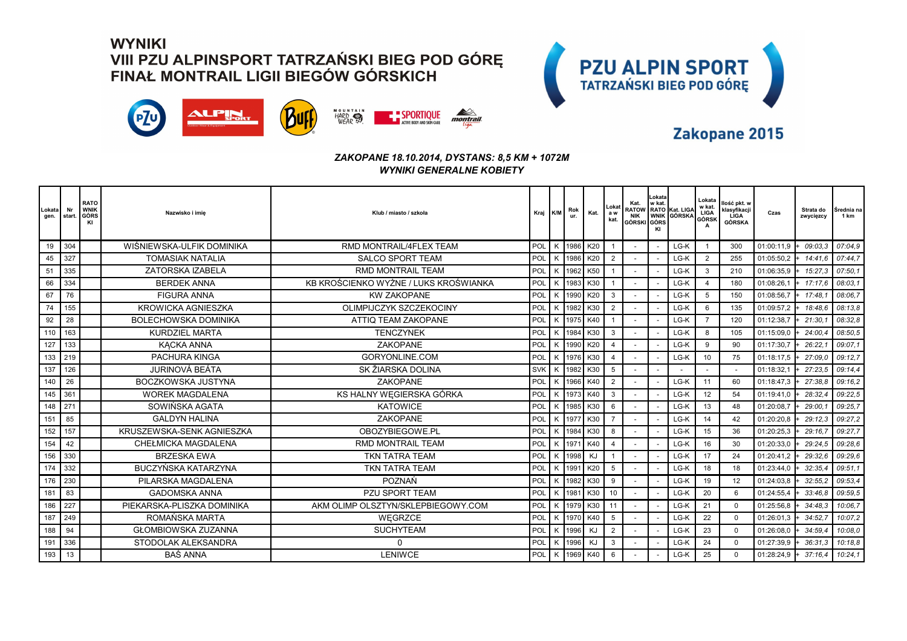



### Zakopane 2015

#### *ZAKOPANE 18.10.2014, DYSTANS: 8,5 KM + 1072M WYNIKI GENERALNE KOBIETY*

| Lokata<br>gen. | Nr<br>start. | <b>RATO</b><br>WNIK<br>GÓRS<br>KI | Nazwisko i imie             | Klub / miasto / szkoła                | Kraj K/M   |   | Rok<br>ur. | Kat.     | Lokat<br>a w<br>kat. | Kat.<br><b>NIK</b><br>GÓRSKI GÓRS | Lokata<br>w kat.<br>KI | RATOW RATO Kat. LIGA<br>WNIK GÓRSKA | Lokata<br>w kat.<br>LIGA<br>GÓRSK<br>A | llość pkt. w<br>klasyfikacji<br><b>LIGA</b><br>GÓRSKA | Czas       | Strata do<br>zwycięzcy | Srednia na<br>1 km |
|----------------|--------------|-----------------------------------|-----------------------------|---------------------------------------|------------|---|------------|----------|----------------------|-----------------------------------|------------------------|-------------------------------------|----------------------------------------|-------------------------------------------------------|------------|------------------------|--------------------|
| 19             | 304          |                                   | WIŚNIEWSKA-ULFIK DOMINIKA   | RMD MONTRAIL/4FLEX TEAM               | POL        | K |            | 1986 K20 |                      |                                   |                        | LG-K                                | $\overline{1}$                         | 300                                                   | 01:00:11.9 | 09:03.3                | 07:04.9            |
| 45             | 327          |                                   | <b>TOMASIAK NATALIA</b>     | <b>SALCO SPORT TEAM</b>               | POL        |   | 1986       | K20      | $\overline{2}$       |                                   |                        | LG-K                                | $\overline{2}$                         | 255                                                   | 01:05:50,2 | 14:41.6                | 07:44.7            |
| 51             | 335          |                                   | ZATORSKA IZABELA            | <b>RMD MONTRAIL TEAM</b>              | POL        |   | 1962       | K50      |                      |                                   |                        | LG-K                                | 3                                      | 210                                                   | 01:06:35,9 | 15:27,3                | 07:50,1            |
| 66             | 334          |                                   | <b>BERDEK ANNA</b>          | KB KROŚCIENKO WYŻNE / LUKS KROŚWIANKA | POL        | K | 1983       | K30      |                      |                                   |                        | LG-K                                | $\overline{4}$                         | 180                                                   | 01:08:26,1 | 17:17.6                | 08:03.1            |
| 67             | 76           |                                   | <b>FIGURA ANNA</b>          | <b>KW ZAKOPANE</b>                    | POL        | K | 1990       | K20      | 3                    |                                   |                        | LG-K                                | 5                                      | 150                                                   | 01:08:56,7 | 17:48.                 | 08:06.7            |
| 74             | 155          |                                   | <b>KROWICKA AGNIESZKA</b>   | OLIMPIJCZYK SZCZEKOCINY               | POL        |   | 1982       | K30      | $\overline{2}$       |                                   |                        | LG-K                                | 6                                      | 135                                                   | 01:09:57,2 | 18:48.6                | 08:13,8            |
| 92             | 28           |                                   | <b>BOLECHOWSKA DOMINIKA</b> | <b>ATTIQ TEAM ZAKOPANE</b>            | POL        |   | 1975       | K40      |                      |                                   |                        | LG-K                                | $\overline{7}$                         | 120                                                   | 01:12:38,7 | 21:30.                 | 08:32.8            |
| 110            | 163          |                                   | <b>KURDZIEL MARTA</b>       | <b>TENCZYNEK</b>                      | POL        | K | 1984       | K30      | 3                    |                                   |                        | LG-K                                | 8                                      | 105                                                   | 01:15:09,0 | 24:00.4                | 08:50,5            |
| 127            | 133          |                                   | KĄCKA ANNA                  | ZAKOPANE                              | POL        |   | 1990       | K20      | $\overline{4}$       |                                   |                        | LG-K                                | 9                                      | 90                                                    | 01:17:30.7 | 26:22.                 | 09:07.1            |
| 133            | 219          |                                   | PACHURA KINGA               | <b>GORYONLINE.COM</b>                 | POL        |   | 1976       | K30      | $\overline{4}$       |                                   |                        | LG-K                                | 10                                     | 75                                                    | 01:18:17,5 | 27:09.0                | 09:12.7            |
| 137            | 126          |                                   | JURINOVÁ BEÁTA              | SK ŽIARSKA DOLINA                     | <b>SVK</b> | K | 1982       | K30      | 5                    |                                   |                        |                                     |                                        |                                                       | 01:18:32,1 | 27:23.5                | 09:14.4            |
| 140            | 26           |                                   | <b>BOCZKOWSKA JUSTYNA</b>   | <b>ZAKOPANE</b>                       | POL        | K | 1966 K40   |          | $\overline{2}$       |                                   |                        | LG-K                                | 11                                     | 60                                                    | 01:18:47,3 | 27:38.8                | 09:16.2            |
| 145            | 361          |                                   | <b>WOREK MAGDALENA</b>      | KS HALNY WĘGIERSKA GÓRKA              | POL        |   | 1973       | K40      | 3                    |                                   |                        | LG-K                                | 12                                     | 54                                                    | 01:19:41,0 | 28:32.4                | 09:22.5            |
| 148            | 271          |                                   | SOWIŃSKA AGATA              | <b>KATOWICE</b>                       | POL        |   | 1985       | K30      | 6                    |                                   |                        | LG-K                                | 13                                     | 48                                                    | 01:20:08,7 | 29:00.                 | 09:25.7            |
| 151            | 85           |                                   | <b>GALDYN HALINA</b>        | <b>ZAKOPANE</b>                       | POL        |   | 1977       | K30      | $\overline{7}$       |                                   |                        | LG-K                                | 14                                     | 42                                                    | 01:20:20,8 | 29:12.3                | 09:27,2            |
| 152            | 157          |                                   | KRUSZEWSKA-SENK AGNIESZKA   | OBOZYBIEGOWE.PL                       | POL        | K | 1984       | K30      | 8                    |                                   |                        | LG-K                                | 15                                     | 36                                                    | 01:20:25,3 | 29:16.7                | 09:27.7            |
| 154            | 42           |                                   | <b>CHEŁMICKA MAGDALENA</b>  | <b>RMD MONTRAIL TEAM</b>              | POL        |   | 11971      | K40      | $\overline{4}$       |                                   |                        | LG-K                                | 16                                     | 30                                                    | 01:20:33.0 | 29:24.5                | 09:28.6            |
| 156            | 330          |                                   | <b>BRZESKA EWA</b>          | <b>TKN TATRA TEAM</b>                 | POL        | K | 1998       | KJ       |                      |                                   |                        | LG-K                                | 17                                     | 24                                                    | 01:20:41.2 | 29:32.6                | 09:29.6            |
| 174            | 332          |                                   | BUCZYŃSKA KATARZYNA         | <b>TKN TATRA TEAM</b>                 | POL        |   | 1991       | K20      | 5                    |                                   |                        | LG-K                                | 18                                     | 18                                                    | 01:23:44,0 | 32:35.4                | 09:51.1            |
| 176            | 230          |                                   | PILARSKA MAGDALENA          | POZNAŃ                                | POL        | ĸ | 1982       | K30      | 9                    |                                   |                        | LG-K                                | 19                                     | 12                                                    | 01:24:03,8 | 32:55.2                | 09:53.4            |
| 181            | 83           |                                   | <b>GADOMSKA ANNA</b>        | <b>PZU SPORT TEAM</b>                 | POL        |   | 1981       | K30      | 10                   |                                   |                        | LG-K                                | 20                                     | 6                                                     | 01:24:55,4 | 33:46.8                | 09:59,5            |
| 186            | 227          |                                   | PIEKARSKA-PLISZKA DOMINIKA  | AKM OLIMP OLSZTYN/SKLEPBIEGOWY.COM    | POL        | K | 1979       | K30      | 11                   |                                   |                        | LG-K                                | 21                                     | $\Omega$                                              | 01:25:56,8 | 34:48.3                | 10:06,7            |
| 187            | 249          |                                   | ROMAŃSKA MARTA              | WEGRZCE                               | POL        |   | 1970       | K40      | 5                    |                                   |                        | LG-K                                | 22                                     | $\Omega$                                              | 01:26:01,3 | 34:52.7                | 10:07,2            |
| 188            | 94           |                                   | <b>GŁOMBIOWSKA ZUZANNA</b>  | <b>SUCHYTEAM</b>                      | POL        |   | 1996       | KJ       | $\overline{2}$       |                                   |                        | LG-K                                | 23                                     | $\Omega$                                              | 01:26:08,0 | 34:59.4                | 10:08.0            |
| 191            | 336          |                                   | STODOLAK ALEKSANDRA         | $\Omega$                              | POL        | K | 1996       | KJ       | 3                    |                                   |                        | LG-K                                | 24                                     | $\Omega$                                              | 01:27:39,9 | 36:31.3                | 10:18.8            |
| 193            | 13           |                                   | <b>BAŚ ANNA</b>             | <b>LENIWCE</b>                        | POL        | K | 1969       | K40      | 6                    |                                   |                        | LG-K                                | 25                                     | $\mathbf 0$                                           | 01:28:24,9 | 37:16.4                | 10:24.1            |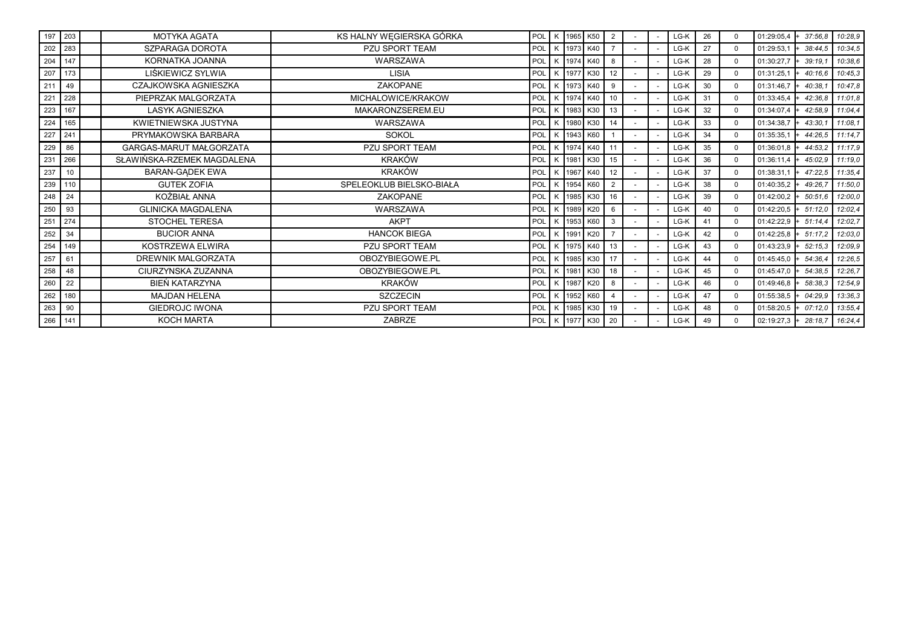| 197 203 |     | <b>MOTYKA AGATA</b>        | KS HALNY WEGIERSKA GÓRKA | POL        | K   1965 | K50        | 2  |  | LG-K | 26 | $\Omega$ | 01:29:05,4               | 37:56.8                        | 10:28.9 |
|---------|-----|----------------------------|--------------------------|------------|----------|------------|----|--|------|----|----------|--------------------------|--------------------------------|---------|
| 202 283 |     | SZPARAGA DOROTA            | <b>PZU SPORT TEAM</b>    | POL        | K 1973   | K40        |    |  | LG-K | 27 | $\Omega$ | 01:29:53,1               | 38:44.5                        | 10:34,5 |
| 204     | 147 | KORNATKA JOANNA            | WARSZAWA                 | POL        | K 1974   | K40        | 8  |  | LG-K | 28 | $\Omega$ | 01:30:27,7               | 39:19.                         | 10:38,6 |
| 207     | 173 | LIŚKIEWICZ SYLWIA          | <b>LISIA</b>             | POL        | K 1977   | K30        | 12 |  | LG-K | 29 | $\Omega$ | 01:31:25,1               | 40:16.6                        | 10:45,3 |
| 211     | 49  | CZAJKOWSKA AGNIESZKA       | <b>ZAKOPANE</b>          | POL        | K 1973   | K40        | 9  |  | LG-K | 30 | $\Omega$ | 01:31:46,7               | 40:38.1                        | 10:47,8 |
| 221     | 228 | PIEPRZAK MALGORZATA        | MICHALOWICE/KRAKOW       | POL        | K 1974   | K40        | 10 |  | LG-K | 31 | $\Omega$ | 01:33:45,4               | 42:36.8                        | 11:01,8 |
| 223     | 167 | <b>LASYK AGNIESZKA</b>     | MAKARONZSEREM.EU         | POL        | K 1983   | K30        | 13 |  | LG-K | 32 | $\Omega$ | 01:34:07,4               | 42:58.9                        | 11:04,4 |
| 224     | 165 | KWIETNIEWSKA JUSTYNA       | WARSZAWA                 | POL        | K 1980   | K30        | 14 |  | LG-K | 33 | $\Omega$ | 01:34:38,7               | 43:30.1                        | 11:08,1 |
| 227     | 241 | PRYMAKOWSKA BARBARA        | SOKOL                    | POL        | K   1943 | K60        |    |  | LG-K | 34 | $\Omega$ | 01:35:35,1               | 44:26.5                        | 11:14.7 |
| 229     | 86  | GARGAS-MARUT MAŁGORZATA    | <b>PZU SPORT TEAM</b>    | POL        | K   1974 | K40        |    |  | LG-K | 35 | $\Omega$ | 01:36:01.8               | 44:53.2                        | 11:17,9 |
| 231     | 266 | SŁAWIŃSKA-RZEMEK MAGDALENA | <b>KRAKÓW</b>            | POL        | K 1981   | K30        | 15 |  | LG-K | 36 | $\Omega$ | 01:36:11,4               | 45:02.9                        | 11:19,0 |
| 237     | 10  | <b>BARAN-GADEK EWA</b>     | <b>KRAKÓW</b>            | POL        | K   1967 | K40        | 12 |  | LG-K | 37 | $\Omega$ | 01:38:31.1               | 47:22.5                        | 11:35.4 |
| 239 110 |     | <b>GUTEK ZOFIA</b>         | SPELEOKLUB BIELSKO-BIAŁA | POL        | K   1954 | K60        | 2  |  | LG-K | 38 | $\Omega$ | $01:40:35.2$ +           | 49:26.7                        | 11:50,0 |
| 248     | 24  | KOŻBIAŁ ANNA               | ZAKOPANE                 | POL        | K 1985   | K30        | 16 |  | LG-K | 39 | $\Omega$ | 01:42:00,2               | 50:51.6                        | 12:00.0 |
| 250     | 93  | <b>GLINICKA MAGDALENA</b>  | WARSZAWA                 | POL        | K 1989   | K20        | 6  |  | LG-K | 40 | $\Omega$ | $01:42:20.5$ + $51:12.0$ |                                | 12:02,4 |
| 251     | 274 | STOCHEL TERESA             | AKPT                     | POL        | K 1953   | K60        | 3  |  | LG-K | 41 | $\Omega$ | 01:42:22,9               | 51:14.4                        | 12:02,7 |
| 252     | 34  | <b>BUCIOR ANNA</b>         | <b>HANCOK BIEGA</b>      | POL        | K 1991   | K20        |    |  | LG-K | 42 | $\Omega$ | $01:42:25.8$ +           | 51:17.2                        | 12:03,0 |
| 254     | 149 | KOSTRZEWA ELWIRA           | <b>PZU SPORT TEAM</b>    | POL        | K 1975   | K40        | 13 |  | LG-K | 43 | $\Omega$ | $01:43:23.9$ +           | 52:15.3                        | 12:09,9 |
| 257     | 61  | DREWNIK MALGORZATA         | OBOZYBIEGOWE.PL          | POL        | K 1985   | K30        | 17 |  | LG-K | 44 | $\Omega$ | $01:45:45.0$ +           | 54:36.4                        | 12:26,5 |
| 258     | 48  | CIURZYNSKA ZUZANNA         | OBOZYBIEGOWE.PL          | POL        | K 1981   | K30        | 18 |  | LG-K | 45 | $\Omega$ | 01:45:47.0               | 54:38.5                        | 12:26,7 |
| 260     | 22  | BIEŃ KATARZYNA             | <b>KRAKÓW</b>            | POL        | K 1987   | K20        | 8  |  | LG-K | 46 | $\Omega$ | 01:49:46,8               | 58:38.3                        | 12:54.9 |
| 262     | 180 | <b>MAJDAN HELENA</b>       | <b>SZCZECIN</b>          | POL        | K   1952 | K60        |    |  | LG-K | 47 | $\Omega$ | $01:55:38.5$ +           | 04:29.9                        | 13:36,3 |
| 263     | 90  | <b>GIEDROJC IWONA</b>      | PZU SPORT TEAM           | POL        | K 1985   | K30        | 19 |  | LG-K | 48 | $\Omega$ | 01:58:20,5               | 07:12.0                        | 13:55,4 |
| 266 141 |     | KOCH MARTA                 | ZABRZE                   | <b>POL</b> |          | K 1977 K30 | 20 |  | LG-K | 49 | $\Omega$ |                          | $02:19:27,3$ + 28:18,7 16:24,4 |         |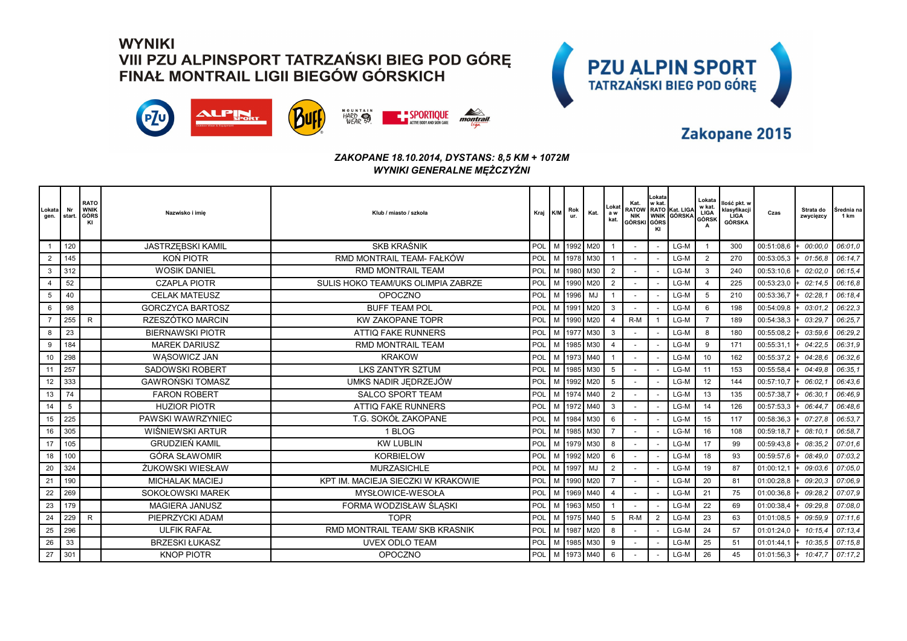



### Zakopane 2015

#### *ZAKOPANE 18.10.2014, DYSTANS: 8,5 KM + 1072M WYNIKI GENERALNE MĘŻCZYŹNI*

| _okata<br>gen. | Nr<br>start | <b>RATO</b><br><b>WNIK</b><br>GÓRS<br>KI | Nazwisko i imie          | Klub / miasto / szkoła             | Kraj K/M |   | Rok<br>ur. | Kat.             | Lokat<br>a w<br>kat. | Kat.<br><b>NIK</b><br>GÓRSKI GÓRS | Lokata<br>w kat. | RATOW RATO Kat. LIGA<br><b>WNIK GÓRSKA</b> | Lokata<br>w kat.<br>LIGA<br>GÓRSK<br>A | llość pkt. w<br>klasyfikacji<br>LIGA<br>GÓRSKA | Czas       | Strata do<br>zwycięzcy | Srednia na<br>1 km |
|----------------|-------------|------------------------------------------|--------------------------|------------------------------------|----------|---|------------|------------------|----------------------|-----------------------------------|------------------|--------------------------------------------|----------------------------------------|------------------------------------------------|------------|------------------------|--------------------|
|                | 120         |                                          | <b>JASTRZEBSKI KAMIL</b> | <b>SKB KRAŚNIK</b>                 | POL      |   |            | M 1992 M20       |                      |                                   |                  | LG-M                                       | $\overline{\phantom{0}}$               | 300                                            | 00:51:08,6 | 00:00.0                | 06:01.0            |
|                | 145         |                                          | KON PIOTR                | RMD MONTRAIL TEAM- FAŁKÓW          | POL      | M |            | 1978 M30         |                      |                                   |                  | LG-M                                       | 2                                      | 270                                            | 00:53:05,3 | 01:56.8                | 06:14,7            |
| 3              | 312         |                                          | <b>WOSIK DANIEL</b>      | <b>RMD MONTRAIL TEAM</b>           | POL      |   |            | 1980 M30         | $\overline{2}$       |                                   |                  | LG-M                                       | $\mathbf{3}$                           | 240                                            | 00:53:10,6 | 02:02.0                | 06:15.4            |
|                | 52          |                                          | <b>CZAPLA PIOTR</b>      | SULIS HOKO TEAM/UKS OLIMPIA ZABRZE | POL      | M |            | 1990 M20         | $\overline{2}$       |                                   |                  | LG-M                                       | $\overline{4}$                         | 225                                            | 00:53:23.0 | 02:14.5                | 06:16.8            |
| 5              | 40          |                                          | <b>CELAK MATEUSZ</b>     | <b>OPOCZNO</b>                     | POL      | M | 1996       | MJ               |                      |                                   |                  | LG-M                                       | 5                                      | 210                                            | 00:53:36,7 | 02:28.                 | 06:18.4            |
| 6              | 98          |                                          | <b>GORCZYCA BARTOSZ</b>  | <b>BUFF TEAM POL</b>               | POL      |   | 1991       | M20              | 3                    |                                   |                  | $LG-M$                                     | 6                                      | 198                                            | 00:54:09.8 | 03:01.                 | 06:22,3            |
|                | 255         | $\mathsf{R}$                             | RZESZÓTKO MARCIN         | <b>KW ZAKOPANE TOPR</b>            | POL      |   | 1990       | M20              |                      | $R-M$                             |                  | LG-M                                       | $\overline{7}$                         | 189                                            | 00:54:38,3 | 03:29.                 | 06:25.7            |
| 8              | 23          |                                          | <b>BIERNAWSKI PIOTR</b>  | <b>ATTIQ FAKE RUNNERS</b>          | POL      | M | 1977       | $\mathsf{I}$ M30 | 3                    |                                   |                  | $LG-M$                                     | 8                                      | 180                                            | 00:55:08,2 | 03:59.6                | 06:29,2            |
| 9              | 184         |                                          | <b>MAREK DARIUSZ</b>     | <b>RMD MONTRAIL TEAM</b>           | POL      |   | 1985       | M30              | $\overline{4}$       |                                   |                  | LG-M                                       | 9                                      | 171                                            | 00:55:31,1 | 04:22.5                | 06:31.9            |
| 10             | 298         |                                          | WASOWICZ JAN             | <b>KRAKOW</b>                      | POL      |   |            | 1973 M40         |                      |                                   |                  | LG-M                                       | 10                                     | 162                                            | 00:55:37,2 | 04:28.6                | 06:32.6            |
| 11             | 257         |                                          | <b>SADOWSKI ROBERT</b>   | <b>LKS ZANTYR SZTUM</b>            | POL      |   | 1985       | M30              | 5                    |                                   |                  | LG-M                                       | 11                                     | 153                                            | 00:55:58,4 | 04:49.8                | 06:35.1            |
| 12             | 333         |                                          | <b>GAWROŃSKI TOMASZ</b>  | UMKS NADIR JĘDRZEJÓW               | POL      |   |            | 1992 M20         | 5                    |                                   |                  | LG-M                                       | 12                                     | 144                                            | 00:57:10,7 | 06:02.                 | 06:43.6            |
| 13             | 74          |                                          | <b>FARON ROBERT</b>      | <b>SALCO SPORT TEAM</b>            | POL      | м | 1974       | M40              | $\overline{2}$       |                                   |                  | LG-M                                       | 13                                     | 135                                            | 00:57:38,7 | 06:30.                 | 06:46.9            |
| 14             | 5           |                                          | <b>HUZIOR PIOTR</b>      | <b>ATTIQ FAKE RUNNERS</b>          | POL      |   |            | M 1972 M40       | 3                    |                                   |                  | LG-M                                       | 14                                     | 126                                            | 00:57:53,3 | 06:44.                 | 06:48,6            |
| 15             | 225         |                                          | PAWSKI WAWRZYNIEC        | T.G. SOKÓŁ ZAKOPANE                | POL      |   | 1984       | M30              | 6                    |                                   |                  | LG-M                                       | 15                                     | 117                                            | 00:58:36,3 | 07:27.8                | 06:53,7            |
| 16             | 305         |                                          | WIŚNIEWSKI ARTUR         | 1 BLOG                             | POL      |   |            | M   1985   M30   |                      |                                   |                  | LG-M                                       | 16                                     | 108                                            | 00:59:18,7 | 08:10.                 | 06:58.7            |
| 17             | 105         |                                          | <b>GRUDZIEŃ KAMIL</b>    | <b>KW LUBLIN</b>                   | POL      |   |            | 1979 M30         | 8                    |                                   |                  | LG-M                                       | 17                                     | 99                                             | 00:59:43,8 | 08:35.2                | 07:01.6            |
| 18             | 100         |                                          | <b>GÓRA SŁAWOMIR</b>     | <b>KORBIELOW</b>                   | POL      |   | M 1992     | M20              | 6                    |                                   |                  | LG-M                                       | 18                                     | 93                                             | 00:59:57,6 | 08:49.0                | 07:03.2            |
| 20             | 324         |                                          | ŻUKOWSKI WIESŁAW         | <b>MURZASICHLE</b>                 | POL      |   | 1997       | MJ               | $\overline{2}$       |                                   |                  | LG-M                                       | 19                                     | 87                                             | 01:00:12,1 | 09:03.6                | 07:05,0            |
| 21             | 190         |                                          | <b>MICHALAK MACIEJ</b>   | KPT IM. MACIEJA SIECZKI W KRAKOWIE | POL      |   | 1990       | M20              | $\overline{7}$       |                                   |                  | LG-M                                       | 20                                     | 81                                             | 01:00:28,8 | 09:20.3                | 07:06.9            |
| 22             | 269         |                                          | <b>SOKOŁOWSKI MAREK</b>  | MYSŁOWICE-WESOŁA                   | POL      |   |            | 1969 M40         |                      |                                   |                  | LG-M                                       | 21                                     | 75                                             | 01:00:36,8 | 09:28.2                | 07:07.9            |
| 23             | 179         |                                          | MAGIERA JANUSZ           | FORMA WODZISŁAW ŚLĄSKI             | POL      |   | 1963       | M50              |                      |                                   |                  | LG-M                                       | 22                                     | 69                                             | 01:00:38,4 | 09:29.8                | 07:08,0            |
| 24             | 229         | ${\sf R}$                                | PIEPRZYCKI ADAM          | <b>TOPR</b>                        | POL      |   |            | M   1975   M40   | 5                    | $R-M$                             | 2                | LG-M                                       | 23                                     | 63                                             | 01:01:08,5 | 09:59.9                | 07:11.6            |
| 25             | 296         |                                          | <b>ULFIK RAFAŁ</b>       | RMD MONTRAIL TEAM/ SKB KRASNIK     | POL      |   | 1987       | M20              | 8                    |                                   |                  | LG-M                                       | 24                                     | 57                                             | 01:01:24,0 | 10:15.                 | 07:13.4            |
| 26             | 33          |                                          | <b>BRZESKI ŁUKASZ</b>    | <b>UVEX ODLO TEAM</b>              | POL      |   |            | M   1985   M30   | 9                    |                                   |                  | LG-M                                       | 25                                     | 51                                             | 01:01:44,1 | 10:35.5                | 07:15.8            |
| 27             | 301         |                                          | <b>KNOP PIOTR</b>        | <b>OPOCZNO</b>                     | POL      |   |            | M   1973   M40   | 6                    |                                   |                  | LG-M                                       | 26                                     | 45                                             | 01:01:56,3 | 10:47.7                | 07:17,2            |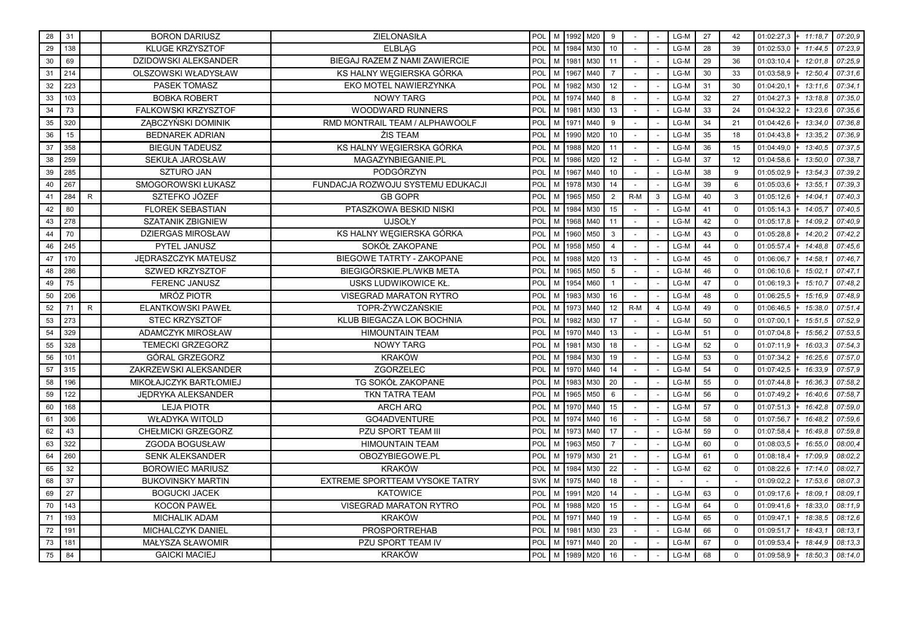| 28 | 31  |              | <b>BORON DARIUSZ</b>      | ZIELONASIŁA                       | POL        |   |      | M 1992 M20 | 9              |        |   | LG-M   | 27 | 42           | 01:02:27,3<br>$+ 11:18.7$ | 07:20.9 |
|----|-----|--------------|---------------------------|-----------------------------------|------------|---|------|------------|----------------|--------|---|--------|----|--------------|---------------------------|---------|
| 29 | 138 |              | <b>KLUGE KRZYSZTOF</b>    | <b>ELBLAG</b>                     | POL        |   |      | M 1984 M30 | 10             |        |   | LG-M   | 28 | 39           | 01:02:53,0<br>11:44.5     | 07:23.9 |
| 30 | 69  |              | DZIDOWSKI ALEKSANDER      | BIEGAJ RAZEM Z NAMI ZAWIERCIE     | POL        | M | 1981 | M30        | 11             |        |   | LG-M   | 29 | 36           | 01:03:10,4<br>12:01,8     | 07:25,9 |
| 31 | 214 |              | OLSZOWSKI WŁADYSŁAW       | KS HALNY WEGIERSKA GÓRKA          | POL        | M |      | 1967 M40   | $\overline{7}$ |        |   | LG-M   | 30 | 33           | 01:03:58,9<br>12:50.4     | 07:31.6 |
| 32 | 223 |              | PASEK TOMASZ              | EKO MOTEL NAWIERZYNKA             | POL        | M |      | 1982 M30   | 12             |        |   | LG-M   | 31 | 30           | 13:11.6<br>01:04:20,1     | 07:34.1 |
| 33 | 103 |              | <b>BOBKA ROBERT</b>       | <b>NOWY TARG</b>                  | POL        | M |      | 1974 M40   | 8              |        |   | LG-M   | 32 | 27           | 13:18.8<br>01:04:27,3     | 07:35,0 |
| 34 | 73  |              | FALKOWSKI KRZYSZTOF       | <b>WOODWARD RUNNERS</b>           | POL        | M | 1981 | M30        | 13             |        |   | LG-M   | 33 | 24           | 13:23.6<br>01:04:32.2     | 07:35,6 |
| 35 | 320 |              | ZĄBCZYŃSKI DOMINIK        | RMD MONTRAIL TEAM / ALPHAWOOLF    | POL        | M | 1971 | M40        | 9              |        |   | LG-M   | 34 | 21           | 01:04:42,6<br>13:34.0     | 07:36.8 |
| 36 | 15  |              | <b>BEDNAREK ADRIAN</b>    | ŻIS TEAM                          | POL        | M | 1990 | M20        | 10             |        |   | LG-M   | 35 | 18           | 01:04:43,8<br>13:35.2     | 07:36.9 |
| 37 | 358 |              | <b>BIEGUN TADEUSZ</b>     | KS HALNY WEGIERSKA GÓRKA          | POL        | M | 1988 | M20        | 11             | $\sim$ |   | LG-M   | 36 | 15           | 13:40.5<br>01:04:49,0     | 07:37,5 |
| 38 | 259 |              | SEKUŁA JAROSŁAW           | MAGAZYNBIEGANIE.PL                | POL        | M | 1986 | M20        | 12             |        |   | LG-M   | 37 | 12           | 01:04:58,6<br>13:50.0     | 07:38,7 |
| 39 | 285 |              | <b>SZTURO JAN</b>         | PODGÓRZYN                         | POL        | M |      | 1967 M40   | 10             |        |   | LG-M   | 38 | 9            | 13:54.3<br>01:05:02,9     | 07:39,2 |
| 40 | 267 |              | SMOGOROWSKI ŁUKASZ        | FUNDACJA ROZWOJU SYSTEMU EDUKACJI | POL        | M | 1978 | M30        | 14             |        |   | LG-M   | 39 | 6            | 13:55.1<br>01:05:03,6     | 07:39.3 |
| 41 | 284 | R.           | SZTEFKO JÓZEF             | <b>GB GOPR</b>                    | POL        | M | 1965 | M50        | $\overline{2}$ | $R-M$  | 3 | LG-M   | 40 | $\mathbf{3}$ | 14:04.1<br>01:05:12,6     | 07:40.3 |
| 42 | 80  |              | <b>FLOREK SEBASTIAN</b>   | PTASZKOWA BESKID NISKI            | POL        | M | 1984 | M30        | 15             |        |   | LG-M   | 41 | $\mathbf 0$  | 01:05:14,3<br>14:05.7     | 07:40,5 |
| 43 | 278 |              | <b>SZATANIK ZBIGNIEW</b>  | <b>UJSOŁY</b>                     | POL        | M | 1968 | M40        | 11             |        |   | LG-M   | 42 | $\mathbf 0$  | 01:05:17,8<br>14:09,2     | 07:40,9 |
| 44 | 70  |              | <b>DZIERGAS MIROSŁAW</b>  | KS HALNY WEGIERSKA GÓRKA          | POL        | M | 1960 | M50        | 3              |        |   | LG-M   | 43 | $\mathbf 0$  | 01:05:28,8<br>14:20.2     | 07:42.2 |
| 46 | 245 |              | PYTEL JANUSZ              | SOKÓŁ ZAKOPANE                    | POL        | M | 1958 | M50        | $\overline{4}$ |        |   | LG-M   | 44 | $\mathbf 0$  | 14:48.8<br>01:05:57,4     | 07:45.6 |
| 47 | 170 |              | JEDRASZCZYK MATEUSZ       | BIEGOWE TATRTY - ZAKOPANE         | POL        | M | 1988 | M20        | 13             |        |   | LG-M   | 45 | $\mathbf 0$  | 01:06:06,7<br>14:58.1     | 07:46.7 |
| 48 | 286 |              | SZWED KRZYSZTOF           | BIEGIGÓRSKIE.PL/WKB META          | POL        | M |      | 1965 M50   | 5              |        |   | LG-M   | 46 | $\mathbf 0$  | 15:02.1<br>01:06:10,6     | 07:47.1 |
| 49 | 75  |              | <b>FERENC JANUSZ</b>      | USKS LUDWIKOWICE KŁ               | POL        | M |      | 1954 M60   |                |        |   | LG-M   | 47 | $\Omega$     | 01:06:19,3<br>15:10,7     | 07:48.2 |
| 50 | 206 |              | MRÓZ PIOTR                | <b>VISEGRAD MARATON RYTRO</b>     | POL        | M | 1983 | M30        | 16             |        |   | LG-M   | 48 | $\mathbf 0$  | 01:06:25,5<br>15:16.9     | 07:48.9 |
| 52 | 71  | $\mathsf{R}$ | ELANTKOWSKI PAWEŁ         | TOPR-ŻYWCZAŃSKIE                  | POL        | M |      | 1973 M40   | 12             | $R-M$  | 4 | LG-M   | 49 | $\mathbf 0$  | 15:38.0<br>01:06:46,5     | 07:51.4 |
| 53 | 273 |              | STEC KRZYSZTOF            | KLUB BIEGACZA LOK BOCHNIA         | POL        | M | 1982 | M30        | 17             |        |   | LG-M   | 50 | $\mathbf 0$  | 15:51.5<br>01:07:00,1     | 07:52.9 |
| 54 | 329 |              | ADAMCZYK MIROSŁAW         | <b>HIMOUNTAIN TEAM</b>            | POL        | M |      | 1970 M40   | 13             |        |   | LG-M   | 51 | $\Omega$     | 15:56.2<br>01:07:04,8     | 07:53,5 |
| 55 | 328 |              | <b>TEMECKI GRZEGORZ</b>   | <b>NOWY TARG</b>                  | POL        | M | 1981 | M30        | 18             |        |   | LG-M   | 52 | $\mathbf 0$  | 01:07:11,9<br>16:03.3     | 07:54.3 |
| 56 | 101 |              | GÓRAL GRZEGORZ            | <b>KRAKÓW</b>                     | POL        | M |      | 1984 M30   | 19             |        |   | LG-M   | 53 | $\mathbf 0$  | 01:07:34,2<br>16:25.6     | 07:57.0 |
| 57 | 315 |              | ZAKRZEWSKI ALEKSANDER     | ZGORZELEC                         | POL        | M | 1970 | M40        | 14             |        |   | LG-M   | 54 | $\mathbf 0$  | 01:07:42,5<br>16:33.9     | 07:57,9 |
| 58 | 196 |              | MIKOŁAJCZYK BARTŁOMIEJ    | TG SOKÓŁ ZAKOPANE                 | POL        | M | 1983 | M30        | 20             |        |   | LG-M   | 55 | $\mathbf 0$  | 01:07:44,8<br>16:36.3     | 07:58,2 |
| 59 | 122 |              | JEDRYKA ALEKSANDER        | <b>TKN TATRA TEAM</b>             | POL        | M | 1965 | M50        | 6              |        |   | $LG-M$ | 56 | $\Omega$     | 01:07:49,2<br>16:40,6     | 07:58,7 |
| 60 | 168 |              | <b>LEJA PIOTR</b>         | <b>ARCH ARQ</b>                   | POL        | M |      | 1970 M40   | 15             |        |   | LG-M   | 57 | $\mathbf 0$  | 16:42.8<br>01:07:51,3     | 07:59.0 |
| 61 | 306 |              | <b>WŁADYKA WITOLD</b>     | GO4ADVENTURE                      | POL        | M | 1974 | M40        | 16             |        |   | LG-M   | 58 | $\mathbf 0$  | 16:48.2<br>01:07:56,7     | 07:59.6 |
| 62 | 43  |              | <b>CHEŁMICKI GRZEGORZ</b> | PZU SPORT TEAM III                | POL        | M | 1973 | M40        | 17             |        |   | LG-M   | 59 | $\mathbf 0$  | 16:49.8<br>01:07:58,4     | 07:59.8 |
| 63 | 322 |              | ZGODA BOGUSŁAW            | <b>HIMOUNTAIN TEAM</b>            | POL        | M | 1963 | M50        | $\overline{7}$ |        |   | LG-M   | 60 | $\mathbf 0$  | 16:55.0<br>01:08:03,5     | 08:00,4 |
| 64 | 260 |              | <b>SENK ALEKSANDER</b>    | OBOZYBIEGOWE.PL                   | POL        | M |      | 1979 M30   | 21             |        |   | LG-M   | 61 | $\mathbf 0$  | 17:09.9<br>01:08:18,4     | 08:02.2 |
| 65 | 32  |              | <b>BOROWIEC MARIUSZ</b>   | <b>KRAKÓW</b>                     | POL        | M | 1984 | M30        | 22             |        |   | LG-M   | 62 | $\mathbf 0$  | 01:08:22,6<br>17:14.0     | 08:02.7 |
| 68 | 37  |              | <b>BUKOVINSKY MARTIN</b>  | EXTREME SPORTTEAM VYSOKE TATRY    | <b>SVK</b> | M | 1975 | M40        | 18             |        |   |        |    | $\sim$       | 17:53.6<br>01:09:02,2     | 08:07,3 |
| 69 | 27  |              | <b>BOGUCKI JACEK</b>      | <b>KATOWICE</b>                   | POL        | M | 1991 | M20        | 14             |        |   | LG-M   | 63 | $\mathbf 0$  | 01:09:17,6<br>18:09.1     | 08:09.1 |
| 70 | 143 |              | KOCOŃ PAWEŁ               | VISEGRAD MARATON RYTRO            | POL        | M | 1988 | M20        | 15             |        |   | LG-M   | 64 | $\mathbf 0$  | 01:09:41,6<br>18:33.0     | 08:11.9 |
| 71 | 193 |              | <b>MICHALIK ADAM</b>      | <b>KRAKÓW</b>                     | POL        | M | 1971 | M40        | 19             |        |   | LG-M   | 65 | $\mathbf 0$  | 18:38.5<br>01:09:47,1     | 08:12.6 |
| 72 | 191 |              | MICHALCZYK DANIEL         | <b>PROSPORTREHAB</b>              | POL        | M | 1981 | M30        | 23             |        |   | LG-M   | 66 | $\mathbf 0$  | 18:43.1<br>01:09:51,7     | 08:13.1 |
| 73 | 181 |              | MAŁYSZA SŁAWOMIR          | PZU SPORT TEAM IV                 | POL        | M | 1971 | M40        | 20             |        |   | LG-M   | 67 | $\mathbf 0$  | 01:09:53,4<br>18:44.9     | 08:13.3 |
| 75 | 84  |              | <b>GAICKI MACIEJ</b>      | <b>KRAKÓW</b>                     | POL        |   |      | M 1989 M20 | 16             |        |   | $LG-M$ | 68 | $\mathbf 0$  | 18:50,3<br>01:09:58,9     | 08:14.0 |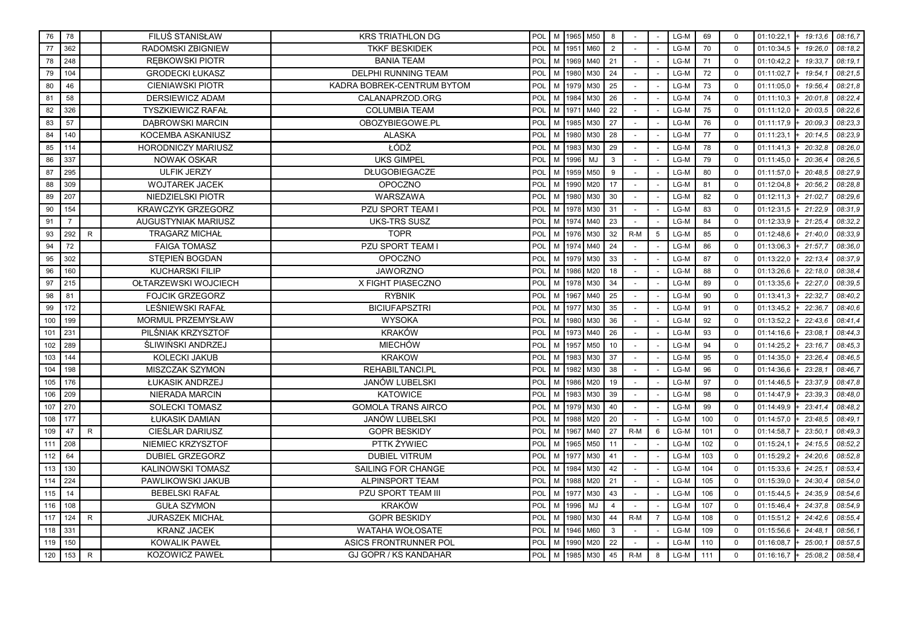| 76  | 78             |              | <b>FILUS STANISŁAW</b>     | <b>KRS TRIATHLON DG</b>      | POL |   |        | M 1965 M50 | 8  |        |                | LG-M   | 69  | $\mathbf 0$ | 01:10:22,1            | 08:16.7<br>19:13.6 |
|-----|----------------|--------------|----------------------------|------------------------------|-----|---|--------|------------|----|--------|----------------|--------|-----|-------------|-----------------------|--------------------|
| 77  | 362            |              | RADOMSKI ZBIGNIEW          | <b>TKKF BESKIDEK</b>         | POL |   | M 1951 | M60        | 2  |        |                | LG-M   | 70  | $\Omega$    | 01:10:34,5            | 19:26.0<br>08:18.2 |
| 78  | 248            |              | <b>REBKOWSKI PIOTR</b>     | <b>BANIA TEAM</b>            | POL | M |        | 1969 M40   | 21 |        |                | LG-M   | 71  | $\mathbf 0$ | 01:10:42,2            | 08:19,1<br>19:33.7 |
| 79  | 104            |              | <b>GRODECKI ŁUKASZ</b>     | <b>DELPHI RUNNING TEAM</b>   | POL | M |        | 1980 M30   | 24 |        |                | LG-M   | 72  | $\mathbf 0$ | 01:11:02,7            | 08:21.5<br>19:54.1 |
| 80  | 46             |              | <b>CIENIAWSKI PIOTR</b>    | KADRA BOBREK-CENTRUM BYTOM   | POL | M | 1979   | M30        | 25 |        |                | LG-M   | 73  | $\mathbf 0$ | 01:11:05,0            | 08:21.8<br>19:56.4 |
| 81  | 58             |              | <b>DERSIEWICZ ADAM</b>     | CALANAPRZOD.ORG              | POL | M |        | 1984 M30   | 26 |        |                | LG-M   | 74  | $\Omega$    | 01:11:10,3            | 20:01.8<br>08:22,4 |
| 82  | 326            |              | <b>TYSZKIEWICZ RAFAŁ</b>   | <b>COLUMBIA TEAM</b>         | POL | M | 1971   | M40        | 22 |        |                | LG-M   | 75  | $\mathbf 0$ | 01:11:12,0            | 08:22.6<br>20:03.5 |
| 83  | 57             |              | <b>DABROWSKI MARCIN</b>    | OBOZYBIEGOWE.PL              | POL | M |        | 1985 M30   | 27 |        |                | LG-M   | 76  | $\mathbf 0$ | 01:11:17,9            | 20:09.3<br>08:23.3 |
| 84  | 140            |              | KOCEMBA ASKANIUSZ          | <b>ALASKA</b>                | POL | M | 1980   | M30        | 28 |        |                | LG-M   | 77  | $\mathbf 0$ | 01:11:23,1            | 20:14.5<br>08:23.9 |
| 85  | 114            |              | <b>HORODNICZY MARIUSZ</b>  | ŁÓDŹ                         | POL | M | 1983   | M30        | 29 |        |                | LG-M   | 78  | $\Omega$    | 01:11:41,3            | 20:32.8<br>08:26,0 |
| 86  | 337            |              | <b>NOWAK OSKAR</b>         | <b>UKS GIMPEL</b>            | POL | M | 1996   | MJ         | 3  |        |                | LG-M   | 79  | $\mathbf 0$ | 01:11:45,0            | 08:26.5<br>20:36.4 |
| 87  | 295            |              | <b>ULFIK JERZY</b>         | DŁUGOBIEGACZE                | POL | M |        | 1959 M50   | 9  |        |                | LG-M   | 80  | $\mathbf 0$ | 01:11:57,0            | 20:48.5<br>08:27.9 |
| 88  | 309            |              | <b>WOJTAREK JACEK</b>      | <b>OPOCZNO</b>               | POL | M | 1990   | M20        | 17 |        |                | LG-M   | 81  | $\mathbf 0$ | 01:12:04,8            | 20:56.2<br>08:28,8 |
| 89  | 207            |              | NIEDZIELSKI PIOTR          | WARSZAWA                     | POL | M | 1980   | M30        | 30 |        |                | LG-M   | 82  | $\Omega$    | 01:12:11,3            | 08:29,6<br>21:02.7 |
| 90  | 154            |              | <b>KRAWCZYK GRZEGORZ</b>   | <b>PZU SPORT TEAM I</b>      | POL | M | 1978   | M30        | 31 |        |                | LG-M   | 83  | $\mathbf 0$ | 01:12:31,5            | 21:22.9<br>08:31.9 |
| 91  | $\overline{7}$ |              | <b>AUGUSTYNIAK MARIUSZ</b> | <b>UKS-TRS SUSZ</b>          | POL | M |        | 1974 M40   | 23 |        |                | LG-M   | 84  | $\mathbf 0$ | 01:12:33,9            | 21:25.4<br>08:32.2 |
| 93  | 292            | $\mathsf{R}$ | <b>TRAGARZ MICHAŁ</b>      | <b>TOPR</b>                  | POL | M | 1976   | M30        | 32 | $R-M$  | 5              | LG-M   | 85  | $\mathbf 0$ | 01:12:48,6            | 08:33,9<br>21:40,0 |
| 94  | 72             |              | <b>FAIGA TOMASZ</b>        | <b>PZU SPORT TEAM I</b>      | POL | M | 1974   | M40        | 24 |        |                | LG-M   | 86  | $\mathbf 0$ | 01:13:06,3            | 21:57.7<br>08:36.0 |
| 95  | 302            |              | STEPIEN BOGDAN             | <b>OPOCZNO</b>               | POL | M | 1979   | M30        | 33 |        |                | LG-M   | 87  | $\mathbf 0$ | 01:13:22,0            | 22:13.4<br>08:37.9 |
| 96  | 160            |              | <b>KUCHARSKI FILIP</b>     | <b>JAWORZNO</b>              | POL | M |        | 1986 M20   | 18 |        |                | LG-M   | 88  | $\mathbf 0$ | 01:13:26,6            | 08:38,4<br>22:18,0 |
| 97  | 215            |              | OŁTARZEWSKI WOJCIECH       | X FIGHT PIASECZNO            | POL | M | 1978   | M30        | 34 |        |                | LG-M   | 89  | $\Omega$    | 01:13:35,6            | 22:27,0<br>08:39,5 |
| 98  | 81             |              | <b>FOJCIK GRZEGORZ</b>     | <b>RYBNIK</b>                | POL | M | 1967   | M40        | 25 |        |                | LG-M   | 90  | $\Omega$    | 01:13:41,3            | 22:32.7<br>08:40.2 |
| 99  | 172            |              | LEŚNIEWSKI RAFAŁ           | <b>BICIUFAPSZTRI</b>         | POL | M | 1977   | M30        | 35 |        |                | LG-M   | 91  | $\mathbf 0$ | 01:13:45,2            | 08:40.6<br>22:36.7 |
| 100 | 199            |              | MORMUL PRZEMYSŁAW          | <b>WYSOKA</b>                | POL | M |        | 1980 M30   | 36 |        |                | LG-M   | 92  | $\mathbf 0$ | 01:13:52,2            | 08:41,4<br>22:43,6 |
| 101 | 231            |              | PILŚNIAK KRZYSZTOF         | <b>KRAKÓW</b>                | POL | M |        | 1973 M40   | 26 |        |                | LG-M   | 93  | $\Omega$    | 01:14:16,6<br>23:08.1 | 08:44.3            |
| 102 | 289            |              | ŚLIWIŃSKI ANDRZEJ          | <b>MIECHÓW</b>               | POL | M | 1957   | M50        | 10 |        |                | LG-M   | 94  | $\mathbf 0$ | 01:14:25,2<br>23:16.7 | 08:45.3            |
| 103 | 144            |              | KOLECKI JAKUB              | <b>KRAKOW</b>                | POL | M | 1983   | M30        | 37 |        |                | LG-M   | 95  | $\mathbf 0$ | 01:14:35,0            | 23:26.4<br>08:46.5 |
| 104 | 198            |              | MISZCZAK SZYMON            | REHABILTANCI.PL              | POL | M |        | 1982 M30   | 38 |        |                | LG-M   | 96  | $\mathbf 0$ | 23:28.1<br>01:14:36,6 | 08:46.7            |
| 105 | 176            |              | ŁUKASIK ANDRZEJ            | <b>JANÓW LUBELSKI</b>        | POL | M |        | 1986 M20   | 19 |        |                | LG-M   | 97  | $\Omega$    | 01:14:46.5            | 23:37.9<br>08:47.8 |
| 106 | 209            |              | <b>NIERADA MARCIN</b>      | <b>KATOWICE</b>              | POL | M | 1983   | M30        | 39 |        |                | LG-M   | 98  | $\mathbf 0$ | 01:14:47,9            | 23:39.3<br>08:48.0 |
| 107 | 270            |              | <b>SOLECKI TOMASZ</b>      | <b>GOMOLA TRANS AIRCO</b>    | POL | M | 1979   | M30        | 40 |        |                | LG-M   | 99  | $\mathbf 0$ | 01:14:49,9            | 23:41.4<br>08:48.2 |
| 108 | 177            |              | ŁUKASIK DAMIAN             | <b>JANÓW LUBELSKI</b>        | POL | M | 1988   | M20        | 20 |        |                | LG-M   | 100 | $\mathbf 0$ | 01:14:57,0            | 23:48,5<br>08:49.1 |
| 109 | 47             | R            | <b>CIEŚLAR DARIUSZ</b>     | <b>GOPR BESKIDY</b>          | POL | M | 1967   | M40        | 27 | $R-M$  | 6              | LG-M   | 101 | $\Omega$    | 01:14:58,7<br>23:50.1 | 08:49.3            |
| 111 | 208            |              | NIEMIEC KRZYSZTOF          | PTTK ŻYWIEC                  | POL | M | 1965   | M50        | 11 |        |                | LG-M   | 102 | $\mathbf 0$ | 01:15:24,1            | 08:52.2<br>24:15.5 |
| 112 | 64             |              | <b>DUBIEL GRZEGORZ</b>     | <b>DUBIEL VITRUM</b>         | POL | M | 1977   | M30        | 41 |        |                | LG-M   | 103 | $\mathbf 0$ | 01:15:29,2            | 24:20.6<br>08:52.8 |
| 113 | 130            |              | <b>KALINOWSKI TOMASZ</b>   | SAILING FOR CHANGE           | POL | M | 1984   | M30        | 42 |        |                | LG-M   | 104 | $\mathbf 0$ | 01:15:33,6<br>24:25.7 | 08:53,4            |
| 114 | 224            |              | PAWLIKOWSKI JAKUB          | <b>ALPINSPORT TEAM</b>       | POL | M | 1988   | M20        | 21 | $\sim$ |                | LG-M   | 105 | $\Omega$    | 01:15:39,0            | 08:54,0<br>24:30.4 |
| 115 | 14             |              | <b>BEBELSKI RAFAŁ</b>      | PZU SPORT TEAM III           | POL | M | 1977   | M30        | 43 |        |                | LG-M   | 106 | $\mathbf 0$ | 01:15:44,5            | 24:35.9<br>08:54.6 |
| 116 | 108            |              | <b>GUŁA SZYMON</b>         | <b>KRAKÓW</b>                | POL | M | 1996   | MJ         | 4  |        |                | LG-M   | 107 | $\mathbf 0$ | 01:15:46,4            | 24:37.8<br>08:54,9 |
| 117 | 124            | $\mathsf{R}$ | <b>JURASZEK MICHAŁ</b>     | <b>GOPR BESKIDY</b>          | POL | M | 1980   | M30        | 44 | $R-M$  | $\overline{7}$ | LG-M   | 108 | $\Omega$    | 01:15:51,2            | 08:55,4<br>24:42,6 |
| 118 | 331            |              | <b>KRANZ JACEK</b>         | <b>WATAHA WOŁOSATE</b>       | POL | M | 1946   | M60        | 3  |        |                | LG-M   | 109 | $\Omega$    | 01:15:56,6            | 24:48.1<br>08:56.1 |
| 119 | 150            |              | <b>KOWALIK PAWEŁ</b>       | ASICS FRONTRUNNER POL        | POL | M | 1990   | M20        | 22 |        |                | LG-M   | 110 | $\mathbf 0$ | 01:16:08,7            | 08:57.5<br>25:00.1 |
| 120 | 153            | $\mathsf{R}$ | <b>KOZOWICZ PAWEŁ</b>      | <b>GJ GOPR / KS KANDAHAR</b> | POL |   |        | M 1985 M30 | 45 | $R-M$  | 8              | $LG-M$ | 111 | $\Omega$    | 01:16:16,7            | 08:58.4<br>25:08,2 |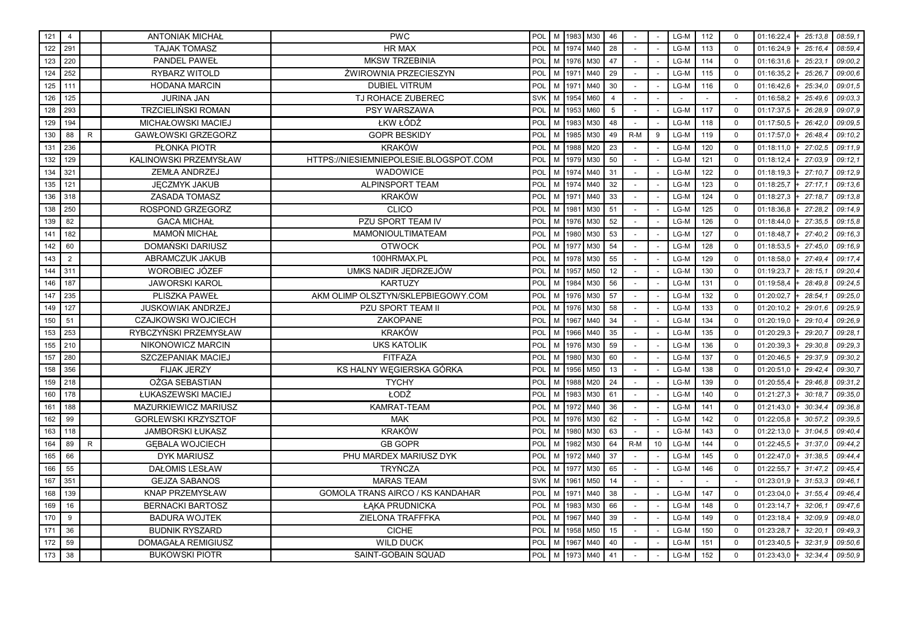| 121 | $\overline{4}$ |              | <b>ANTONIAK MICHAŁ</b>     | <b>PWC</b>                             | POL        |   |      | M   1983   M30 | 46             |       |                 | LG-M | 112 | $\mathbf 0$ | 01:16:22,4<br>$+ 25:13,8$ | 08:59,1 |
|-----|----------------|--------------|----------------------------|----------------------------------------|------------|---|------|----------------|----------------|-------|-----------------|------|-----|-------------|---------------------------|---------|
| 122 | 291            |              | <b>TAJAK TOMASZ</b>        | <b>HR MAX</b>                          | POL        | M | 1974 | M40            | 28             |       |                 | LG-M | 113 | $\mathbf 0$ | 01:16:24,9<br>25:16.4     | 08:59,4 |
| 123 | 220            |              | <b>PANDEL PAWEŁ</b>        | <b>MKSW TRZEBINIA</b>                  | POL        | M | 1976 | M30            | 47             |       |                 | LG-M | 114 | $\Omega$    | 01:16:31,6<br>25:23,7     | 09:00,2 |
| 124 | 252            |              | RYBARZ WITOLD              | ŻWIROWNIA PRZECIESZYN                  | POL        | M | 1971 | M40            | 29             |       |                 | LG-M | 115 | $\Omega$    | 01:16:35,2<br>25:26.7     | 09:00.6 |
| 125 | 111            |              | <b>HODANA MARCIN</b>       | <b>DUBIEL VITRUM</b>                   | POL        | M | 1971 | M40            | 30             |       |                 | LG-M | 116 | $\mathbf 0$ | 01:16:42,6<br>25:34.0     | 09:01.5 |
| 126 | 125            |              | <b>JURINA JAN</b>          | TJ ROHACE ZUBEREC                      | <b>SVK</b> | M | 1954 | M60            | $\overline{4}$ |       |                 |      |     |             | 01:16:58,2<br>25:49.6     | 09:03.3 |
| 128 | 293            |              | <b>TRZCIELIŃSKI ROMAN</b>  | PSY WARSZAWA                           | POL        | M | 1953 | M60            | 5              |       |                 | LG-M | 117 | $\mathbf 0$ | 26:28.9<br>01:17:37,5     | 09:07.9 |
| 129 | 194            |              | MICHAŁOWSKI MACIEJ         | ŁKW ŁÓDŹ                               | POL        | M | 1983 | M30            | 48             |       |                 | LG-M | 118 | $\Omega$    | 01:17:50.5<br>26:42.0     | 09:09.5 |
| 130 | 88             | $\mathsf{R}$ | <b>GAWŁOWSKI GRZEGORZ</b>  | <b>GOPR BESKIDY</b>                    | POL        | M | 1985 | M30            | 49             | $R-M$ | 9               | LG-M | 119 | $\Omega$    | 01:17:57.0<br>26:48.4     | 09:10.2 |
| 131 | 236            |              | <b>PŁONKA PIOTR</b>        | <b>KRAKÓW</b>                          | POL        | M | 1988 | M20            | 23             |       |                 | LG-M | 120 | $\Omega$    | 27:02.5<br>01:18:11,0     | 09:11.9 |
| 132 | 129            |              | KALINOWSKI PRZEMYSŁAW      | HTTPS://NIESIEMNIEPOLESIE.BLOGSPOT.COM | POL        | M | 1979 | M30            | 50             |       |                 | LG-M | 121 | $\mathbf 0$ | 01:18:12,4<br>27:03.9     | 09:12.1 |
| 134 | 321            |              | ZEMŁA ANDRZEJ              | WADOWICE                               | POL        | M | 1974 | M40            | 31             |       |                 | LG-M | 122 | $\mathbf 0$ | 01:18:19,3<br>27:10.7     | 09:12.9 |
| 135 | 121            |              | <b>JECZMYK JAKUB</b>       | ALPINSPORT TEAM                        | POL        | M | 1974 | M40            | 32             |       |                 | LG-M | 123 | $\Omega$    | 01:18:25,7<br>27:17.1     | 09:13.6 |
| 136 | 318            |              | <b>ZASADA TOMASZ</b>       | <b>KRAKÓW</b>                          | POL        | M | 1971 | M40            | 33             |       |                 | LG-M | 124 | $\Omega$    | 27:18.7<br>01:18:27,3     | 09:13.8 |
| 138 | 250            |              | <b>ROSPOND GRZEGORZ</b>    | <b>CLICO</b>                           | POL        | M | 1981 | M30            | 51             |       |                 | LG-M | 125 | $\Omega$    | 01:18:36,8<br>27:28.2     | 09:14.9 |
| 139 | 82             |              | <b>GACA MICHAŁ</b>         | PZU SPORT TEAM IV                      | POL        | M | 1976 | M30            | 52             |       |                 | LG-M | 126 | $\mathbf 0$ | 27:35.5<br>01:18:44,0     | 09:15.8 |
| 141 | 182            |              | <b>MAMOŃ MICHAŁ</b>        | <b>MAMONIOULTIMATEAM</b>               | POL        | M | 1980 | M30            | 53             |       |                 | LG-M | 127 | $\mathbf 0$ | 01:18:48,7<br>27:40.2     | 09:16.3 |
| 142 | 60             |              | DOMAŃSKI DARIUSZ           | <b>OTWOCK</b>                          | POL        | M | 1977 | M30            | 54             |       |                 | LG-M | 128 | $\Omega$    | 01:18:53,5<br>27:45,0     | 09:16.9 |
| 143 | 2              |              | ABRAMCZUK JAKUB            | 100HRMAX.PL                            | POL        | M | 1978 | M30            | 55             |       |                 | LG-M | 129 | $\mathbf 0$ | 01:18:58,0<br>27:49.4     | 09:17.4 |
| 144 | 311            |              | WOROBIEC JÓZEF             | UMKS NADIR JEDRZEJÓW                   | POL        | M | 1957 | M50            | 12             |       |                 | LG-M | 130 | $\mathbf 0$ | 01:19:23,7<br>28:15.1     | 09:20,4 |
| 146 | 187            |              | <b>JAWORSKI KAROL</b>      | <b>KARTUZY</b>                         | POL        | M | 1984 | M30            | 56             |       |                 | LG-M | 131 | $\Omega$    | 01:19:58,4<br>28:49.8     | 09:24.5 |
| 147 | 235            |              | PLISZKA PAWEŁ              | AKM OLIMP OLSZTYN/SKLEPBIEGOWY.COM     | POL        | M | 1976 | M30            | 57             |       |                 | LG-M | 132 | $\mathbf 0$ | 01:20:02,7<br>28:54.1     | 09:25.0 |
| 149 | 127            |              | <b>JUSKOWIAK ANDRZEJ</b>   | PZU SPORT TEAM II                      | POL        | M | 1976 | M30            | 58             |       |                 | LG-M | 133 | $\Omega$    | 01:20:10,2<br>29:01.6     | 09:25.9 |
| 150 | 51             |              | <b>CZAJKOWSKI WOJCIECH</b> | <b>ZAKOPANE</b>                        | POL        | M | 1967 | M40            | 34             |       |                 | LG-M | 134 | $\mathbf 0$ | 01:20:19,0<br>29:10.4     | 09:26.9 |
| 153 | 253            |              | RYBCZYŃSKI PRZEMYSŁAW      | <b>KRAKÓW</b>                          | POL        | M | 1966 | M40            | 35             |       |                 | LG-M | 135 | $\mathbf 0$ | 01:20:29,3<br>29:20.7     | 09:28.1 |
| 155 | 210            |              | NIKONOWICZ MARCIN          | <b>UKS KATOLIK</b>                     | POL        | M | 1976 | M30            | 59             |       |                 | LG-M | 136 | $\mathbf 0$ | 29:30.8<br>01:20:39,3     | 09:29.3 |
| 157 | 280            |              | SZCZEPANIAK MACIEJ         | <b>FITFAZA</b>                         | POL        | M | 1980 | M30            | 60             |       |                 | LG-M | 137 | $\mathbf 0$ | 01:20:46,5<br>29:37.9     | 09:30.2 |
| 158 | 356            |              | <b>FIJAK JERZY</b>         | KS HALNY WĘGIERSKA GÓRKA               | POL        | M | 1956 | M50            | 13             |       |                 | LG-M | 138 | $\Omega$    | 01:20:51,0<br>29:42.4     | 09:30.7 |
| 159 | 218            |              | OŻGA SEBASTIAN             | <b>TYCHY</b>                           | POL        | M | 1988 | M20            | 24             |       |                 | LG-M | 139 | $\Omega$    | 01:20:55,4<br>29:46.8     | 09:31.2 |
| 160 | 178            |              | ŁUKASZEWSKI MACIEJ         | ŁODŹ                                   | POL        | M | 1983 | M30            | 61             |       |                 | LG-M | 140 | $\mathbf 0$ | 01:21:27,3<br>30:18.7     | 09:35.0 |
| 161 | 188            |              | MAZURKIEWICZ MARIUSZ       | KAMRAT-TEAM                            | POL        | M | 1972 | M40            | 36             |       |                 | LG-M | 141 | $\mathbf 0$ | 30:34.4<br>01:21:43,0     | 09:36.8 |
| 162 | 99             |              | <b>GORLEWSKI KRZYSZTOF</b> | <b>MAK</b>                             | POL        | M | 1976 | M30            | 62             |       |                 | LG-M | 142 | $\mathbf 0$ | 01:22:05,8<br>30:57.2     | 09:39.5 |
| 163 | 118            |              | <b>JAMBORSKI ŁUKASZ</b>    | <b>KRAKÓW</b>                          | POL        | M | 1980 | M30            | 63             |       |                 | LG-M | 143 | $\Omega$    | 01:22:13,0<br>31:04,5     | 09:40,4 |
| 164 | 89             | $\mathsf{R}$ | <b>GEBALA WOJCIECH</b>     | <b>GB GOPR</b>                         | POL        | M | 1982 | M30            | 64             | $R-M$ | 10 <sup>1</sup> | LG-M | 144 | $\Omega$    | 01:22:45,5<br>31:37.0     | 09:44,2 |
| 165 | 66             |              | <b>DYK MARIUSZ</b>         | PHU MARDEX MARIUSZ DYK                 | <b>POL</b> | M | 1972 | M40            | 37             |       |                 | LG-M | 145 | $\mathbf 0$ | 31:38.5<br>01:22:47,0     | 09:44,4 |
| 166 | 55             |              | <b>DAŁOMIS LESŁAW</b>      | <b>TRYŃCZA</b>                         | POL        | M | 1977 | M30            | 65             |       |                 | LG-M | 146 | $\mathbf 0$ | 01:22:55,7<br>31:47.2     | 09:45,4 |
| 167 | 351            |              | <b>GEJZA SABANOS</b>       | <b>MARAS TEAM</b>                      | <b>SVK</b> | M | 1961 | M50            | 14             |       |                 |      |     |             | 01:23:01,9<br>$-31:53,3$  | 09:46.1 |
| 168 | 139            |              | <b>KNAP PRZEMYSŁAW</b>     | GOMOLA TRANS AIRCO / KS KANDAHAR       | POL        | M | 1971 | M40            | 38             |       |                 | LG-M | 147 | $\mathbf 0$ | 01:23:04,0<br>31:55,4     | 09:46,4 |
| 169 | 16             |              | <b>BERNACKI BARTOSZ</b>    | ŁĄKA PRUDNICKA                         | POL        | M | 1983 | M30            | 66             |       |                 | LG-M | 148 | $\Omega$    | 01:23:14,7<br>32:06.1     | 09:47.6 |
| 170 | 9              |              | <b>BADURA WOJTEK</b>       | ZIELONA TRAFFFKA                       | POL        | M | 1967 | M40            | 39             |       |                 | LG-M | 149 | $\Omega$    | 32:09.9<br>01:23:18,4     | 09:48.0 |
| 171 | 36             |              | <b>BUDNIK RYSZARD</b>      | <b>CICHE</b>                           | POL        | M | 1958 | M50            | 15             |       |                 | LG-M | 150 | $\mathbf 0$ | 32:20.1<br>01:23:28,7     | 09:49.3 |
| 172 | 59             |              | DOMAGAŁA REMIGIUSZ         | <b>WILD DUCK</b>                       | <b>POL</b> | M | 1967 | M40            | 40             |       |                 | LG-M | 151 | $\mathbf 0$ | 01:23:40,5<br>32:31.9     | 09:50.6 |
| 173 | 38             |              | <b>BUKOWSKI PIOTR</b>      | <b>SAINT-GOBAIN SQUAD</b>              | POL        | M | 1973 | M40            | 41             |       |                 | LG-M | 152 | $\Omega$    | 32:34,4<br>01:23:43,0     | 09:50.9 |
|     |                |              |                            |                                        |            |   |      |                |                |       |                 |      |     |             |                           |         |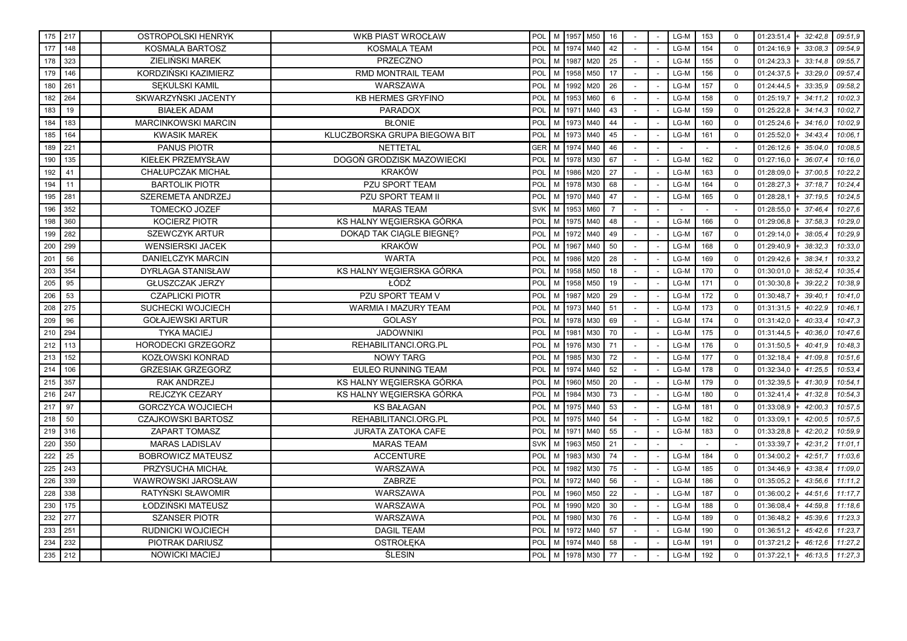|     | 175 217 | OSTROPOLSKI HENRYK         | <b>WKB PIAST WROCŁAW</b>      | POL        |   |      | M 1957 M50 | 16             |        | LG-M   | 153    | $\mathbf 0$ | 01:23:51,4<br>32:42.8 | 09:51,9 |
|-----|---------|----------------------------|-------------------------------|------------|---|------|------------|----------------|--------|--------|--------|-------------|-----------------------|---------|
| 177 | 148     | KOSMALA BARTOSZ            | <b>KOSMALA TEAM</b>           | POL        | M |      | 1974 M40   | 42             |        | LG-M   | 154    | $\mathbf 0$ | 01:24:16,9<br>33:08.3 | 09:54.9 |
| 178 | 323     | ZIELIŃSKI MAREK            | PRZECZNO                      | POL        | M | 1987 | M20        | 25             |        | LG-M   | 155    | $\Omega$    | 33:14.8<br>01:24:23,3 | 09:55,7 |
| 179 | 146     | KORDZIŃSKI KAZIMIERZ       | RMD MONTRAIL TEAM             | POL        | M |      | 1958 M50   | 17             |        | LG-M   | 156    | $\mathbf 0$ | 01:24:37,5<br>33:29.0 | 09:57.4 |
| 180 | 261     | SEKULSKI KAMIL             | <b>WARSZAWA</b>               | POL        | M | 1992 | M20        | 26             |        | LG-M   | 157    | $\mathbf 0$ | 01:24:44,5<br>33:35.9 | 09:58.2 |
| 182 | 264     | SKWARZYŃSKI JACENTY        | <b>KB HERMES GRYFINO</b>      | POL        | M | 1953 | M60        | $6\phantom{1}$ |        | LG-M   | 158    | $\mathbf 0$ | 01:25:19,7<br>34:11.2 | 10:02,3 |
| 183 | 19      | <b>BIAŁEK ADAM</b>         | <b>PARADOX</b>                | POL        | M | 1971 | M40        | 43             |        | LG-M   | 159    | $\Omega$    | 01:25:22,8<br>34:14.3 | 10:02,7 |
| 184 | 183     | <b>MARCINKOWSKI MARCIN</b> | <b>BŁONIE</b>                 | POL        | M | 1973 | M40        | 44             |        | LG-M   | 160    | $\mathbf 0$ | 01:25:24,6<br>34:16.0 | 10:02.9 |
| 185 | 164     | <b>KWASIK MAREK</b>        | KLUCZBORSKA GRUPA BIEGOWA BIT | POL        | M | 1973 | M40        | 45             |        | LG-M   | 161    | $\mathbf 0$ | 01:25:52,0<br>34:43.4 | 10:06.1 |
| 189 | 221     | PANUS PIOTR                | <b>NETTETAL</b>               | GER        | M | 1974 | M40        | 46             | $\sim$ | $\sim$ | $\sim$ | $\sim$      | 01:26:12,6<br>35:04.0 | 10:08.5 |
| 190 | 135     | KIEŁEK PRZEMYSŁAW          | DOGOŃ GRODZISK MAZOWIECKI     | POL        | M | 1978 | M30        | 67             |        | LG-M   | 162    | $\mathbf 0$ | 01:27:16,0<br>36:07.4 | 10:16,0 |
| 192 | 41      | <b>CHAŁUPCZAK MICHAŁ</b>   | <b>KRAKÓW</b>                 | POL        | M | 1986 | M20        | 27             |        | LG-M   | 163    | $\Omega$    | 37:00,5<br>01:28:09,0 | 10:22,2 |
| 194 | 11      | <b>BARTOLIK PIOTR</b>      | PZU SPORT TEAM                | POL        | M | 1978 | M30        | 68             |        | LG-M   | 164    | $\Omega$    | 01:28:27,3<br>37:18.7 | 10:24,4 |
| 195 | 281     | SZEREMETA ANDRZEJ          | PZU SPORT TEAM II             | POL        | M | 1970 | M40        | 47             |        | LG-M   | 165    | $\mathbf 0$ | 01:28:28,1<br>37:19.5 | 10:24,5 |
| 196 | 352     | <b>TOMECKO JOZEF</b>       | <b>MARAS TEAM</b>             | SVK        | M | 1953 | M60        | $\overline{7}$ |        |        |        |             | 37:46.4<br>01:28:55,0 | 10:27,6 |
| 198 | 360     | <b>KOCIERZ PIOTR</b>       | KS HALNY WĘGIERSKA GÓRKA      | POL        | M | 1975 | M40        | 48             |        | LG-M   | 166    | $\mathbf 0$ | 37:58,3<br>01:29:06,8 | 10:29,0 |
| 199 | 282     | <b>SZEWCZYK ARTUR</b>      | DOKĄD TAK CIĄGLE BIEGNĘ?      | POL        | M | 1972 | M40        | 49             |        | LG-M   | 167    | $\Omega$    | 01:29:14,0<br>38:05.4 | 10:29.9 |
| 200 | 299     | <b>WENSIERSKI JACEK</b>    | <b>KRAKÓW</b>                 | POL        | M | 1967 | M40        | 50             |        | LG-M   | 168    | $\mathbf 0$ | 01:29:40,9<br>38:32.3 | 10:33,0 |
| 201 | 56      | DANIELCZYK MARCIN          | <b>WARTA</b>                  | POL        | M | 1986 | M20        | 28             |        | LG-M   | 169    | $\mathbf 0$ | 01:29:42,6<br>38:34.1 | 10:33,2 |
| 203 | 354     | DYRLAGA STANISŁAW          | KS HALNY WĘGIERSKA GÓRKA      | POL        | M | 1958 | M50        | 18             |        | LG-M   | 170    | $\mathbf 0$ | 01:30:01,0<br>38:52.4 | 10:35,4 |
| 205 | 95      | <b>GŁUSZCZAK JERZY</b>     | ŁÓDŹ                          | POL        | M | 1958 | M50        | 19             |        | LG-M   | 171    | $\Omega$    | 39:22,2<br>01:30:30,8 | 10:38,9 |
| 206 | 53      | <b>CZAPLICKI PIOTR</b>     | PZU SPORT TEAM V              | POL        | M | 1987 | M20        | 29             |        | LG-M   | 172    | $\mathbf 0$ | 39:40.7<br>01:30:48,7 | 10:41.0 |
| 208 | 275     | SUCHECKI WOJCIECH          | WARMIA I MAZURY TEAM          | <b>POL</b> | M | 1973 | M40        | 51             |        | LG-M   | 173    | $\mathbf 0$ | 40:22.9<br>01:31:31.5 | 10:46.1 |
| 209 | 96      | <b>GOŁAJEWSKI ARTUR</b>    | <b>GOLASY</b>                 | POL        | M | 1978 | M30        | 69             |        | LG-M   | 174    | $\mathbf 0$ | 40:33.4<br>01:31:42,0 | 10:47,3 |
| 210 | 294     | <b>TYKA MACIEJ</b>         | <b>JADOWNIKI</b>              | POL        | M | 1981 | M30        | 70             |        | LG-M   | 175    | $\Omega$    | 40:36.0<br>01:31:44,5 | 10:47,6 |
| 212 | 113     | HORODECKI GRZEGORZ         | REHABILITANCI.ORG.PL          | POL        | M | 1976 | M30        | 71             |        | LG-M   | 176    | $\mathbf 0$ | 40:41.9<br>01:31:50,5 | 10:48.3 |
| 213 | 152     | KOZŁOWSKI KONRAD           | <b>NOWY TARG</b>              | POL        | M | 1985 | M30        | 72             |        | LG-M   | 177    | $\mathbf 0$ | 01:32:18,4<br>41:09.8 | 10:51,6 |
| 214 | 106     | <b>GRZESIAK GRZEGORZ</b>   | <b>EULEO RUNNING TEAM</b>     | POL        | M | 1974 | M40        | 52             |        | LG-M   | 178    | $\mathbf 0$ | 01:32:34,0<br>41:25.5 | 10:53,4 |
| 215 | 357     | <b>RAK ANDRZEJ</b>         | KS HALNY WEGIERSKA GÓRKA      | POL        | M | 1960 | M50        | 20             |        | LG-M   | 179    | $\mathbf 0$ | 01:32:39,5<br>41:30.9 | 10:54,1 |
| 216 | 247     | REJCZYK CEZARY             | KS HALNY WEGIERSKA GÓRKA      | POL        | M | 1984 | M30        | 73             |        | $LG-M$ | 180    | $\Omega$    | 01:32:41,4<br>41:32,8 | 10:54,3 |
| 217 | 97      | <b>GORCZYCA WOJCIECH</b>   | <b>KS BAŁAGAN</b>             | POL        | M | 1975 | M40        | 53             |        | LG-M   | 181    | $\mathbf 0$ | 01:33:08,9<br>42:00.3 | 10:57,5 |
| 218 | 50      | <b>CZAJKOWSKI BARTOSZ</b>  | REHABILITANCI.ORG.PL          | POL        | M | 1975 | M40        | 54             |        | LG-M   | 182    | $\mathbf 0$ | 01:33:09,1<br>42:00.5 | 10:57,5 |
| 219 | 316     | <b>ZAPART TOMASZ</b>       | <b>JURATA ZATOKA CAFE</b>     | POL        | M | 1971 | M40        | 55             |        | LG-M   | 183    | $\mathbf 0$ | 01:33:28,8<br>42:20.2 | 10:59,9 |
| 220 | 350     | <b>MARAS LADISLAV</b>      | <b>MARAS TEAM</b>             | SVK        | M | 1963 | M50        | 21             |        |        |        |             | 42:31,2<br>01:33:39,7 | 11:01,1 |
| 222 | 25      | <b>BOBROWICZ MATEUSZ</b>   | <b>ACCENTURE</b>              | <b>POL</b> | M | 1983 | M30        | 74             |        | LG-M   | 184    | $\mathbf 0$ | 01:34:00,2<br>42:51.7 | 11:03.6 |
| 225 | 243     | PRZYSUCHA MICHAŁ           | WARSZAWA                      | POL        | M | 1982 | M30        | 75             |        | LG-M   | 185    | $\Omega$    | 01:34:46,9<br>43:38.4 | 11:09.0 |
| 226 | 339     | WAWROWSKI JAROSŁAW         | ZABRZE                        | POL        | M | 1972 | M40        | 56             |        | LG-M   | 186    | $\mathbf 0$ | 43:56,6<br>01:35:05,2 | 11:11,2 |
| 228 | 338     | RATYŃSKI SŁAWOMIR          | WARSZAWA                      | POL        | M | 1960 | M50        | 22             |        | LG-M   | 187    | $\mathbf 0$ | 44:51,6<br>01:36:00,2 | 11:17,7 |
| 230 | 175     | ŁODZIŃSKI MATEUSZ          | WARSZAWA                      | POL        | M | 1990 | M20        | 30             |        | LG-M   | 188    | $\Omega$    | 01:36:08,4<br>44:59,8 | 11:18,6 |
| 232 | 277     | <b>SZANSER PIOTR</b>       | WARSZAWA                      | POL        | M | 1980 | M30        | 76             |        | LG-M   | 189    | $\Omega$    | 45:39.6<br>01:36:48,2 | 11:23.3 |
| 233 | 251     | RUDNICKI WOJCIECH          | <b>DAGIL TEAM</b>             | POL        | M | 1972 | M40        | 57             |        | LG-M   | 190    | $\mathbf 0$ | 01:36:51,2<br>45:42.6 | 11:23.7 |
| 234 | 232     | PIOTRAK DARIUSZ            | <b>OSTROŁEKA</b>              | POL        | M | 1974 | M40        | 58             |        | LG-M   | 191    | $\mathbf 0$ | 01:37:21,2<br>46:12.6 | 11:27.2 |
| 235 | 212     | <b>NOWICKI MACIEJ</b>      | <b>ŚLESIN</b>                 | POL        | M |      | 1978 M30   | 77             |        | LG-M   | 192    | $\mathbf 0$ | 01:37:22,1<br>46:13,5 | 11:27,3 |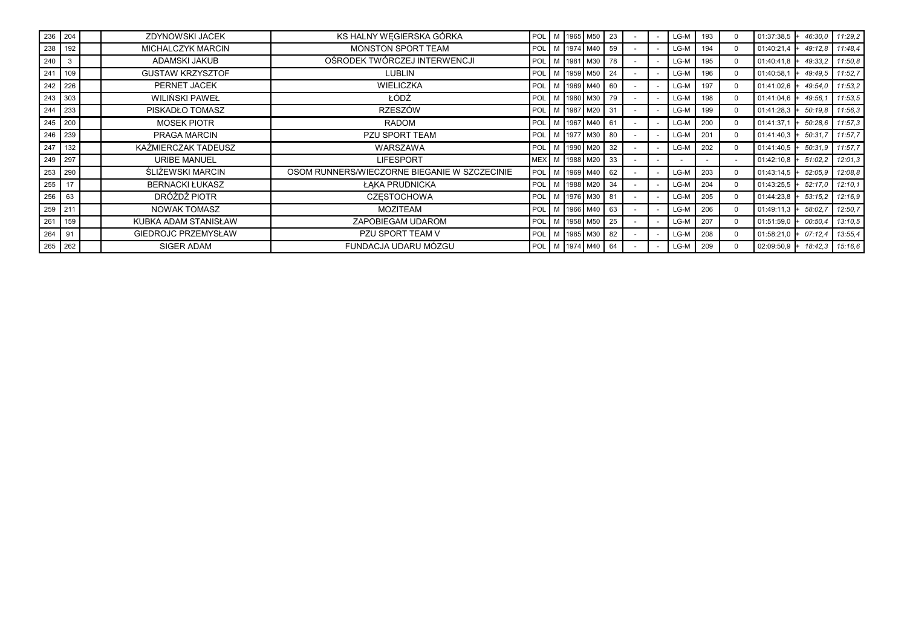|     | 236 204      | ZDYNOWSKI JACEK            | KS HALNY WEGIERSKA GÓRKA                     |     |  | POL M 1965 M50       | 23  |  | LG-M | 193 | $\Omega$ | $01:37:38.5$ + | 46:30.0 | 11:29.2         |
|-----|--------------|----------------------------|----------------------------------------------|-----|--|----------------------|-----|--|------|-----|----------|----------------|---------|-----------------|
|     | 238 192      | <b>MICHALCZYK MARCIN</b>   | MONSTON SPORT TEAM                           |     |  | POL   M   1974   M40 | 59  |  | LG-M | 194 | $\Omega$ | 01:40:21.4     | 49:12.8 | 11:48,4         |
| 240 | $\mathbf{3}$ | ADAMSKI JAKUB              | OŚRODEK TWÓRCZEJ INTERWENCJI                 |     |  | POL   M   1981   M30 | 78  |  | LG-M | 195 | $\Omega$ | 01:40:41.8     | 49:33.2 | 11:50,8         |
|     | 241 109      | <b>GUSTAW KRZYSZTOF</b>    | <b>LUBLIN</b>                                |     |  | POL   M   1959   M50 | -24 |  | LG-M | 196 | $\Omega$ | 01:40:58,1     | 49:49.5 | 11:52,7         |
|     | 242 226      | PERNET JACEK               | <b>WIELICZKA</b>                             |     |  | POL   M   1969   M40 | 60  |  | LG-M | 197 | $\Omega$ | $01:41:02.6$ + | 49:54.0 | 11:53,2         |
|     | $243$ 303    | WILIŃSKI PAWEŁ             | ŁÓDŹ                                         | POL |  | M 1980 M30           | 79  |  | LG-M | 198 | $\Omega$ | $01:41:04.6$ + | 49:56.  | 11:53,5         |
|     | 244 233      | PISKADŁO TOMASZ            | <b>RZESZÓW</b>                               |     |  | POL   M   1987   M20 | 31  |  | LG-M | 199 | $\Omega$ | $01:41:28.3$ + | 50:19.8 | 11:56,3         |
|     | 245 200      | <b>MOSEK PIOTR</b>         | <b>RADOM</b>                                 |     |  | POL   M   1967   M40 | 61  |  | LG-M | 200 | $\Omega$ | 01:41:37,1     | 50:28.6 | 11:57,3         |
|     | 246 239      | PRAGA MARCIN               | PZU SPORT TEAM                               |     |  | POL   M   1977   M30 | 80  |  | LG-M | 201 | $\Omega$ | 01:41:40,3     | 50:31.7 | 11:57,7         |
|     | 247 132      | KAŹMIERCZAK TADEUSZ        | WARSZAWA                                     |     |  | POL   M   1990   M20 | 32  |  | LG-M | 202 | $\Omega$ | $01:41:40.5$ + | 50:31.9 | 11:57,7         |
|     | 249 297      | <b>URIBE MANUEL</b>        | <b>LIFESPORT</b>                             |     |  | MEX   M   1988   M20 | 33  |  |      |     |          | 01:42:10,8     | 51:02.2 | 12:01,3         |
|     | 253 290      | ŚLIŻEWSKI MARCIN           | OSOM RUNNERS/WIECZORNE BIEGANIE W SZCZECINIE |     |  | POL   M   1969   M40 | 62  |  | LG-M | 203 | $\Omega$ | $01:43:14.5$ + | 52:05,9 | 12:08,8         |
| 255 | 17           | <b>BERNACKI ŁUKASZ</b>     | ŁAKA PRUDNICKA                               |     |  | POL   M   1988   M20 | 34  |  | LG-M | 204 | $\Omega$ | $01:43:25.5$ + | 52:17.0 | 12:10,1         |
| 256 | 63           | DRÓŻDŻ PIOTR               | <b>CZESTOCHOWA</b>                           |     |  | POL   M   1976   M30 | 81  |  | LG-M | 205 | $\Omega$ | $01:44:23.8$ + | 53:15.2 | 12:16,9         |
|     | 259 211      | <b>NOWAK TOMASZ</b>        | <b>MOZITEAM</b>                              | POL |  | M   1966   M40       | 63  |  | LG-M | 206 | $\Omega$ | $01:49:11.3$ + | 58:02,7 | 12:50,7         |
|     | 261 159      | KUBKA ADAM STANISŁAW       | ZAPOBIEGAM UDAROM                            |     |  | POL   M   1958   M50 | 25  |  | LG-M | 207 | $\Omega$ | 01:51:59,0     | 00:50,4 | 13:10,5         |
| 264 | 91           | <b>GIEDROJC PRZEMYSŁAW</b> | PZU SPORT TEAM V                             |     |  | POL   M   1985   M30 | 82  |  | LG-M | 208 | $\Omega$ | $01:58:21.0$ + | 07:12.4 | 13:55,4         |
|     | 265 262      | SIGER ADAM                 | FUNDACJA UDARU MÓZGU                         |     |  | POL M 1974 M40       | 64  |  | LG-M | 209 | $\Omega$ | $02:09:50.9$ + |         | 18:42,3 15:16,6 |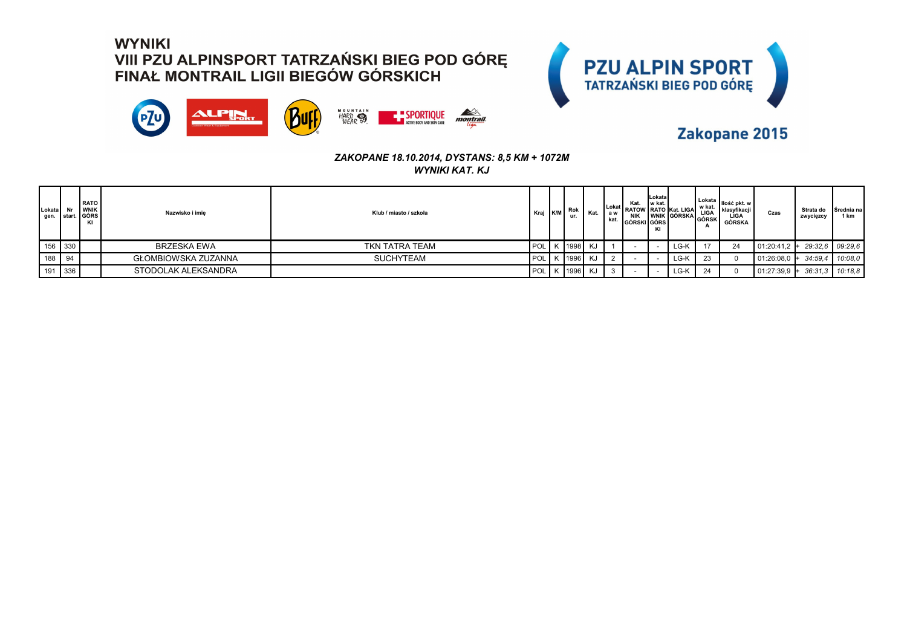



### Zakopane 2015

| Lokata<br>gen. | I star     | <b>RATO</b><br><b>WNIK</b><br>t.   GÓRS<br>KI | Nazwisko i imie            | Klub / miasto / szkoła | Kraj K/M | Rok<br>ur.    | Kat. | kat. | Kat.<br><b>NIK</b><br><b>GÓRSKI GÓRS</b> | <b>Lokatal</b><br>l w kat.<br>ΚI | Lokat RATOW RATO Kat. LIGAL<br>I WNIK I GÓRSKAI | Lokata<br>w kat.<br><b>LIGA</b><br>GÓRSK<br>$\overline{a}$ | Ilość pkt. w<br>  klasyfikacji<br>LIGA<br>GÓRSKA | Czas       | Strata do<br>zwycięzcy | Srednia na<br>1 km |
|----------------|------------|-----------------------------------------------|----------------------------|------------------------|----------|---------------|------|------|------------------------------------------|----------------------------------|-------------------------------------------------|------------------------------------------------------------|--------------------------------------------------|------------|------------------------|--------------------|
|                | 156 330    |                                               | <b>BRZESKA EWA</b>         | TKN TATRA TEAM         | POL I    | K   1998   KJ |      |      |                                          |                                  | LG-K                                            | 17                                                         | 24                                               | 01:20:41,2 | $+$ 29:32.6 09:29.6    |                    |
| 188            | $\vert$ 94 |                                               | <b>GŁOMBIOWSKA ZUZANNA</b> | <b>SUCHYTEAM</b>       | POL      | K 1996        | KJ   |      |                                          |                                  | LG-K                                            | 23                                                         |                                                  | 01:26:08.0 | 34:59.4                | 10:08.0            |
|                | 191 336    |                                               | STODOLAK ALEKSANDRA        |                        | POL I    | K 1996        | KJ   |      |                                          |                                  | LG-K                                            | 24                                                         |                                                  | 01:27:39.9 | 36:31.3                | 10:18.8            |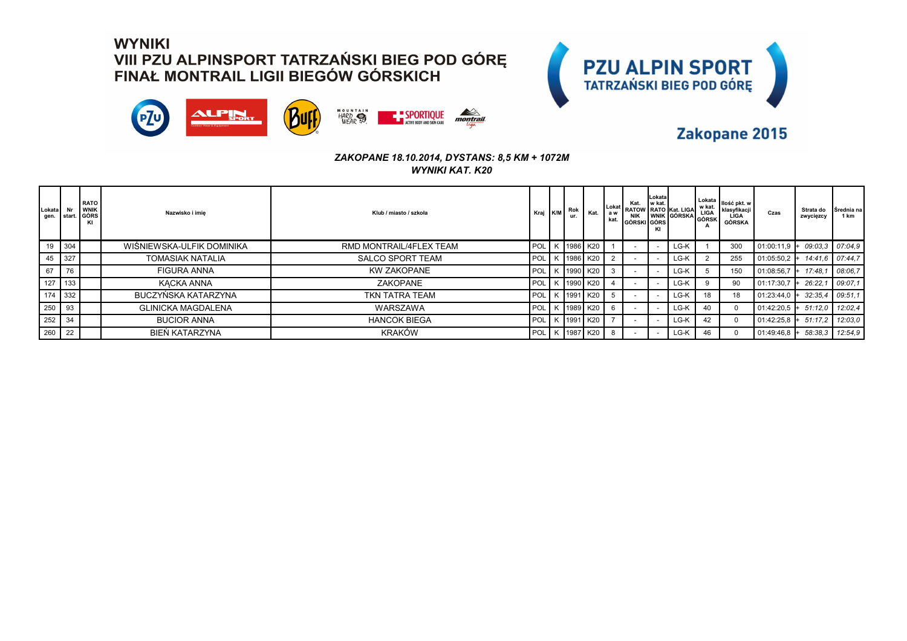



### Zakopane 2015

| Lokata Nr<br>gen. start. |      | <b>RATO</b><br><b>WNIK</b><br>GÓRS<br>KI | Nazwisko i imie           | Klub / miasto / szkoła  | Kraj             | K/M | Rok<br>ur. | Kat.       | kat. | Kat.<br><b>NIK</b><br>GÓRSKI GÓRS | Lokatal<br>I w kat.<br>KI | Lokat RATOW RATO Kat. LIGAL<br>WNIK GÓRSKA | w kat.<br>LIGA<br>GÓRSK<br>А | Lokata   <sub>Ilość pkt. w</sub> i<br>klasvfikacii<br>LIGA<br><b>GÓRSKA</b> | Czas           | Strata do<br>zwycięzcy | Srednia na<br>1 km |
|--------------------------|------|------------------------------------------|---------------------------|-------------------------|------------------|-----|------------|------------|------|-----------------------------------|---------------------------|--------------------------------------------|------------------------------|-----------------------------------------------------------------------------|----------------|------------------------|--------------------|
| 19                       | 304  |                                          | WIŚNIEWSKA-ULFIK DOMINIKA | RMD MONTRAIL/4FLEX TEAM | POL <sup>1</sup> |     | K 1986 K20 |            |      |                                   |                           | LG-K                                       |                              | 300                                                                         | 01:00:11,9     | 09:03.3                | 07:04.9            |
| 45                       | 327  |                                          | <b>TOMASIAK NATALIA</b>   | <b>SALCO SPORT TEAM</b> | POL <sup>1</sup> |     | K 1986 K20 |            |      |                                   |                           | LG-K                                       |                              | 255                                                                         | 01:05:50.2     | 14:41.6                | 07:44.7            |
| 67                       | 76   |                                          | FIGURA ANNA               | <b>KW ZAKOPANE</b>      | POL <sup>1</sup> |     | K 1990 K20 |            |      |                                   |                           | LG-K                                       |                              | 150                                                                         | 01:08:56,7     | 17:48.7                | 08:06.7            |
| 127                      | 133  |                                          | KACKA ANNA                | ZAKOPANE                | <b>POL</b>       |     | K 1990 K20 |            |      |                                   |                           | LG-K                                       |                              | 90                                                                          | 01:17:30,7     | 26:22.7                | 09:07.1            |
| 174 332                  |      |                                          | BUCZYŃSKA KATARZYNA       | TKN TATRA TEAM          | POL <sup>1</sup> |     | K 1991 K20 |            |      |                                   |                           | LG-K                                       | 18                           | 18                                                                          | 01:23:44,0     | 32:35.4                | 09:51.1            |
| 250                      | l 93 |                                          | <b>GLINICKA MAGDALENA</b> | <b>WARSZAWA</b>         | POL <sup>1</sup> |     |            | K 1989 K20 |      |                                   |                           | LG-K                                       | 40                           |                                                                             | 01:42:20.5     | 51:12.0                | 12:02.4            |
| 252                      | 34   |                                          | <b>BUCIOR ANNA</b>        | <b>HANCOK BIEGA</b>     | POL <sup>1</sup> |     | K 1991 K20 |            |      |                                   |                           | LG-K                                       | 42                           |                                                                             | 01:42:25,8     | 51:17.2                | 12:03.0            |
| 260                      | 22   |                                          | BIEŃ KATARZYNA            | <b>KRAKÓW</b>           | POL              |     | K 1987 K20 |            | -8   |                                   |                           | LG-K                                       | 46                           |                                                                             | $01:49:46.8$ + | 58:38.3                | 12:54,9            |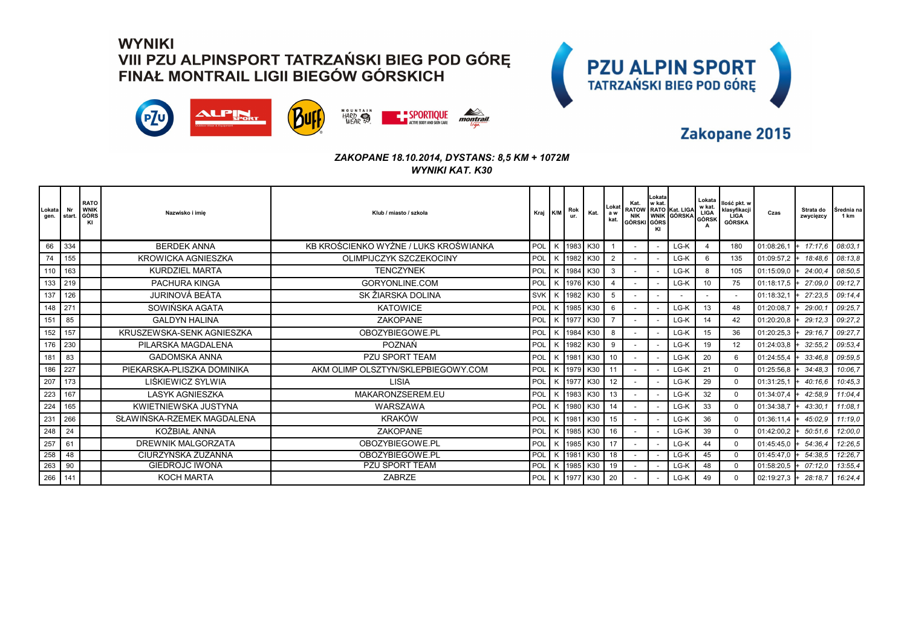



### Zakopane 2015

| <b>Lokata</b><br>gen. | Nr<br>start. | <b>RATO</b><br><b>WNIK</b><br>  GÓRS<br>KI | Nazwisko i imie            | Klub / miasto / szkoła                | Kraj K/M   | Rok      | Kat.           | Lokat<br>a w<br>kat. | Kat.<br>GÓRSKI GÓRS | Lokata<br>w kat. | Kat.   W Kat.   Kat. LIGA   W Kat.<br>  RATOW   RATO   Kat. LIGA   LIGA   K<br>  NIK   WNIK   GÓRSKA   GÓRSK | Lokata   | Ilość pkt. w<br>klasyfikacji<br>LÌGA<br>GÓRSKA | Czas                           | Strata do<br>zwycięzcy | I Srednia na<br>1 km |
|-----------------------|--------------|--------------------------------------------|----------------------------|---------------------------------------|------------|----------|----------------|----------------------|---------------------|------------------|--------------------------------------------------------------------------------------------------------------|----------|------------------------------------------------|--------------------------------|------------------------|----------------------|
| 66                    | 334          |                                            | <b>BERDEK ANNA</b>         | KB KROŚCIENKO WYŻNE / LUKS KROŚWIANKA | <b>POL</b> | K 1983   | K30            |                      |                     |                  | LG-K                                                                                                         | $\Delta$ | 180                                            | 01:08:26,1                     | $+ 17:17.6$            | 08:03.1              |
| 74                    | 155          |                                            | <b>KROWICKA AGNIESZKA</b>  | OLIMPIJCZYK SZCZEKOCINY               | POL        | K 1982   | K30            | 2                    |                     |                  | LG-K                                                                                                         | 6        | 135                                            | 01:09:57,2                     | 18:48.6                | 08:13.8              |
| 110                   | 163          |                                            | <b>KURDZIEL MARTA</b>      | <b>TENCZYNEK</b>                      | POL        | K   1984 | K30            | 3                    |                     |                  | LG-K                                                                                                         | 8        | 105                                            | 01:15:09,0                     | 24:00.4                | 08:50.5              |
| 133                   | 219          |                                            | <b>PACHURA KINGA</b>       | GORYONLINE.COM                        | POL        | K 1976   | K30            | $\overline{4}$       |                     |                  | LG-K                                                                                                         | 10       | 75                                             | 01:18:17.5                     | 27:09.0                | 09:12.7              |
| 137                   | 126          |                                            | JURINOVÁ BEÁTA             | SK ŽIARSKA DOLINA                     | <b>SVK</b> | K 1982   | K30            | 5                    |                     |                  |                                                                                                              |          |                                                | 01:18:32,1                     | 27:23.5                | 09:14.4              |
| 148                   | 271          |                                            | SOWIŃSKA AGATA             | <b>KATOWICE</b>                       | POL        | K   1985 | K30            | 6                    |                     |                  | LG-K                                                                                                         | 13       | 48                                             | 01:20:08,7                     | 29:00.                 | 09:25.7              |
| 151                   | 85           |                                            | <b>GALDYN HALINA</b>       | <b>ZAKOPANE</b>                       | POL        | K 1977   | K30            |                      |                     |                  | LG-K                                                                                                         | 14       | 42                                             | 01:20:20.8                     | 29:12.3                | 09:27.2              |
| 152                   | 157          |                                            | KRUSZEWSKA-SENK AGNIESZKA  | OBOZYBIEGOWE.PL                       | POL        | K 1984   | K30            | 8                    |                     |                  | LG-K                                                                                                         | 15       | 36                                             | $01:20:25.3$ +                 | 29:16.7                | 09:27.7              |
| 176                   | 230          |                                            | PILARSKA MAGDALENA         | <b>POZNAŃ</b>                         | POL        | K 1982   | K30            | 9                    |                     |                  | LG-K                                                                                                         | 19       | 12                                             | $01:24:03.8$ +                 | 32:55.2                | 09:53.4              |
| 181                   | 83           |                                            | <b>GADOMSKA ANNA</b>       | <b>PZU SPORT TEAM</b>                 | POL        | K 1981   | K30            | 10                   |                     |                  | LG-K                                                                                                         | 20       | 6                                              | 01:24:55,4                     | 33:46.8 09:59.5        |                      |
| 186                   | 227          |                                            | PIEKARSKA-PLISZKA DOMINIKA | AKM OLIMP OLSZTYN/SKLEPBIEGOWY.COM    | POL        | K 1979   | K30            | 11                   |                     |                  | LG-K                                                                                                         | 21       | $\Omega$                                       | 01:25:56,8                     | 34:48.3                | 10:06.7              |
| 207                   | 173          |                                            | LIŚKIEWICZ SYLWIA          | LISIA                                 | POL        | K 11977  | K30            | 12                   |                     |                  | LG-K                                                                                                         | 29       | $\Omega$                                       | 01:31:25.1                     | 40:16.6                | 10:45.3              |
| 223                   | 167          |                                            | <b>LASYK AGNIESZKA</b>     | MAKARONZSEREM.EU                      | POL        | K 1983   | K30            | 13                   |                     |                  | LG-K                                                                                                         | 32       | $\Omega$                                       | 01:34:07.4                     | 42:58.9                | 11:04.4              |
| 224                   | 165          |                                            | KWIETNIEWSKA JUSTYNA       | WARSZAWA                              | <b>POL</b> | K 1980   | K30            | 14                   |                     |                  | LG-K                                                                                                         | 33       | $\Omega$                                       | 01:34:38.7                     | 43:30.1                | 11:08.1              |
| 231                   | 266          |                                            | SŁAWIŃSKA-RZEMEK MAGDALENA | <b>KRAKÓW</b>                         | POL        | K 1981   | K30            | 15                   |                     |                  | LG-K                                                                                                         | 36       | $\Omega$                                       | 01:36:11,4                     | 45:02.9                | 11:19.0              |
| 248                   | 24           |                                            | KOŻBIAŁ ANNA               | <b>ZAKOPANE</b>                       | POL        | K 1985   | K30            | 16                   |                     |                  | LG-K                                                                                                         | 39       | $\Omega$                                       | 01:42:00,2                     | 50:51.6                | 12:00.0              |
| 257                   | 61           |                                            | DREWNIK MALGORZATA         | OBOZYBIEGOWE.PL                       | POL        | K   1985 | K30            | 17                   |                     |                  | LG-K                                                                                                         | 44       | $\Omega$                                       | 01:45:45.0                     | 54:36.4                | 12:26.5              |
| 258                   | 48           |                                            | CIURZYNSKA ZUZANNA         | OBOZYBIEGOWE.PL                       | POL        | K 1981   | K30            | 18                   |                     |                  | LG-K                                                                                                         | 45       | $\Omega$                                       | 01:45:47.0                     | 54:38.5                | 12:26.7              |
| 263                   | 90           |                                            | <b>GIEDROJC IWONA</b>      | <b>PZU SPORT TEAM</b>                 | POL        | K 1985   | K30            | 19                   |                     |                  | LG-K                                                                                                         | 48       | $\mathbf 0$                                    | 01:58:20,5                     | 07:12.0                | 13:55.4              |
| 266                   | 141          |                                            | <b>KOCH MARTA</b>          | <b>ZABRZE</b>                         | POL        |          | K   1977   K30 | 20                   |                     |                  | LG-K                                                                                                         | 49       | $\Omega$                                       | $02:19:27.3$ + 28:18.7 16:24.4 |                        |                      |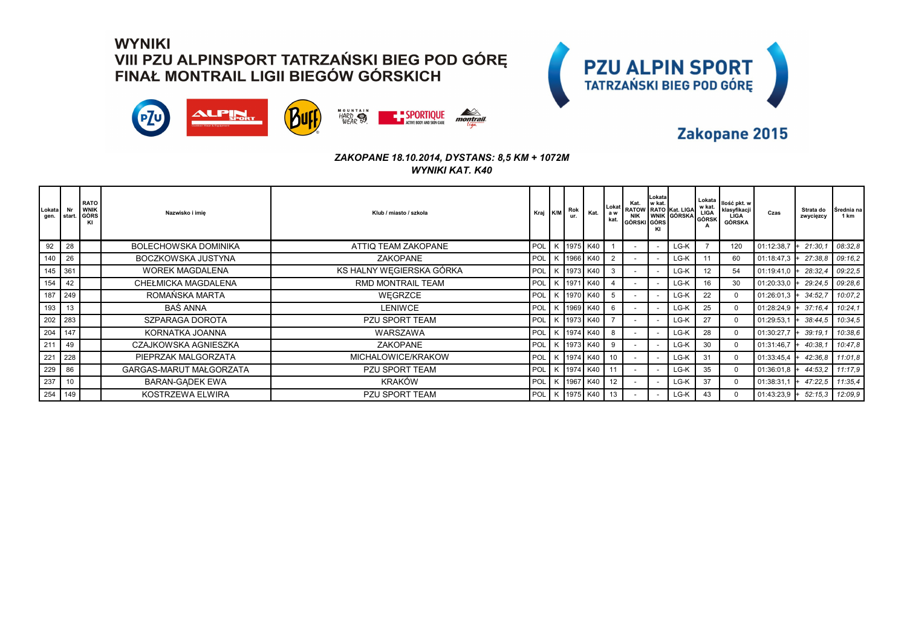



### Zakopane 2015

| <b>Lokata</b><br>gen. | Nr<br>start. | <b>RATO</b><br><b>WNIK</b><br>GÓRS | Nazwisko i imie             | Klub / miasto / szkoła   | Kraj K/M   |   | Rok<br>ur. | Kat.           | Lokat<br>a w<br>kat. | Kat. w kat.<br>GÓRSKI GÓRS | Lokata | RATOW RATO Kat. LIGA | Lokata<br>w kat.<br>LIGA<br>GÓRSK | Ilość pkt. w<br>klasyfikacji<br><b>LIGA</b><br>GÓRSKA | Czas           | Strata do<br>zwycięzcy | Srednia na<br>1 km |
|-----------------------|--------------|------------------------------------|-----------------------------|--------------------------|------------|---|------------|----------------|----------------------|----------------------------|--------|----------------------|-----------------------------------|-------------------------------------------------------|----------------|------------------------|--------------------|
| 92                    | 28           |                                    | <b>BOLECHOWSKA DOMINIKA</b> | ATTIQ TEAM ZAKOPANE      | POL        |   | K 1975 K40 |                |                      |                            |        | LG-K                 |                                   | 120                                                   | 01:12:38,7     | 21:30.                 | 08:32.8            |
| 140                   | 26           |                                    | BOCZKOWSKA JUSTYNA          | <b>ZAKOPANE</b>          | POL        |   |            | K 1966 K40     |                      |                            |        | LG-K                 | 11                                | 60                                                    | 01:18:47,3     | 27:38.8                | 09:16,2            |
| 145                   | 361          |                                    | <b>WOREK MAGDALENA</b>      | KS HALNY WEGIERSKA GÓRKA | POL        |   |            | K 1973 K40     | 3                    |                            |        | LG-K                 | 12                                | 54                                                    | $01:19:41.0$ + | 28:32.4                | 09:22.5            |
| 154                   | 42           |                                    | CHEŁMICKA MAGDALENA         | RMD MONTRAIL TEAM        | <b>POL</b> |   | K 1971     | K40            |                      |                            |        | LG-K                 | 16                                | 30                                                    | 01:20:33,0     | 29:24.5                | 09:28.6            |
| 187                   | 249          |                                    | ROMAŃSKA MARTA              | WEGRZCE                  | POL        |   |            | K 1970 K40     |                      |                            |        | LG-K                 | 22                                | $\Omega$                                              | 01:26:01,3     | 34:52,7                | 10:07,2            |
| 193                   | 13           |                                    | <b>BAŚ ANNA</b>             | <b>LENIWCE</b>           | POL        | К |            | 1969 K40       | -6                   |                            |        | LG-K                 | 25                                | $\Omega$                                              | 01:28:24,9     | 37:16.4                | 10:24,1            |
| 202                   | 283          |                                    | SZPARAGA DOROTA             | PZU SPORT TEAM           | POL        |   |            | K 1973 K40     |                      |                            |        | LG-K                 | 27                                | $\Omega$                                              | 01:29:53,1     | 38:44,5                | 10:34,5            |
| 204                   | 147          |                                    | KORNATKA JOANNA             | <b>WARSZAWA</b>          | <b>POL</b> |   |            | K 1974 K40     | 8                    |                            |        | LG-K                 | 28                                | $\Omega$                                              | 01:30:27,7     | 39:19.1                | 10:38,6            |
| 211                   | 49           |                                    | CZAJKOWSKA AGNIESZKA        | <b>ZAKOPANE</b>          | <b>POL</b> |   |            | K 1973 K40     | -9                   |                            |        | LG-K                 | 30                                | $\Omega$                                              | 01:31:46,7     | 40:38.1                | 10:47.8            |
| 221                   | 228          |                                    | PIEPRZAK MALGORZATA         | MICHALOWICE/KRAKOW       | POL        |   |            | K 1974 K40     | 10 <sup>1</sup>      |                            |        | LG-K                 | 31                                | $\Omega$                                              | $01:33:45.4$ + | 42:36.8                | 11:01.8            |
| 229                   | 86           |                                    | GARGAS-MARUT MAŁGORZATA     | <b>PZU SPORT TEAM</b>    | POL        |   |            | K   1974   K40 | 11                   |                            |        | LG-K                 | 35                                | $\Omega$                                              | $01:36:01.8$ + | 44:53,2                | 11:17.9            |
| 237                   |              |                                    | <b>BARAN-GADEK EWA</b>      | <b>KRAKÓW</b>            | POL        |   | K 1967     | K40            | $12 \overline{ }$    |                            |        | LG-K                 | 37                                | $\Omega$                                              | 01:38:31,1     | 47:22.5                | 11:35.4            |
| 254                   | 149          |                                    | KOSTRZEWA ELWIRA            | <b>PZU SPORT TEAM</b>    | POL        |   |            | K 1975 K40     | 13                   |                            |        | LG-K                 | 43                                | $\Omega$                                              | 01:43:23,9     | 52:15.3                | 12:09.9            |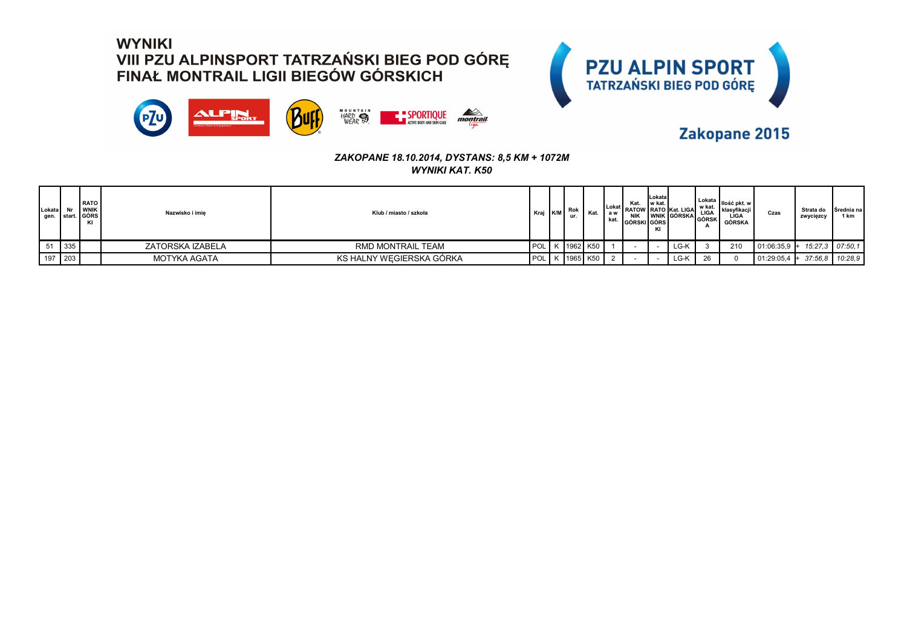



### Zakopane 2015

| ,∟okata l |         | I RATO<br><b>WNIK</b><br>gen. Istart. GÓRS<br>KI | Nazwisko i imie  | Klub / miasto / szkoła   | Kraj K/M | Rok<br>ur. | Kat.                 | ∣ a w<br>kat. | Kat.<br>NIK<br><b>GÓRSKI GÓRS</b> | Lokata<br>I w kat.<br>KI | Lokat RATOW RATO Kat. LIGA<br>WINK GÓRSKA LIGA | w kat. | Lokata   Ilość pkt. w i<br>  klasyfikacji  <br>LIGA<br><b>GÓRSKA</b> | Czas                                         | Strata do<br>zwycięzcy | Srednia na<br>1 km |
|-----------|---------|--------------------------------------------------|------------------|--------------------------|----------|------------|----------------------|---------------|-----------------------------------|--------------------------|------------------------------------------------|--------|----------------------------------------------------------------------|----------------------------------------------|------------------------|--------------------|
|           | 335     |                                                  | ZATORSKA IZABELA | RMD MONTRAIL TEAM        |          |            | POL   K   1962   K50 |               |                                   |                          | LG-K                                           |        | 210                                                                  | $\vert$ 01:06:35,9 + 15:27,3 $\vert$ 07:50,1 |                        |                    |
|           | 197 203 |                                                  | MOTYKA AGATA     | KS HALNY WEGIERSKA GÓRKA |          |            | POL K 1965 K50       |               |                                   |                          | LG-K                                           |        |                                                                      | $01:29:05,4$ +                               | 37:56.8                | 10:28.9            |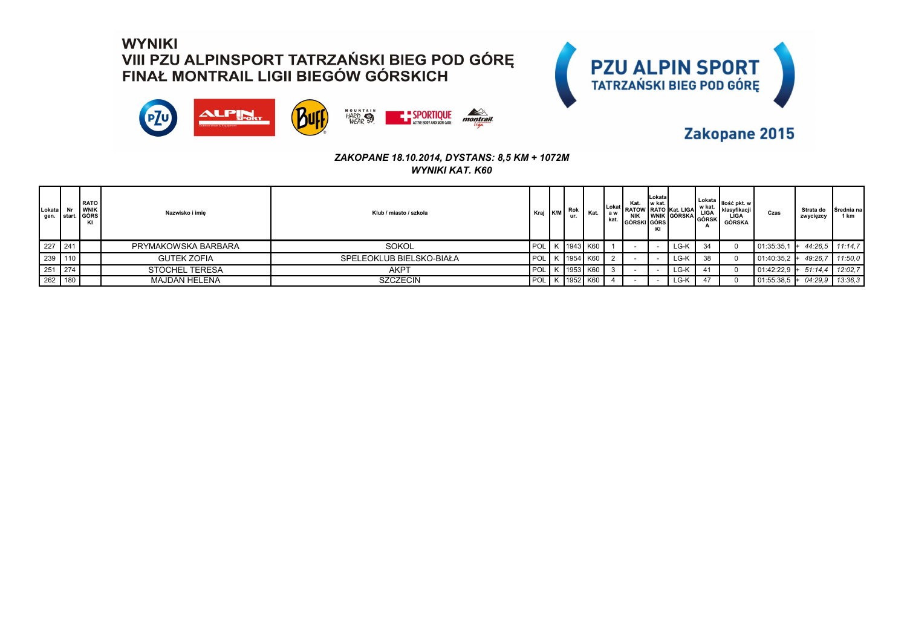



### Zakopane 2015

| Lokata  | <b>RATO</b><br><b>WNIK</b><br>gen. start. GÓRS<br>ΚI | Nazwisko i imie       | Klub / miasto / szkoła   | Kraj K/M         | Rok<br>ur. |                | kat. | Kat.<br><b>NIK</b><br>GÓRSKI GÓRS | <b>ILokatal</b><br>I w kat.<br>KI | Lokat RATOW RATO Kat. LIGAL "<br>WINK GÓRSKA LIGA | w kat. | Lokata Ilość pkt. w I<br>I klasvfikacii<br>LIGA<br>GÓRSKA | Czas           | Strata do<br>zwycięzcy | Srednia na<br>1 km |
|---------|------------------------------------------------------|-----------------------|--------------------------|------------------|------------|----------------|------|-----------------------------------|-----------------------------------|---------------------------------------------------|--------|-----------------------------------------------------------|----------------|------------------------|--------------------|
| 227 241 |                                                      | PRYMAKOWSKA BARBARA   | <b>SOKOL</b>             |                  |            | POL K 1943 K60 |      |                                   |                                   | LG-K                                              | 34     |                                                           | 01:35:35,      | 44:26.5                | 11:14.7            |
| 239 110 |                                                      | <b>GUTEK ZOFIA</b>    | SPELEOKLUB BIELSKO-BIAŁA | POL <sup>1</sup> |            | K 1954 K60     |      |                                   |                                   | LG-K                                              | 38     |                                                           | $01:40:35.2 +$ | 49:26.7                | 11:50,0            |
| 251 274 |                                                      | <b>STOCHEL TERESA</b> | АКРТ                     | POL I            |            | K 1953 K60     |      |                                   |                                   | LG-K                                              | 41     |                                                           | 01:42:22,9     | 51:14.4<br>$+$         | 12:02.7            |
| 262 180 |                                                      | <b>MAJDAN HELENA</b>  | <b>SZCZECIN</b>          | POL I            |            | K   1952   K60 |      |                                   |                                   | LG-K                                              | 47     |                                                           | 01:55:38,5     | 04:29.9                | 13:36.3            |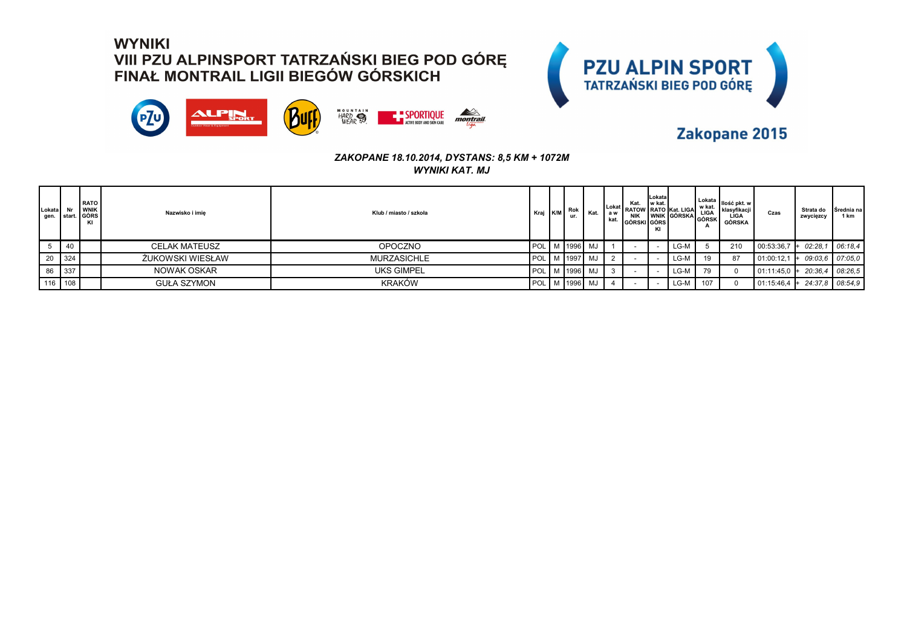



### Zakopane 2015

| Lokata Nr   | <b>RATO</b><br><b>WNIK</b><br>gen. start. GÓRS<br>K | Nazwisko i imie      | Klub / miasto / szkoła | Kraj K/M | Rok<br>ur. | Kat.                | a w<br>kat. | Kat.<br><b>NIK</b><br><b>IGÓRSKI GÓRS</b> | Lokata<br>ll w kat.<br>ΚI | Lokat RATOW RATO Kat. LIGAI "<br>WINATO MALLIGA LIGA<br>WINK GÓRSKA GÓRSK  <br>GÓRS | w kat. | I Lokata   Ilość pkt. w I<br>klasyfikacji<br>LIGA<br>GÓRSKA | Czas            | Strata do<br>zwycięzcy | Srednia na<br>1 km |
|-------------|-----------------------------------------------------|----------------------|------------------------|----------|------------|---------------------|-------------|-------------------------------------------|---------------------------|-------------------------------------------------------------------------------------|--------|-------------------------------------------------------------|-----------------|------------------------|--------------------|
| $5 \mid 40$ |                                                     | <b>CELAK MATEUSZ</b> | <b>OPOCZNO</b>         |          |            | POL   M   1996   MJ |             |                                           |                           | LG-M                                                                                |        | 210                                                         | 00:53:36,7      | 02:28.1                | 06:18.4            |
| 20 324      |                                                     | ŻUKOWSKI WIESŁAW     | MURZASICHLE            |          |            | POL   M   1997   MJ |             |                                           |                           | LG-M                                                                                | 19     | 87                                                          | 101:00:12,1     | 09:03.6                | 07:05.0            |
| 86 337      |                                                     | NOWAK OSKAR          | <b>UKS GIMPEL</b>      |          |            | POL   M   1996   MJ |             |                                           |                           | LG-M                                                                                | 79     |                                                             | 01:11:45,0      | 20:36.4                | 08:26.5            |
| 116 108     |                                                     | <b>GUŁA SZYMON</b>   | <b>KRAKÓW</b>          | POL I    |            | M   1996   MJ       |             |                                           |                           | LG-M                                                                                | 107    |                                                             | $ 01:15:46,4 +$ |                        | 24:37.8 08:54.9    |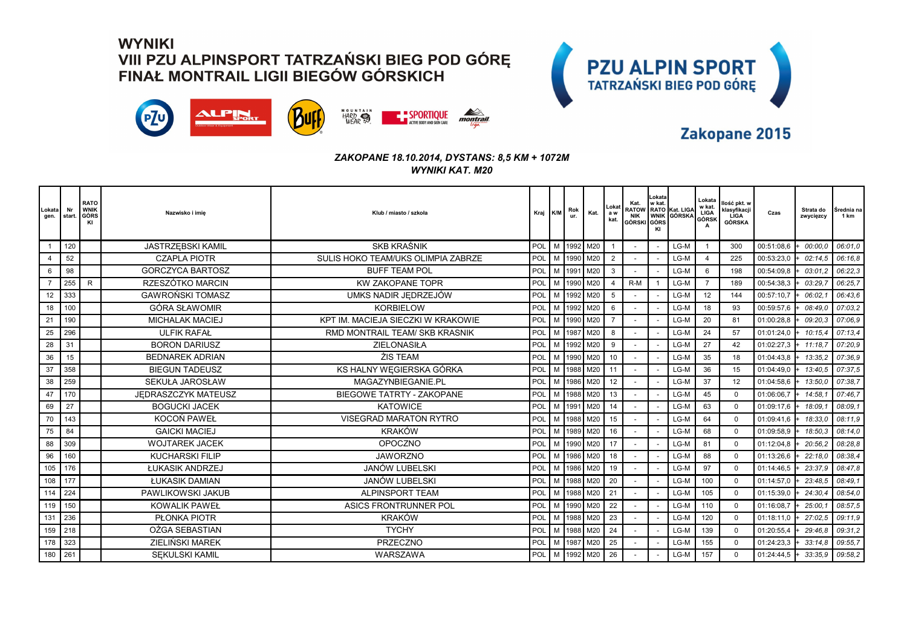



### Zakopane 2015

| Lokata<br>gen. | Nr<br>start. | <b>RATO</b><br><b>WNIK</b><br>  GÓRS<br>KI | Nazwisko i imie          | Klub / miasto / szkoła             | Kraj K/M |   | Rok<br>ur. | Kat.       | Lokat<br>a w<br>kat. | Kat.<br>NIK<br>GÓRSKI GÓRS | Lokata<br>w kat. | RATOW RATO Kat. LIGA<br>WNIK GÓRSKA | Lokata<br>w kat.<br>LIGA<br>GÓRSK<br>A | llość pkt. w<br>klasyfikacji<br>LIGA<br><b>GÓRSKA</b> | Czas       | Strata do<br>zwycięzcy | Srednia na<br>1 km |
|----------------|--------------|--------------------------------------------|--------------------------|------------------------------------|----------|---|------------|------------|----------------------|----------------------------|------------------|-------------------------------------|----------------------------------------|-------------------------------------------------------|------------|------------------------|--------------------|
|                | 120          |                                            | <b>JASTRZEBSKI KAMIL</b> | <b>SKB KRAŚNIK</b>                 | POL      |   |            | M 1992 M20 |                      |                            |                  | LG-M                                |                                        | 300                                                   | 00:51:08,6 | 00:00.0                | 06:01.0            |
|                | 52           |                                            | <b>CZAPLA PIOTR</b>      | SULIS HOKO TEAM/UKS OLIMPIA ZABRZE | POL      |   | M 1990     | M20        | $\overline{2}$       |                            |                  | LG-M                                | $\overline{4}$                         | 225                                                   | 00:53:23,0 | 02:14.5                | 06:16.8            |
| 6              | 98           |                                            | <b>GORCZYCA BARTOSZ</b>  | <b>BUFF TEAM POL</b>               | POL      |   | M 1991     | M20        | 3                    |                            |                  | LG-M                                | 6                                      | 198                                                   | 00:54:09.8 | 03:01.2                | 06:22,3            |
|                | 255          | $\mathsf{R}$                               | RZESZÓTKO MARCIN         | <b>KW ZAKOPANE TOPR</b>            | POL      | M | 1990       | M20        | $\overline{4}$       | $R-M$                      |                  | LG-M                                | $\overline{7}$                         | 189                                                   | 00:54:38,3 | 03:29.                 | 06:25.7            |
| 12             | 333          |                                            | <b>GAWROŃSKI TOMASZ</b>  | UMKS NADIR JEDRZEJÓW               | POL      |   | M 1992     | M20        | 5                    |                            |                  | LG-M                                | 12                                     | 144                                                   | 00:57:10,7 | 06:02.                 | 06:43.6            |
| 18             | 100          |                                            | GÓRA SŁAWOMIR            | <b>KORBIELOW</b>                   | POL      | M | 1992       | M20        | 6                    |                            |                  | LG-M                                | 18                                     | 93                                                    | 00:59:57,6 | 08:49.0                | 07:03.2            |
| 21             | 190          |                                            | <b>MICHALAK MACIEJ</b>   | KPT IM. MACIEJA SIECZKI W KRAKOWIE | POL      | M | 1990       | M20        |                      |                            |                  | LG-M                                | 20                                     | 81                                                    | 01:00:28,8 | 09:20.3                | 07:06.9            |
| 25             | 296          |                                            | <b>ULFIK RAFAŁ</b>       | RMD MONTRAIL TEAM/ SKB KRASNIK     | POL      | M | 1987       | M20        | 8                    |                            |                  | LG-M                                | 24                                     | 57                                                    | 01:01:24,0 | 10:15.4                | 07:13.4            |
| 28             | 31           |                                            | <b>BORON DARIUSZ</b>     | <b>ZIELONASIŁA</b>                 | POL      | M | 1992       | M20        | 9                    |                            |                  | LG-M                                | 27                                     | 42                                                    | 01:02:27,3 | 11:18.                 | 07:20,9            |
| 36             | 15           |                                            | <b>BEDNAREK ADRIAN</b>   | ŻIS TEAM                           | POL      | M | 1990       | M20        | 10                   |                            |                  | LG-M                                | 35                                     | 18                                                    | 01:04:43,8 | 13:35.2                | 07:36,9            |
| 37             | 358          |                                            | <b>BIEGUN TADEUSZ</b>    | KS HALNY WEGIERSKA GÓRKA           | POL      | M | 1988       | M20        | 11                   |                            |                  | LG-M                                | 36                                     | 15                                                    | 01:04:49,0 | 13:40.5                | 07:37.5            |
| 38             | 259          |                                            | <b>SEKUŁA JAROSŁAW</b>   | MAGAZYNBIEGANIE.PL                 | POL      | M | 1986       | M20        | 12                   |                            |                  | LG-M                                | 37                                     | 12                                                    | 01:04:58,6 | 13:50.0                | 07:38.7            |
| 47             | 170          |                                            | JEDRASZCZYK MATEUSZ      | <b>BIEGOWE TATRTY - ZAKOPANE</b>   | POL      | M | 1988       | M20        | 13                   |                            |                  | LG-M                                | 45                                     | $\Omega$                                              | 01:06:06,7 | 14:58.                 | 07:46.7            |
| 69             | 27           |                                            | <b>BOGUCKI JACEK</b>     | <b>KATOWICE</b>                    | POL      | M | 1991       | M20        | 14                   |                            |                  | LG-M                                | 63                                     | $\Omega$                                              | 01:09:17,6 | 18:09.                 | 08:09.1            |
| 70             | 143          |                                            | KOCOŃ PAWEŁ              | <b>VISEGRAD MARATON RYTRO</b>      | POL      | M | 1988       | M20        | 15                   |                            |                  | LG-M                                | 64                                     | $\Omega$                                              | 01:09:41,6 | 18:33.                 | 08:11.9            |
| 75             | 84           |                                            | <b>GAICKI MACIEJ</b>     | <b>KRAKÓW</b>                      | POL      |   | M 1989     | M20        | 16                   |                            |                  | LG-M                                | 68                                     | $\Omega$                                              | 01:09:58,9 | 18:50.3                | 08:14.0            |
| 88             | 309          |                                            | <b>WOJTAREK JACEK</b>    | <b>OPOCZNO</b>                     | POL      | M | 1990       | M20        | 17                   |                            |                  | LG-M                                | 81                                     | $\Omega$                                              | 01:12:04,8 | 20:56.2                | 08:28.8            |
| 96             | 160          |                                            | <b>KUCHARSKI FILIP</b>   | <b>JAWORZNO</b>                    | POL      |   |            | M 1986 M20 | 18                   |                            |                  | LG-M                                | 88                                     | $\Omega$                                              | 01:13:26,6 | 22:18.0                | 08:38.4            |
| 105            | 176          |                                            | ŁUKASIK ANDRZEJ          | JANÓW LUBELSKI                     | POL      | M | 1986       | M20        | 19                   |                            |                  | LG-M                                | 97                                     | $\Omega$                                              | 01:14:46,5 | 23:37.9                | 08:47,8            |
| 108            | 177          |                                            | ŁUKASIK DAMIAN           | <b>JANÓW LUBELSKI</b>              | POL      | M | 1988       | M20        | 20                   |                            |                  | LG-M                                | 100                                    | $\Omega$                                              | 01:14:57,0 | 23:48.5                | 08:49.1            |
| 114            | 224          |                                            | PAWLIKOWSKI JAKUB        | <b>ALPINSPORT TEAM</b>             | POL      | M | 1988       | M20        | 21                   |                            |                  | LG-M                                | 105                                    | $\Omega$                                              | 01:15:39.0 | 24:30.4                | 08:54,0            |
| 119            | 150          |                                            | <b>KOWALIK PAWEŁ</b>     | <b>ASICS FRONTRUNNER POL</b>       | POL      | M | 1990       | M20        | 22                   |                            |                  | LG-M                                | 110                                    | $\Omega$                                              | 01:16:08,7 | 25:00.                 | 08:57,5            |
| 131            | 236          |                                            | <b>PŁONKA PIOTR</b>      | <b>KRAKÓW</b>                      | POL      | M | 1988       | M20        | 23                   |                            |                  | LG-M                                | 120                                    | $\Omega$                                              | 01:18:11.0 | 27:02.5                | 09:11.9            |
| 159            | 218          |                                            | OŻGA SEBASTIAN           | <b>TYCHY</b>                       | POL      | M | 1988       | M20        | 24                   |                            |                  | LG-M                                | 139                                    | $\mathbf 0$                                           | 01:20:55,4 | 29:46.8                | 09:31.2            |
| 178            | 323          |                                            | ZIELIŃSKI MAREK          | <b>PRZECZNO</b>                    | POL      | M | 1987       | M20        | 25                   |                            |                  | LG-M                                | 155                                    | $\Omega$                                              | 01:24:23,3 | 33:14.8                | 09:55.7            |
| 180            | 261          |                                            | <b>SEKULSKI KAMIL</b>    | WARSZAWA                           | POL      |   | M 1992     | M20        | 26                   |                            |                  | LG-M                                | 157                                    | $\Omega$                                              | 01:24:44,5 | 33:35.9                | 09:58,2            |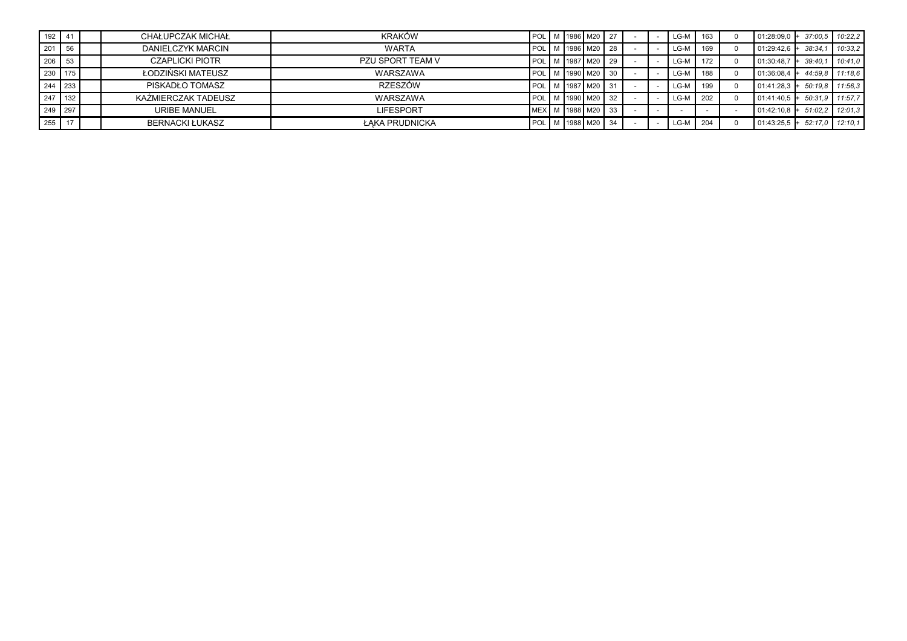| 192   41       |           | CHAŁUPCZAK MICHAŁ      | KRAKÓW           |  | POL M 1986 M20 27    |     |  | LG-M   | 163 | $101:28:09.0 +$ | 37:00.5 10:22.2 |                   |
|----------------|-----------|------------------------|------------------|--|----------------------|-----|--|--------|-----|-----------------|-----------------|-------------------|
| $201 \quad 56$ |           | DANIELCZYK MARCIN      | <b>WARTA</b>     |  | POL M 1986 M20 28    |     |  | LG-M   | 169 | l 01:29:42.6 l+ | 38:34.1         | 10:33.2           |
| $206$ 53       |           | <b>CZAPLICKI PIOTR</b> | PZU SPORT TEAM V |  | POL M 1987 M20 29    |     |  | LG-M   | 172 | 01:30:48.7      | 39:40.1         | 10:41.0           |
|                | 230 175   | ŁODZIŃSKI MATEUSZ      | WARSZAWA         |  | POL   M   1990   M20 |     |  | LG-M   | 188 | 01:36:08.4      |                 | 44:59.8 11:18.6   |
|                | 244 233   | PISKADŁO TOMASZ        | RZESZÓW          |  | POL M 1987 M20       |     |  | $LG-M$ | 199 | $101:41:28.3 +$ |                 | $50:19.8$ 11:56.3 |
|                | $247$ 132 | KAŹMIERCZAK TADEUSZ    | WARSZAWA         |  | POL M 1990 M20       |     |  | LG-M   | 202 | 01:41:40.5      |                 | 50:31.9 11:57.7   |
|                | $249$ 297 | URIBE MANUEL           | <b>LIFESPORT</b> |  | MEX M 1988 M20 33    |     |  |        |     | $ 01:42:10.8 +$ |                 | $51:02.2$ 12:01.3 |
| 255 17         |           | <b>BERNACKI ŁUKASZ</b> | ŁAKA PRUDNICKA   |  | POL M 1988 M20       | -34 |  | LG-M   | 204 | $101:43:25.5$ + |                 | 52:17.0 12:10.1   |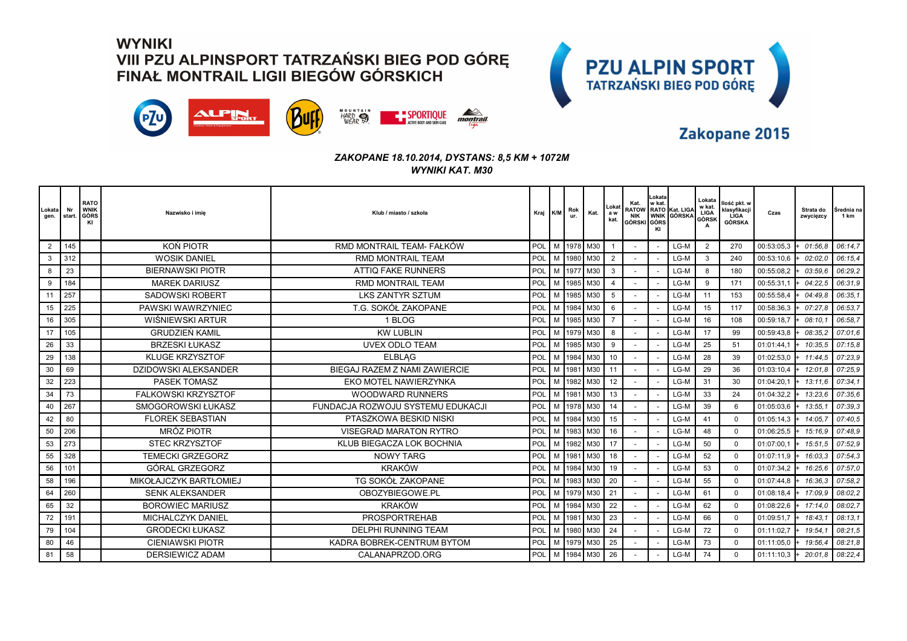



### Zakopane 2015

| _okata<br>gen. | Nr<br>start. | <b>RATO</b><br><b>WNIK</b><br><b>GÓRS</b><br>KI | Nazwisko i imie             | Klub / miasto / szkoła            | Kraj K/M   |   | Rok<br>ur. | Kat.           | Lokat<br>a w<br>kat. | Kat.<br>NIK<br>GÓRSKI GÓRS | Lokata<br>w kat.<br>KI | RATOW RATO Kat. LIGA<br>WNIK GÓRSKA | Lokata<br>w kat.<br>LIGA<br>GÓRSK | llość pkt. w<br>klasyfikacji<br>LIGA<br>GÓRSKA | Czas       | Strata do<br>zwycięzcy | <b>Srednia</b> na<br>1 km |
|----------------|--------------|-------------------------------------------------|-----------------------------|-----------------------------------|------------|---|------------|----------------|----------------------|----------------------------|------------------------|-------------------------------------|-----------------------------------|------------------------------------------------|------------|------------------------|---------------------------|
| 2              | 145          |                                                 | KON PIOTR                   | RMD MONTRAIL TEAM- FAŁKÓW         | POL        |   |            | M 1978 M30     |                      |                            |                        | LG-M                                | $\overline{2}$                    | 270                                            | 00:53:05,3 | $+ 01:56.8$            | 06:14.7                   |
| $\mathbf{3}$   | 312          |                                                 | <b>WOSIK DANIEL</b>         | <b>RMD MONTRAIL TEAM</b>          | POL        | M |            | 1980 M30       | $\overline{2}$       |                            |                        | LG-M                                | 3                                 | 240                                            | 00:53:10.6 | 02:02.0                | 06:15.4                   |
| 8              | 23           |                                                 | <b>BIERNAWSKI PIOTR</b>     | <b>ATTIQ FAKE RUNNERS</b>         | POL        |   |            | M 1977 M30     | 3                    |                            |                        | LG-M                                | 8                                 | 180                                            | 00:55:08,2 | 03:59.6                | 06:29.2                   |
| -9             | 184          |                                                 | <b>MAREK DARIUSZ</b>        | <b>RMD MONTRAIL TEAM</b>          | POL        | M | 1985       | M30            | $\overline{4}$       |                            |                        | LG-M                                | 9                                 | 171                                            | 00:55:31,1 | 04:22.5                | 06:31.9                   |
| 11             | 257          |                                                 | <b>SADOWSKI ROBERT</b>      | <b>LKS ZANTYR SZTUM</b>           | POL        |   |            | M   1985   M30 | 5                    |                            |                        | LG-M                                | 11                                | 153                                            | 00:55:58,4 | 04:49.8                | 06:35,1                   |
| 15             | 225          |                                                 | PAWSKI WAWRZYNIEC           | T.G. SOKÓŁ ZAKOPANE               | POL        | M | 1984       | M30            | 6                    |                            |                        | LG-M                                | 15                                | 117                                            | 00:58:36,3 | 07:27.8                | 06:53.7                   |
| 16             | 305          |                                                 | WIŚNIEWSKI ARTUR            | 1 BLOG                            | POL        |   |            | M   1985   M30 | $\overline{7}$       |                            |                        | LG-M                                | 16                                | 108                                            | 00:59:18,7 | 08:10.                 | 06:58.7                   |
| 17             | 105          |                                                 | <b>GRUDZIEŃ KAMIL</b>       | <b>KW LUBLIN</b>                  | <b>POL</b> | M |            | 1979 M30       | 8                    |                            |                        | LG-M                                | 17                                | 99                                             | 00:59:43.8 | 08:35.2                | 07:01.6                   |
| 26             | 33           |                                                 | <b>BRZESKI ŁUKASZ</b>       | <b>UVEX ODLO TEAM</b>             | POL        | M | 1985       | M30            | 9                    |                            |                        | LG-M                                | 25                                | 51                                             | 01:01:44,1 | 10:35.5                | 07:15.8                   |
| 29             | 138          |                                                 | <b>KLUGE KRZYSZTOF</b>      | <b>ELBLAG</b>                     | POL        | м | 1984       | M30            | 10                   |                            |                        | LG-M                                | 28                                | 39                                             | 01:02:53,0 | 11:44.5                | 07:23.9                   |
| 30             | 69           |                                                 | <b>DZIDOWSKI ALEKSANDER</b> | BIEGAJ RAZEM Z NAMI ZAWIERCIE     | POL        | M | 1981       | M30            | 11                   |                            |                        | LG-M                                | 29                                | 36                                             | 01:03:10,4 | 12:01.8                | 07:25.9                   |
| 32             | 223          |                                                 | <b>PASEK TOMASZ</b>         | EKO MOTEL NAWIERZYNKA             | POL        |   |            | M 1982 M30     | 12                   |                            |                        | LG-M                                | 31                                | 30                                             | 01:04:20,1 | $+ 13:11.6$            | 07:34.1                   |
| 34             | 73           |                                                 | <b>FALKOWSKI KRZYSZTOF</b>  | <b>WOODWARD RUNNERS</b>           | POL        |   | M 1981     | M30            | 13                   |                            |                        | LG-M                                | 33                                | 24                                             | 01:04:32,2 | 13:23.6                | 07:35.6                   |
| 40             | 267          |                                                 | SMOGOROWSKI ŁUKASZ          | FUNDACJA ROZWOJU SYSTEMU EDUKACJI | POL        |   | M   1978   | M30            | 14                   |                            |                        | LG-M                                | 39                                | 6                                              | 01:05:03,6 | $+ 13:55.1$            | 07:39.3                   |
| 42             | 80           |                                                 | <b>FLOREK SEBASTIAN</b>     | PTASZKOWA BESKID NISKI            | POL        | М | 1984       | M30            | 15                   |                            |                        | LG-M                                | 41                                | $\mathbf 0$                                    | 01:05:14,3 | $+ 14:05.7$            | 07:40.5                   |
| 50             | 206          |                                                 | <b>MRÓZ PIOTR</b>           | <b>VISEGRAD MARATON RYTRO</b>     | POL        |   |            | M   1983   M30 | 16                   |                            |                        | LG-M                                | 48                                | $\Omega$                                       | 01:06:25,5 | $+ 15:16.9$            | 07:48.9                   |
| 53             | 273          |                                                 | <b>STEC KRZYSZTOF</b>       | KLUB BIEGACZA LOK BOCHNIA         | POL        | M | 1982       | M30            | 17                   |                            |                        | LG-M                                | 50                                | $\Omega$                                       | 01:07:00,1 | $+ 15:51.5$            | 07:52.9                   |
| 55             | 328          |                                                 | <b>TEMECKI GRZEGORZ</b>     | <b>NOWY TARG</b>                  | POL        | M | 1981       | M30            | 18                   |                            |                        | LG-M                                | 52                                | $\Omega$                                       | 01:07:11,9 | $+ 16:03.3$            | 07:54.3                   |
| 56             | 101          |                                                 | GÓRAL GRZEGORZ              | <b>KRAKÓW</b>                     | POL        | M | 1984       | M30            | 19                   |                            |                        | LG-M                                | 53                                | $\mathbf 0$                                    | 01:07:34,2 | 16:25.6                | 07:57.0                   |
| 58             | 196          |                                                 | MIKOŁAJCZYK BARTŁOMIEJ      | TG SOKÓŁ ZAKOPANE                 | POL        |   |            | M   1983   M30 | 20                   |                            |                        | LG-M                                | 55                                | $\mathbf 0$                                    | 01:07:44.8 | 16:36.3                | 07:58.2                   |
| 64             | 260          |                                                 | <b>SENK ALEKSANDER</b>      | OBOZYBIEGOWE.PL                   | POL        | M | 1979       | M30            | 21                   |                            |                        | LG-M                                | 61                                | $\mathbf 0$                                    | 01:08:18,4 | 17:09.9                | 08:02.2                   |
| 65             | 32           |                                                 | <b>BOROWIEC MARIUSZ</b>     | <b>KRAKÓW</b>                     | POL        |   | M 1984     | M30            | 22                   |                            |                        | LG-M                                | 62                                | $\mathbf 0$                                    | 01:08:22,6 | 17:14.0                | 08:02.7                   |
| 72             | 191          |                                                 | <b>MICHALCZYK DANIEL</b>    | <b>PROSPORTREHAB</b>              | POL        | M | 1981       | M30            | 23                   |                            |                        | LG-M                                | 66                                | $\mathbf 0$                                    | 01:09:51,7 | 18:43.                 | 08:13.1                   |
| 79             | 104          |                                                 | <b>GRODECKI ŁUKASZ</b>      | <b>DELPHI RUNNING TEAM</b>        | POL        | M | 1980       | M30            | 24                   |                            |                        | LG-M                                | 72                                | $\Omega$                                       | 01:11:02,7 | 19:54,                 | 08:21.5                   |
| 80             | 46           |                                                 | <b>CIENIAWSKI PIOTR</b>     | KADRA BOBREK-CENTRUM BYTOM        | POL        | M |            | 1979 M30       | 25                   |                            |                        | LG-M                                | 73                                | $\Omega$                                       | 01:11:05,0 | 19:56,4                | 08:21.8                   |
| 81             | 58           |                                                 | <b>DERSIEWICZ ADAM</b>      | CALANAPRZOD.ORG                   | POL        |   |            | M   1984   M30 | 26                   |                            |                        | LG-M                                | 74                                | $\Omega$                                       | 01:11:10,3 | 20:01,8                | 08:22.4                   |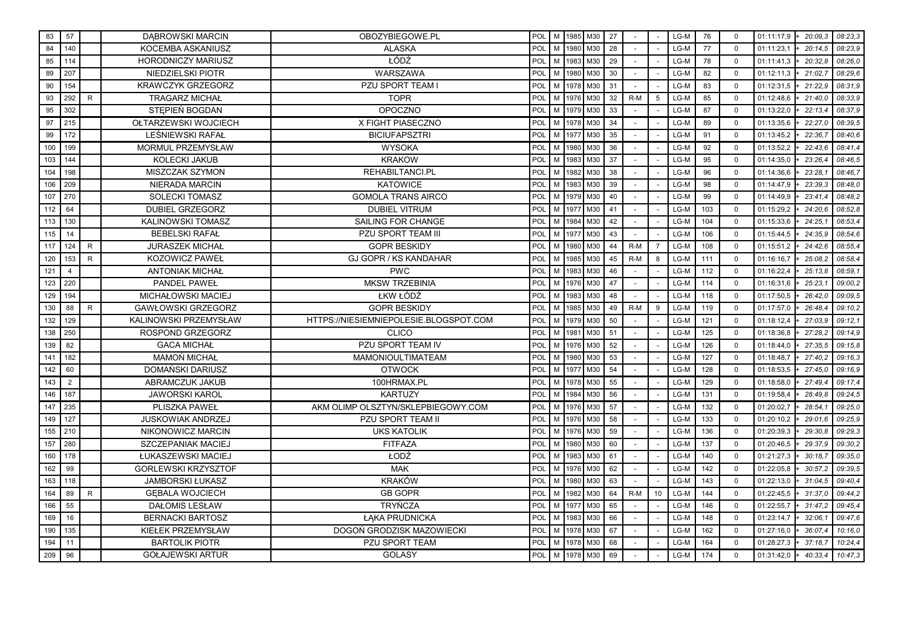| 83  | 57             |              | <b>DABROWSKI MARCIN</b>    | OBOZYBIEGOWE.PL                        | POL        |   |      | M 1985 M30 | 27 |       |                 | LG-M | 76  | $\mathbf 0$ | 01:11:17,9<br>$+ 20.09.3$ | 08:23,3 |
|-----|----------------|--------------|----------------------------|----------------------------------------|------------|---|------|------------|----|-------|-----------------|------|-----|-------------|---------------------------|---------|
| 84  | 140            |              | KOCEMBA ASKANIUSZ          | <b>ALASKA</b>                          | POL        | M | 1980 | M30        | 28 |       |                 | LG-M | 77  | $\mathbf 0$ | 01:11:23,1<br>20:14.5     | 08:23,9 |
| 85  | 114            |              | <b>HORODNICZY MARIUSZ</b>  | ŁÓDŹ                                   | POL        | M |      | 1983 M30   | 29 |       |                 | LG-M | 78  | $\mathbf 0$ | 01:11:41,3<br>20:32,8     | 08:26,0 |
| 89  | 207            |              | NIEDZIELSKI PIOTR          | WARSZAWA                               | POL        | M | 1980 | M30        | 30 |       |                 | LG-M | 82  | $\Omega$    | 21:02.7<br>01:12:11,3     | 08:29.6 |
| 90  | 154            |              | <b>KRAWCZYK GRZEGORZ</b>   | <b>PZU SPORT TEAM</b>                  | POL        | M | 1978 | M30        | 31 |       |                 | LG-M | 83  | $\mathbf 0$ | 01:12:31,5<br>21:22.9     | 08:31.9 |
| 93  | 292            | $\mathsf{R}$ | <b>TRAGARZ MICHAŁ</b>      | <b>TOPR</b>                            | <b>POL</b> | M | 1976 | M30        | 32 | $R-M$ | $5^{\circ}$     | LG-M | 85  | $\mathbf 0$ | 01:12:48,6<br>21:40.0     | 08:33.9 |
| 95  | 302            |              | STEPIEŃ BOGDAN             | <b>OPOCZNO</b>                         | POL        | M | 1979 | M30        | 33 |       |                 | LG-M | 87  | $\mathbf 0$ | 22:13.4<br>01:13:22,0     | 08:37.9 |
| 97  | 215            |              | OŁTARZEWSKI WOJCIECH       | X FIGHT PIASECZNO                      | POL        | M | 1978 | M30        | 34 |       |                 | LG-M | 89  | $\mathbf 0$ | 22:27.0<br>01:13:35,6     | 08:39.5 |
| 99  | 172            |              | LEŚNIEWSKI RAFAŁ           | <b>BICIUFAPSZTRI</b>                   | POL        | M | 1977 | M30        | 35 |       |                 | LG-M | 91  | $\Omega$    | 22:36.7<br>01:13:45,2     | 08:40,6 |
| 100 | 199            |              | MORMUL PRZEMYSŁAW          | <b>WYSOKA</b>                          | POL        | M |      | 1980 M30   | 36 |       |                 | LG-M | 92  | $\Omega$    | 01:13:52,2<br>22:43.6     | 08:41.4 |
| 103 | 144            |              | KOLECKI JAKUB              | <b>KRAKOW</b>                          | POL        | M | 1983 | M30        | 37 |       |                 | LG-M | 95  | $\mathbf 0$ | 01:14:35,0<br>23:26.4     | 08:46.5 |
| 104 | 198            |              | MISZCZAK SZYMON            | REHABILTANCI.PL                        | POL        | M | 1982 | M30        | 38 |       |                 | LG-M | 96  | $\mathbf 0$ | 01:14:36,6<br>23:28.1     | 08:46.7 |
| 106 | 209            |              | <b>NIERADA MARCIN</b>      | <b>KATOWICE</b>                        | POL        | M | 1983 | M30        | 39 |       |                 | LG-M | 98  | $\mathbf 0$ | 01:14:47,9<br>23:39.3     | 08:48,0 |
| 107 | 270            |              | <b>SOLECKI TOMASZ</b>      | <b>GOMOLA TRANS AIRCO</b>              | POL        | M | 1979 | M30        | 40 |       |                 | LG-M | 99  | $\mathbf 0$ | 01:14:49,9<br>23:41.4     | 08:48,2 |
| 112 | 64             |              | <b>DUBIEL GRZEGORZ</b>     | <b>DUBIEL VITRUM</b>                   | POL        | M | 1977 | M30        | 41 |       |                 | LG-M | 103 | $\Omega$    | 01:15:29,2<br>24:20.6     | 08:52,8 |
| 113 | 130            |              | <b>KALINOWSKI TOMASZ</b>   | SAILING FOR CHANGE                     | POL        | M | 1984 | M30        | 42 |       |                 | LG-M | 104 | $\mathbf 0$ | 01:15:33,6<br>24:25.1     | 08:53.4 |
| 115 | 14             |              | <b>BEBELSKI RAFAŁ</b>      | <b>PZU SPORT TEAM III</b>              | POL        | M | 1977 | M30        | 43 |       |                 | LG-M | 106 | $\mathbf 0$ | 01:15:44,5<br>24:35.9     | 08:54.6 |
| 117 | 124            | R.           | <b>JURASZEK MICHAŁ</b>     | <b>GOPR BESKIDY</b>                    | POL        | M | 1980 | M30        | 44 | $R-M$ | $\overline{7}$  | LG-M | 108 | $\mathbf 0$ | 01:15:51,2<br>24:42.6     | 08:55.4 |
| 120 | 153            | $\mathsf{R}$ | <b>KOZOWICZ PAWEŁ</b>      | GJ GOPR / KS KANDAHAR                  | POL        | M | 1985 | M30        | 45 | $R-M$ | 8               | LG-M | 111 | $\mathbf 0$ | 01:16:16,7<br>25:08,2     | 08:58.4 |
| 121 | $\overline{4}$ |              | <b>ANTONIAK MICHAŁ</b>     | <b>PWC</b>                             | POL        | M | 1983 | M30        | 46 |       |                 | LG-M | 112 | $\Omega$    | 01:16:22,4<br>25:13.8     | 08:59.1 |
| 123 | 220            |              | <b>PANDEL PAWEŁ</b>        | <b>MKSW TRZEBINIA</b>                  | POL        | M | 1976 | M30        | 47 |       |                 | LG-M | 114 | $\Omega$    | 25:23.7<br>01:16:31,6     | 09:00.2 |
| 129 | 194            |              | <b>MICHAŁOWSKI MACIEJ</b>  | ŁKW ŁÓDŹ                               | POL        | M | 1983 | M30        | 48 |       |                 | LG-M | 118 | $\mathbf 0$ | 01:17:50,5<br>26:42.0     | 09:09.5 |
| 130 | 88             | R.           | <b>GAWŁOWSKI GRZEGORZ</b>  | <b>GOPR BESKIDY</b>                    | POL        | M | 1985 | M30        | 49 | $R-M$ | 9               | LG-M | 119 | $\mathbf 0$ | 01:17:57,0<br>26:48.4     | 09:10.2 |
| 132 | 129            |              | KALINOWSKI PRZEMYSŁAW      | HTTPS://NIESIEMNIEPOLESIE.BLOGSPOT.COM | POL        | M | 1979 | M30        | 50 |       |                 | LG-M | 121 | $\mathbf 0$ | 27:03.9<br>01:18:12,4     | 09:12.1 |
| 138 | 250            |              | ROSPOND GRZEGORZ           | <b>CLICO</b>                           | POL        | M | 1981 | M30        | 51 |       |                 | LG-M | 125 | $\mathbf 0$ | 27:28.2<br>01:18:36,8     | 09:14,9 |
| 139 | 82             |              | <b>GACA MICHAŁ</b>         | PZU SPORT TEAM IV                      | POL        | M | 1976 | M30        | 52 |       |                 | LG-M | 126 | $\mathbf 0$ | 27:35.5<br>01:18:44,0     | 09:15,8 |
| 141 | 182            |              | <b>MAMOŃ MICHAŁ</b>        | <b>MAMONIOULTIMATEAM</b>               | POL        | M |      | 1980 M30   | 53 |       |                 | LG-M | 127 | $\mathbf 0$ | 01:18:48,7<br>27:40.2     | 09:16.3 |
| 142 | 60             |              | DOMAŃSKI DARIUSZ           | <b>OTWOCK</b>                          | POL        | M | 1977 | M30        | 54 |       |                 | LG-M | 128 | $\Omega$    | 01:18:53,5<br>27:45.0     | 09:16.9 |
| 143 | $\overline{2}$ |              | ABRAMCZUK JAKUB            | 100HRMAX.PL                            | POL        | M | 1978 | M30        | 55 |       |                 | LG-M | 129 | $\Omega$    | 27:49.4<br>01:18:58,0     | 09:17,4 |
| 146 | 187            |              | <b>JAWORSKI KAROL</b>      | <b>KARTUZY</b>                         | POL        | M | 1984 | M30        | 56 |       |                 | LG-M | 131 | $\mathbf 0$ | 01:19:58,4<br>28:49.8     | 09:24,5 |
| 147 | 235            |              | PLISZKA PAWEŁ              | AKM OLIMP OLSZTYN/SKLEPBIEGOWY.COM     | POL        | M |      | 1976 M30   | 57 |       |                 | LG-M | 132 | $\mathbf 0$ | 01:20:02,7<br>28:54.1     | 09:25,0 |
| 149 | 127            |              | <b>JUSKOWIAK ANDRZEJ</b>   | PZU SPORT TEAM II                      | POL        | M | 1976 | M30        | 58 |       |                 | LG-M | 133 | $\Omega$    | 01:20:10,2<br>29:01.6     | 09:25.9 |
| 155 | 210            |              | NIKONOWICZ MARCIN          | <b>UKS KATOLIK</b>                     | POL        | M | 1976 | M30        | 59 |       |                 | LG-M | 136 | $\mathbf 0$ | 01:20:39,3<br>29:30.8     | 09:29.3 |
| 157 | 280            |              | <b>SZCZEPANIAK MACIEJ</b>  | <b>FITFAZA</b>                         | POL        | M | 1980 | M30        | 60 |       |                 | LG-M | 137 | $\mathbf 0$ | 01:20:46,5<br>29:37.9     | 09:30.2 |
| 160 | 178            |              | ŁUKASZEWSKI MACIEJ         | ŁODŹ                                   | POL        | M | 1983 | M30        | 61 |       |                 | LG-M | 140 | $\mathbf 0$ | 01:21:27,3<br>30:18,7     | 09:35,0 |
| 162 | 99             |              | <b>GORLEWSKI KRZYSZTOF</b> | <b>MAK</b>                             | POL        | M | 1976 | M30        | 62 |       |                 | LG-M | 142 | $\mathbf 0$ | 01:22:05,8<br>30:57,2     | 09:39.5 |
| 163 | 118            |              | <b>JAMBORSKI ŁUKASZ</b>    | <b>KRAKÓW</b>                          | POL        | M | 1980 | M30        | 63 |       |                 | LG-M | 143 | $\Omega$    | 01:22:13,0<br>$-31:04.5$  | 09:40.4 |
| 164 | 89             | R.           | <b>GEBALA WOJCIECH</b>     | <b>GB GOPR</b>                         | <b>POL</b> | M | 1982 | M30        | 64 | $R-M$ | 10 <sup>1</sup> | LG-M | 144 | $\mathbf 0$ | 31:37.0<br>01:22:45,5     | 09:44.2 |
| 166 | 55             |              | <b>DAŁOMIS LESŁAW</b>      | <b>TRYŃCZA</b>                         | POL        | M | 1977 | M30        | 65 |       |                 | LG-M | 146 | $\mathbf 0$ | 01:22:55,7<br>31:47.2     | 09:45.4 |
| 169 | 16             |              | <b>BERNACKI BARTOSZ</b>    | ŁĄKA PRUDNICKA                         | <b>POL</b> | M |      | 1983 M30   | 66 |       |                 | LG-M | 148 | $\mathbf 0$ | 01:23:14,7<br>32:06.1     | 09:47.6 |
| 190 | 135            |              | KIEŁEK PRZEMYSŁAW          | DOGOŃ GRODZISK MAZOWIECKI              | POL        | M | 1978 | M30        | 67 |       |                 | LG-M | 162 | $\mathbf 0$ | 01:27:16,0<br>36:07,4     | 10:16.0 |
| 194 | 11             |              | <b>BARTOLIK PIOTR</b>      | PZU SPORT TEAM                         | POL        | M | 1978 | M30        | 68 |       |                 | LG-M | 164 | $\mathbf 0$ | 01:28:27,3<br>37:18.7     | 10:24,4 |
| 209 | 96             |              | <b>GOŁAJEWSKI ARTUR</b>    | <b>GOLASY</b>                          | POL        | M | 1978 | M30        | 69 |       |                 | LG-M | 174 | $\Omega$    | 40:33,4<br>01:31:42.0     | 10:47,3 |
|     |                |              |                            |                                        |            |   |      |            |    |       |                 |      |     |             |                           |         |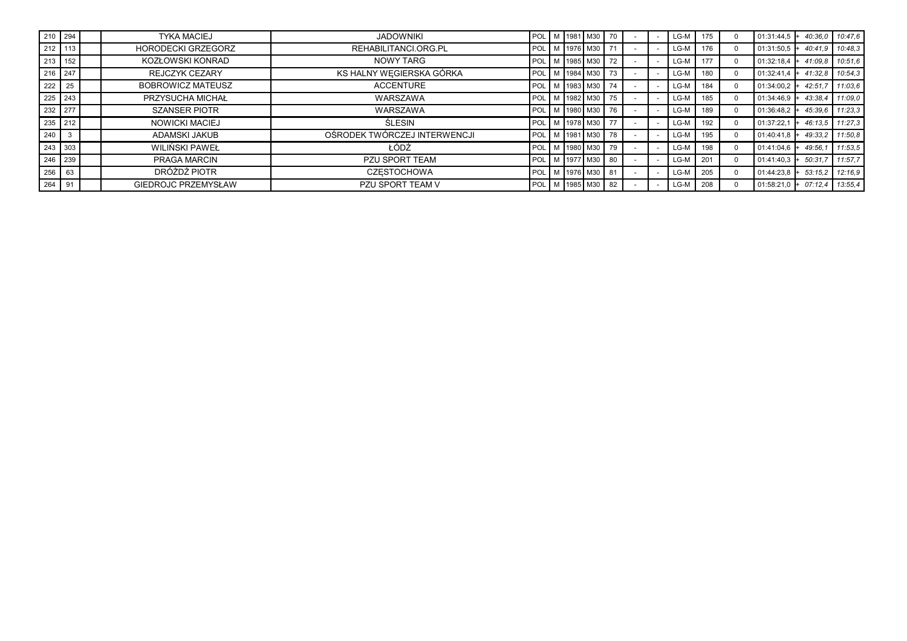| $1210$ 294          |           | <b>TYKA MACIEJ</b>         | <b>JADOWNIKI</b>             |                   |  | POL M 1981 M30 70         |                           |  | LG-M   | 175 | $01:31:44.5$ +         | 40:36.0 | 10:47.6 |
|---------------------|-----------|----------------------------|------------------------------|-------------------|--|---------------------------|---------------------------|--|--------|-----|------------------------|---------|---------|
|                     | 212 113   | <b>HORODECKI GRZEGORZ</b>  | REHABILITANCI.ORG.PL         |                   |  | POL M 1976 M30            | 71                        |  | $LG-M$ | 176 | $01:31:50.5$ +         | 40:41.9 | 10:48.3 |
|                     | 213   152 | KOZŁOWSKI KONRAD           | NOWY TARG                    | <b>POL</b>        |  | M 1985 M30 72             |                           |  | $LG-M$ | 177 | $01:32:18.4$ +         | 41:09.8 | 10:51.6 |
|                     | $216$ 247 | <b>REJCZYK CEZARY</b>      | KS HALNY WEGIERSKA GÓRKA     | POL M 1984 M30 73 |  |                           |                           |  | $LG-M$ | 180 | $01:32:41.4$ + 41:32.8 |         | 10:54.3 |
| 222 25              |           | <b>BOBROWICZ MATEUSZ</b>   | <b>ACCENTURE</b>             |                   |  | POL   M   1983   M30   74 |                           |  | $LG-M$ | 184 | $01:34:00.2$ +         | 42:51,7 | 11:03.6 |
|                     | 225 243   | PRZYSUCHA MICHAŁ           | WARSZAWA                     |                   |  | POL M 1982 M30 75         |                           |  | LG-M   | 185 | $01:34:46.9$ +         | 43:38.4 | 11:09.0 |
|                     | 232 277   | <b>SZANSER PIOTR</b>       | WARSZAWA                     | POL M 1980 M30 76 |  |                           |                           |  | $LG-M$ | 189 | $01:36:48.2$ +         | 45:39.6 | 11:23.3 |
| $235$ 212           |           | <b>NOWICKI MACIEJ</b>      | ŚLESIN                       |                   |  | POL M 1978 M30            | l 77                      |  | LG-M   | 192 | 01:37:22.1             | 46:13.5 | 11:27.3 |
| $\vert$ 240 $\vert$ |           | ADAMSKI JAKUB              | OŚRODEK TWÓRCZEJ INTERWENCJI | POL M 1981 M30 78 |  |                           |                           |  | LG-M   | 195 | 01:40:41.8             | 49:33.2 | 11:50.8 |
|                     | 243 303   | WILIŃSKI PAWEŁ             | ŁÓDŹ                         |                   |  |                           | POL   M   1980   M30   79 |  | $LG-M$ | 198 | $01:41:04.6$ +         | 49:56.  | 11:53.5 |
|                     | 246 239   | PRAGA MARCIN               | PZU SPORT TEAM               |                   |  | I POL I M 1977 I M30 I    | l 80                      |  | $LG-M$ | 201 | $01:41:40.3$ +         | 50:31.7 | 11:57.7 |
| $256$ 63            |           | DRÓŻDŻ PIOTR               | <b>CZESTOCHOWA</b>           |                   |  | POL M 1976 M30 81         |                           |  | LG-M   | 205 | $01:44:23.8$ +         | 53:15.2 | 12:16.9 |
| 264 91              |           | <b>GIEDROJC PRZEMYSŁAW</b> | PZU SPORT TEAM V             | POL M 1985 M30 82 |  |                           |                           |  | $LG-M$ | 208 | $01:58:21.0 + 07:12.4$ |         | 13:55.4 |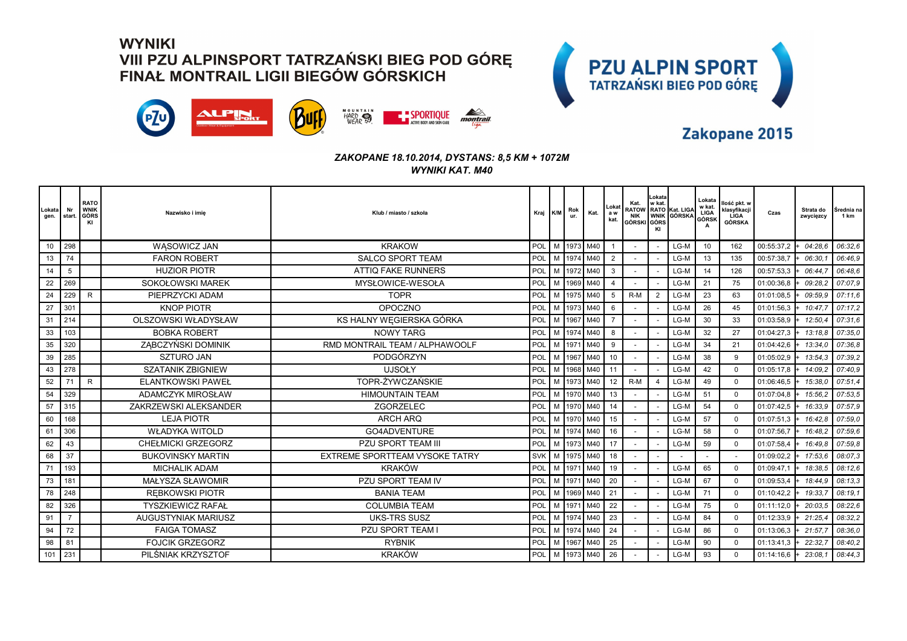



### Zakopane 2015

| .okata<br>gen. | Nr<br>start. | <b>RATO</b><br><b>WNIK</b><br>GÓRS<br>KI | Nazwisko i imie            | Klub / miasto / szkoła         | Kraj K/M   |   | Rok<br>ur.     | Kat.       | Lokat<br>a w<br>kat. | Kat.<br><b>NIK</b><br>GÓRSKI GÓRS | Lokata<br>w kat.<br>KI | RATOW RATO Kat. LIGA<br><b>WNIK GÓRSKA</b> | Lokata<br>w kat.<br>LIGA<br>GÓRSK<br>A | llość pkt. w<br>klasyfikacji<br>LIGA<br>GÓRSKA | Czas       | Strata do<br>zwycięzcy | Średnia na<br>1 km |
|----------------|--------------|------------------------------------------|----------------------------|--------------------------------|------------|---|----------------|------------|----------------------|-----------------------------------|------------------------|--------------------------------------------|----------------------------------------|------------------------------------------------|------------|------------------------|--------------------|
| 10             | 298          |                                          | WASOWICZ JAN               | <b>KRAKOW</b>                  | POL        |   | M   1973   M40 |            |                      |                                   |                        | $LG-M$                                     | 10                                     | 162                                            | 00:55:37.2 | 04:28.6                | 06:32.6            |
| 13             | 74           |                                          | <b>FARON ROBERT</b>        | <b>SALCO SPORT TEAM</b>        | POL        |   | 1974           | M40        | $\overline{2}$       |                                   |                        | LG-M                                       | 13                                     | 135                                            | 00:57:38,7 | 06:30.                 | 06:46.9            |
| 14             | 5            |                                          | <b>HUZIOR PIOTR</b>        | <b>ATTIQ FAKE RUNNERS</b>      | POL        |   | M   1972   M40 |            | 3                    |                                   |                        | LG-M                                       | 14                                     | 126                                            | 00:57:53,3 | 06:44.                 | 06:48.6            |
| 22             | 269          |                                          | SOKOŁOWSKI MAREK           | MYSŁOWICE-WESOŁA               | POL        |   | 1969 M40       |            | $\overline{4}$       |                                   |                        | LG-M                                       | 21                                     | 75                                             | 01:00:36,8 | 09:28.2                | 07:07.9            |
| 24             | 229          | $\mathsf{R}$                             | PIEPRZYCKI ADAM            | <b>TOPR</b>                    | POL        |   | 1975 M40       |            | 5                    | $R-M$                             | $\overline{2}$         | LG-M                                       | 23                                     | 63                                             | 01:01:08,5 | 09:59.9                | 07:11.6            |
| 27             | 301          |                                          | <b>KNOP PIOTR</b>          | <b>OPOCZNO</b>                 | POL        |   | 1973           | M40        | 6                    |                                   |                        | LG-M                                       | 26                                     | 45                                             | 01:01:56,3 | 10:47                  | 07:17.2            |
| 31             | 214          |                                          | OLSZOWSKI WŁADYSŁAW        | KS HALNY WEGIERSKA GÓRKA       | POL        |   | 1967           | M40        |                      |                                   |                        | LG-M                                       | 30                                     | 33                                             | 01:03:58,9 | 12:50.4                | 07:31.6            |
| 33             | 103          |                                          | <b>BOBKA ROBERT</b>        | <b>NOWY TARG</b>               | POL        |   | M 1974         | M40        | 8                    |                                   |                        | LG-M                                       | 32                                     | 27                                             | 01:04:27,3 | 13:18.8                | 07:35.0            |
| 35             | 320          |                                          | ZĄBCZYŃSKI DOMINIK         | RMD MONTRAIL TEAM / ALPHAWOOLF | POL        | M | 1971           | M40        | 9                    |                                   |                        | LG-M                                       | 34                                     | 21                                             | 01:04:42,6 | 13:34.0                | 07:36.8            |
| 39             | 285          |                                          | <b>SZTURO JAN</b>          | PODGÓRZYN                      | POL        |   | 1967           | M40        | 10                   |                                   |                        | LG-M                                       | 38                                     | 9                                              | 01:05:02,9 | 13:54,3                | 07:39,2            |
| 43             | 278          |                                          | <b>SZATANIK ZBIGNIEW</b>   | <b>UJSOŁY</b>                  | POL        |   | 1968           | M40        | 11                   |                                   |                        | LG-M                                       | 42                                     | $\Omega$                                       | 01:05:17,8 | 14:09.2                | 07:40.9            |
| 52             | 71           | $\mathsf{R}$                             | <b>ELANTKOWSKI PAWEŁ</b>   | TOPR-ŻYWCZAŃSKIE               | POL        |   | 1973 M40       |            | 12                   | $R-M$                             |                        | LG-M                                       | 49                                     | $\mathbf 0$                                    | 01:06:46,5 | 15:38.0                | 07:51.4            |
| 54             | 329          |                                          | <b>ADAMCZYK MIROSŁAW</b>   | <b>HIMOUNTAIN TEAM</b>         | POL        |   | 1970           | M40        | 13                   |                                   |                        | LG-M                                       | 51                                     | $\mathbf 0$                                    | 01:07:04,8 | 15:56.2                | 07:53.5            |
| 57             | 315          |                                          | ZAKRZEWSKI ALEKSANDER      | ZGORZELEC                      | POL        |   | M   1970   M40 |            | 14                   |                                   |                        | LG-M                                       | 54                                     | $\Omega$                                       | 01:07:42,5 | 16:33,9                | 07:57.9            |
| 60             | 168          |                                          | <b>LEJA PIOTR</b>          | ARCH ARO                       | POL        |   | 1970           | M40        | 15                   |                                   |                        | LG-M                                       | 57                                     | $\mathbf 0$                                    | 01:07:51,3 | 16:42.8                | 07:59.0            |
| 61             | 306          |                                          | <b>WŁADYKA WITOLD</b>      | GO4ADVENTURE                   | POL        |   |                | M 1974 M40 | 16                   |                                   |                        | LG-M                                       | 58                                     | $\Omega$                                       | 01:07:56,7 | 16:48.2                | 07:59.6            |
| 62             | 43           |                                          | <b>CHEŁMICKI GRZEGORZ</b>  | <b>PZU SPORT TEAM III</b>      | POL        | M | 1973           | M40        | 17                   |                                   |                        | LG-M                                       | 59                                     | $\Omega$                                       | 01:07:58,4 | 16:49.8                | 07:59,8            |
| 68             | 37           |                                          | <b>BUKOVINSKY MARTIN</b>   | EXTREME SPORTTEAM VYSOKE TATRY | <b>SVK</b> |   | M 1975 M40     |            | 18                   |                                   |                        |                                            |                                        |                                                | 01:09:02,2 | 17:53.6                | 08:07,3            |
| 71             | 193          |                                          | <b>MICHALIK ADAM</b>       | <b>KRAKÓW</b>                  | POL        |   | 1971           | M40        | 19                   |                                   |                        | LG-M                                       | 65                                     | $\Omega$                                       | 01:09:47,1 | 18:38.5                | 08:12.6            |
| 73             | 181          |                                          | MAŁYSZA SŁAWOMIR           | PZU SPORT TEAM IV              | POL        |   | M 1971         | M40        | 20                   |                                   |                        | LG-M                                       | 67                                     | $\Omega$                                       | 01:09:53,4 | 18:44.9                | 08:13.3            |
| 78             | 248          |                                          | <b>REBKOWSKI PIOTR</b>     | <b>BANIA TEAM</b>              | POL        |   |                | 1969 M40   | 21                   |                                   |                        | LG-M                                       | 71                                     | $\Omega$                                       | 01:10:42,2 | 19:33.7                | 08:19.1            |
| 82             | 326          |                                          | <b>TYSZKIEWICZ RAFAŁ</b>   | <b>COLUMBIA TEAM</b>           | POL        | M | 1971           | M40        | 22                   |                                   |                        | LG-M                                       | 75                                     | $\Omega$                                       | 01:11:12,0 | 20:03.5                | 08:22.6            |
| 91             |              |                                          | <b>AUGUSTYNIAK MARIUSZ</b> | <b>UKS-TRS SUSZ</b>            | POL        |   | 1974           | M40        | 23                   |                                   |                        | LG-M                                       | 84                                     | $\mathbf 0$                                    | 01:12:33,9 | 21:25.4                | 08:32,2            |
| 94             | 72           |                                          | <b>FAIGA TOMASZ</b>        | PZU SPORT TEAM I               | POL        |   | 1974           | M40        | 24                   |                                   |                        | LG-M                                       | 86                                     | $\mathbf 0$                                    | 01:13:06,3 | 21:57.                 | 08:36.0            |
| 98             | 81           |                                          | <b>FOJCIK GRZEGORZ</b>     | <b>RYBNIK</b>                  | POL        |   | M 1967         | M40        | 25                   |                                   |                        | LG-M                                       | 90                                     | $\Omega$                                       | 01:13:41,3 | 22:32.7                | 08:40.2            |
| 101            | 231          |                                          | PILŚNIAK KRZYSZTOF         | <b>KRAKÓW</b>                  | POL        | М | 1973           | M40        | 26                   |                                   |                        | LG-M                                       | 93                                     | $\Omega$                                       | 01:14:16,6 | 23:08.                 | 08:44.3            |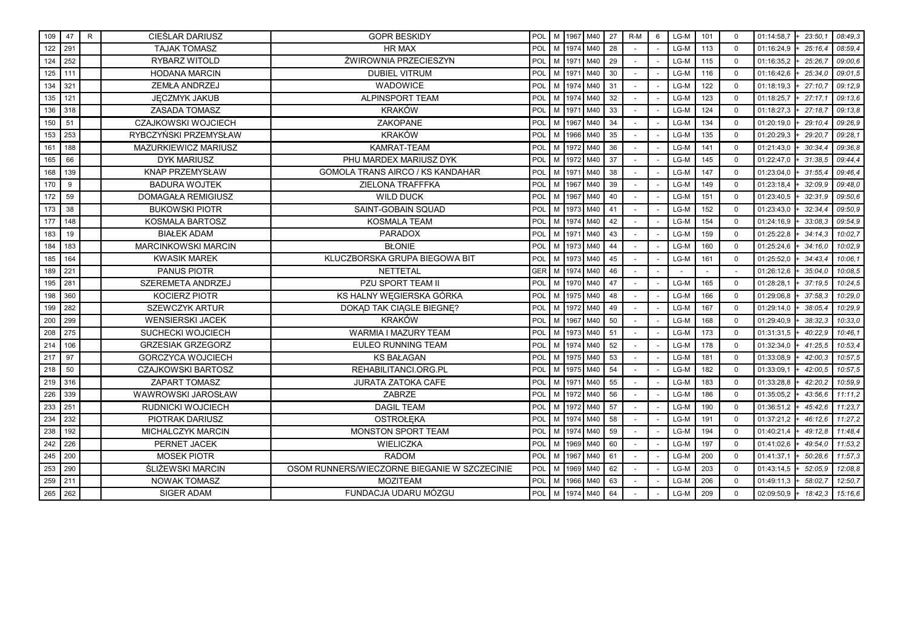| 109 | 47  | R. | CIEŚLAR DARIUSZ            | <b>GOPR BESKIDY</b>                          | POL |   | M 1967 | M40        | 27 | $R-M$ | 6 | LG-M   | 101 | $\mathbf 0$ | 01:14:58,7 | 23:50.1 | 08:49,3 |
|-----|-----|----|----------------------------|----------------------------------------------|-----|---|--------|------------|----|-------|---|--------|-----|-------------|------------|---------|---------|
| 122 | 291 |    | <b>TAJAK TOMASZ</b>        | <b>HR MAX</b>                                | POL | M |        | 1974 M40   | 28 |       |   | LG-M   | 113 | $\Omega$    | 01:16:24,9 | 25:16.4 | 08:59,4 |
| 124 | 252 |    | <b>RYBARZ WITOLD</b>       | ŻWIROWNIA PRZECIESZYN                        | POL | M |        | 1971 M40   | 29 |       |   | $LG-M$ | 115 | $\Omega$    | 01:16:35,2 | 25:26.7 | 09:00.6 |
| 125 | 111 |    | <b>HODANA MARCIN</b>       | <b>DUBIEL VITRUM</b>                         | POL | M |        | 1971 M40   | 30 |       |   | LG-M   | 116 | $\mathbf 0$ | 01:16:42,6 | 25:34,0 | 09:01,5 |
| 134 | 321 |    | <b>ZEMŁA ANDRZEJ</b>       | <b>WADOWICE</b>                              | POL | M |        | 1974 M40   | 31 |       |   | LG-M   | 122 | $\mathbf 0$ | 01:18:19,3 | 27:10.7 | 09:12,9 |
| 135 | 121 |    | JĘCZMYK JAKUB              | ALPINSPORT TEAM                              | POL | M | 1974   | M40        | 32 |       |   | LG-M   | 123 | $\Omega$    | 01:18:25,7 | 27:17   | 09:13,6 |
| 136 | 318 |    | <b>ZASADA TOMASZ</b>       | <b>KRAKÓW</b>                                | POL | M | 1971   | M40        | 33 |       |   | LG-M   | 124 | $\Omega$    | 01:18:27,3 | 27:18.7 | 09:13,8 |
| 150 | 51  |    | <b>CZAJKOWSKI WOJCIECH</b> | ZAKOPANE                                     | POL | M | 1967   | M40        | 34 |       |   | LG-M   | 134 | $\mathbf 0$ | 01:20:19,0 | 29:10.4 | 09:26,9 |
| 153 | 253 |    | RYBCZYŃSKI PRZEMYSŁAW      | <b>KRAKÓW</b>                                | POL |   |        | M 1966 M40 | 35 |       |   | LG-M   | 135 | $\mathbf 0$ | 01:20:29,3 | 29:20.7 | 09:28,1 |
| 161 | 188 |    | MAZURKIEWICZ MARIUSZ       | <b>KAMRAT-TEAM</b>                           | POL | M |        | 1972 M40   | 36 |       |   | LG-M   | 141 | $\Omega$    | 01:21:43,0 | 30:34.  | 09:36,8 |
| 165 | 66  |    | <b>DYK MARIUSZ</b>         | PHU MARDEX MARIUSZ DYK                       | POL | M |        | 1972 M40   | 37 |       |   | LG-M   | 145 | $\Omega$    | 01:22:47,0 | 31:38.5 | 09:44,4 |
| 168 | 139 |    | <b>KNAP PRZEMYSŁAW</b>     | GOMOLA TRANS AIRCO / KS KANDAHAR             | POL | M | 1971   | M40        | 38 |       |   | LG-M   | 147 | $\mathbf 0$ | 01:23:04,0 | 31:55.4 | 09:46.4 |
| 170 | 9   |    | <b>BADURA WOJTEK</b>       | ZIELONA TRAFFFKA                             | POL |   | M 1967 | M40        | 39 |       |   | LG-M   | 149 | $\Omega$    | 01:23:18,4 | 32:09.9 | 09:48,0 |
| 172 | 59  |    | <b>DOMAGAŁA REMIGIUSZ</b>  | <b>WILD DUCK</b>                             | POL | M | 1967   | M40        | 40 |       |   | LG-M   | 151 | $\Omega$    | 01:23:40,5 | 32:31.9 | 09:50,6 |
| 173 | 38  |    | <b>BUKOWSKI PIOTR</b>      | SAINT-GOBAIN SQUAD                           | POL | M | 1973   | M40        | 41 |       |   | LG-M   | 152 | $\Omega$    | 01:23:43,0 | 32:34.  | 09:50.9 |
| 177 | 148 |    | <b>KOSMALA BARTOSZ</b>     | <b>KOSMALA TEAM</b>                          | POL | M | 1974   | M40        | 42 |       |   | LG-M   | 154 | $\Omega$    | 01:24:16,9 | 33:08.3 | 09:54.9 |
| 183 | 19  |    | <b>BIAŁEK ADAM</b>         | <b>PARADOX</b>                               | POL | M | 1971   | M40        | 43 |       |   | LG-M   | 159 | $\Omega$    | 01:25:22,8 | 34:14.3 | 10:02.7 |
| 184 | 183 |    | <b>MARCINKOWSKI MARCIN</b> | <b>BŁONIE</b>                                | POL | M | 1973   | M40        | 44 |       |   | LG-M   | 160 | $\Omega$    | 01:25:24,6 | 34:16.0 | 10:02.9 |
| 185 | 164 |    | <b>KWASIK MAREK</b>        | KLUCZBORSKA GRUPA BIEGOWA BIT                | POL | M | 1973   | M40        | 45 |       |   | LG-M   | 161 | $\Omega$    | 01:25:52,0 | 34:43.4 | 10:06.1 |
| 189 | 221 |    | <b>PANUS PIOTR</b>         | <b>NETTETAL</b>                              | GER | M | 1974   | M40        | 46 |       |   |        |     |             | 01:26:12,6 | 35:04.0 | 10:08.5 |
| 195 | 281 |    | SZEREMETA ANDRZEJ          | PZU SPORT TEAM II                            | POL | M | 1970   | M40        | 47 |       |   | LG-M   | 165 | $\mathbf 0$ | 01:28:28,1 | 37:19.5 | 10:24,5 |
| 198 | 360 |    | <b>KOCIERZ PIOTR</b>       | KS HALNY WEGIERSKA GÓRKA                     | POL | M | 1975   | M40        | 48 |       |   | LG-M   | 166 | $\mathbf 0$ | 01:29:06,8 | 37:58.3 | 10:29,0 |
| 199 | 282 |    | <b>SZEWCZYK ARTUR</b>      | DOKAD TAK CIAGLE BIEGNE?                     | POL | M | 1972   | M40        | 49 |       |   | LG-M   | 167 | $\Omega$    | 01:29:14,0 | 38:05.4 | 10:29.9 |
| 200 | 299 |    | <b>WENSIERSKI JACEK</b>    | <b>KRAKÓW</b>                                | POL | M | 1967   | M40        | 50 |       |   | LG-M   | 168 | $\Omega$    | 01:29:40,9 | 38:32.3 | 10:33.0 |
| 208 | 275 |    | SUCHECKI WOJCIECH          | WARMIA I MAZURY TEAM                         | POL | M | 1973   | M40        | 51 |       |   | LG-M   | 173 | $\mathbf 0$ | 01:31:31,5 | 40:22.9 | 10:46,1 |
| 214 | 106 |    | <b>GRZESIAK GRZEGORZ</b>   | <b>EULEO RUNNING TEAM</b>                    | POL | M | 1974   | M40        | 52 |       |   | LG-M   | 178 | $\Omega$    | 01:32:34,0 | 41:25.5 | 10:53,4 |
| 217 | 97  |    | <b>GORCZYCA WOJCIECH</b>   | <b>KS BAŁAGAN</b>                            | POL | M |        | 1975 M40   | 53 |       |   | LG-M   | 181 | $\Omega$    | 01:33:08,9 | 42:00.3 | 10:57,5 |
| 218 | 50  |    | <b>CZAJKOWSKI BARTOSZ</b>  | REHABILITANCI.ORG.PL                         | POL | м | 1975   | M40        | 54 |       |   | LG-M   | 182 | $\Omega$    | 01:33:09,1 | 42:00.5 | 10:57,5 |
| 219 | 316 |    | ZAPART TOMASZ              | <b>JURATA ZATOKA CAFE</b>                    | POL | M | 1971   | M40        | 55 |       |   | LG-M   | 183 | $\mathbf 0$ | 01:33:28,8 | 42:20.2 | 10:59,9 |
| 226 | 339 |    | WAWROWSKI JAROSŁAW         | ZABRZE                                       | POL | M | 1972   | M40        | 56 |       |   | LG-M   | 186 | $\Omega$    | 01:35:05,2 | 43:56.6 | 11:11,2 |
| 233 | 251 |    | <b>RUDNICKI WOJCIECH</b>   | <b>DAGIL TEAM</b>                            | POL | M | 1972   | M40        | 57 |       |   | LG-M   | 190 | $\Omega$    | 01:36:51,2 | 45:42.6 | 11:23,7 |
| 234 | 232 |    | <b>PIOTRAK DARIUSZ</b>     | <b>OSTROŁEKA</b>                             | POL | M |        | 1974 M40   | 58 |       |   | LG-M   | 191 | $\Omega$    | 01:37:21,2 | 46:12.6 | 11:27,2 |
| 238 | 192 |    | MICHALCZYK MARCIN          | MONSTON SPORT TEAM                           | POL | M |        | 1974 M40   | 59 |       |   | LG-M   | 194 | $\mathbf 0$ | 01:40:21,4 | 49:12.8 | 11:48,4 |
| 242 | 226 |    | PERNET JACEK               | WIELICZKA                                    | POL |   |        | M 1969 M40 | 60 |       |   | LG-M   | 197 | $\Omega$    | 01:41:02.6 | 49:54.0 | 11:53,2 |
| 245 | 200 |    | <b>MOSEK PIOTR</b>         | <b>RADOM</b>                                 | POL | M |        | 1967 M40   | 61 |       |   | LG-M   | 200 | $\Omega$    | 01:41:37,1 | 50:28.6 | 11:57,3 |
| 253 | 290 |    | ŚLIŻEWSKI MARCIN           | OSOM RUNNERS/WIECZORNE BIEGANIE W SZCZECINIE | POL |   |        | M 1969 M40 | 62 |       |   | LG-M   | 203 | $\Omega$    | 01:43:14,5 | 52:05.9 | 12:08,8 |
| 259 | 211 |    | <b>NOWAK TOMASZ</b>        | <b>MOZITEAM</b>                              | POL | M |        | 1966 M40   | 63 |       |   | LG-M   | 206 | $\Omega$    | 01:49:11,3 | 58:02.1 | 12:50,7 |
| 265 | 262 |    | SIGER ADAM                 | FUNDACJA UDARU MÓZGU                         | POL |   |        | M 1974 M40 | 64 |       |   | LG-M   | 209 | $\Omega$    | 02:09:50,9 | 18:42.3 | 15:16,6 |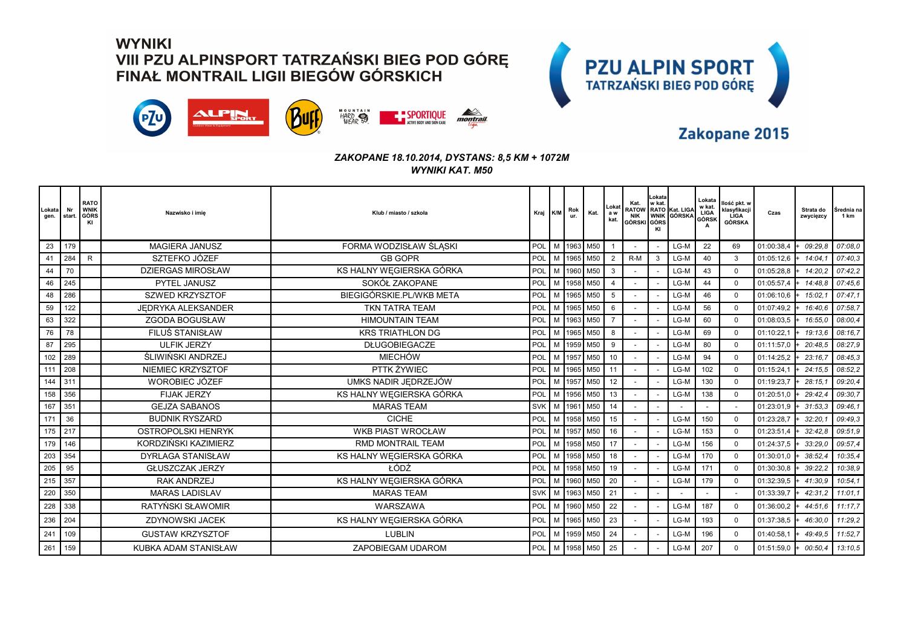



### Zakopane 2015

| Lokata<br>gen. | Nr<br>start. | <b>RATO</b><br><b>WNIK</b><br>GÓRS<br>KI | Nazwisko i imie           | Klub / miasto / szkoła   | Kraj K/M   |   | Rok<br>ur. | Kat.           | Lokat<br>a w<br>kat. | Kat.<br>GÓRSKI GÓRS | Lokata<br>w kat.<br>KI | RATOW RATO Kat. LIGA | Lokata<br>w kat.<br>LIGA<br>GÓRSK<br>A | llość pkt. w<br>klasyfikacji<br>LIGA<br>GÓRSKA | Czas       | Strata do<br>zwycięzcy | Średnia na<br>1 km |
|----------------|--------------|------------------------------------------|---------------------------|--------------------------|------------|---|------------|----------------|----------------------|---------------------|------------------------|----------------------|----------------------------------------|------------------------------------------------|------------|------------------------|--------------------|
| 23             | 179          |                                          | <b>MAGIERA JANUSZ</b>     | FORMA WODZISŁAW ŚLĄSKI   | <b>POL</b> |   |            | M 1963 M50     |                      |                     |                        | $LG-M$               | 22                                     | 69                                             | 01:00:38.4 | 09:29.8                | 07:08,0            |
| 41             | 284          | R.                                       | SZTEFKO JÓZEF             | <b>GB GOPR</b>           | POL        |   |            | M   1965   M50 | $\overline{2}$       | $R-M$               | 3                      | LG-M                 | 40                                     | 3                                              | 01:05:12,6 | 14:04.                 | 07:40,3            |
| 44             | 70           |                                          | <b>DZIERGAS MIROSŁAW</b>  | KS HALNY WĘGIERSKA GÓRKA | POL        |   |            | M 1960 M50     | $\mathbf{3}$         |                     |                        | LG-M                 | 43                                     | $\mathbf 0$                                    | 01:05:28,8 | 14:20.2                | 07:42.2            |
| 46             | 245          |                                          | PYTEL JANUSZ              | SOKÓŁ ZAKOPANE           | POL        |   |            | M 1958 M50     | $\overline{4}$       |                     |                        | LG-M                 | 44                                     | $\Omega$                                       | 01:05:57,4 | 14:48.8                | 07:45,6            |
| 48             | 286          |                                          | <b>SZWED KRZYSZTOF</b>    | BIEGIGÓRSKIE.PL/WKB META | POL        | M |            | 1965 M50       | 5                    |                     |                        | LG-M                 | 46                                     | $\mathbf 0$                                    | 01:06:10,6 | 15:02.                 | 07:47.1            |
| 59             | 122          |                                          | JEDRYKA ALEKSANDER        | TKN TATRA TEAM           | POL        |   |            | M 1965 M50     | 6                    |                     |                        | LG-M                 | 56                                     | $\mathbf 0$                                    | 01:07:49,2 | 16:40.6                | 07:58.7            |
| 63             | 322          |                                          | <b>ZGODA BOGUSŁAW</b>     | <b>HIMOUNTAIN TEAM</b>   | POL        | M |            | 1963 M50       |                      |                     |                        | LG-M                 | 60                                     | $\Omega$                                       | 01:08:03.5 | 16:55.0                | 08:00,4            |
| 76             | 78           |                                          | FILUŚ STANISŁAW           | <b>KRS TRIATHLON DG</b>  | POL        |   |            | M 1965 M50     | 8                    |                     |                        | LG-M                 | 69                                     | $\Omega$                                       | 01:10:22,1 | 19:13.6                | 08:16.7            |
| 87             | 295          |                                          | <b>ULFIK JERZY</b>        | <b>DŁUGOBIEGACZE</b>     | POL        | M | 1959       | M50            | 9                    |                     |                        | LG-M                 | 80                                     | $\Omega$                                       | 01:11:57,0 | 20:48.5                | 08:27,9            |
| 102            | 289          |                                          | ŚLIWIŃSKI ANDRZEJ         | <b>MIECHÓW</b>           | POL        | M | 1957       | M50            | 10                   |                     |                        | LG-M                 | 94                                     | $\Omega$                                       | 01:14:25,2 | 23:16.                 | 08:45,3            |
| 111            | 208          |                                          | NIEMIEC KRZYSZTOF         | PTTK ŻYWIEC              | POL        | M |            | 1965 M50       | 11                   |                     |                        | LG-M                 | 102                                    | $\Omega$                                       | 01:15:24,1 | 24:15.5                | 08:52,2            |
| 144            | 311          |                                          | <b>WOROBIEC JÓZEF</b>     | UMKS NADIR JEDRZEJÓW     | POL        | M | 1957       | M50            | 12                   |                     |                        | LG-M                 | 130                                    | $\Omega$                                       | 01:19:23,7 | 28:15                  | 09:20,4            |
| 158            | 356          |                                          | <b>FIJAK JERZY</b>        | KS HALNY WĘGIERSKA GÓRKA | POL        |   | 1956       | M50            | 13                   |                     |                        | LG-M                 | 138                                    | $\Omega$                                       | 01:20:51,0 | 29:42.4                | 09:30,7            |
| 167            | 351          |                                          | <b>GEJZA SABANOS</b>      | <b>MARAS TEAM</b>        | <b>SVK</b> |   | M 1961     | M50            | 14                   |                     |                        |                      |                                        |                                                | 01:23:01,9 | 31:53.3                | 09:46.1            |
| 171            | 36           |                                          | <b>BUDNIK RYSZARD</b>     | <b>CICHE</b>             | POL        | M | 1958       | M50            | 15                   |                     |                        | LG-M                 | 150                                    | $\Omega$                                       | 01:23:28,7 | 32:20.                 | 09:49,3            |
| 175            | 217          |                                          | <b>OSTROPOLSKI HENRYK</b> | <b>WKB PIAST WROCŁAW</b> | POL        | M | 1957       | M50            | 16                   |                     |                        | LG-M                 | 153                                    | $\Omega$                                       | 01:23:51,4 | 32:42.8                | 09:51,9            |
| 179            | 146          |                                          | KORDZIŃSKI KAZIMIERZ      | <b>RMD MONTRAIL TEAM</b> | POL        | M | 1958       | M50            | 17                   |                     |                        | LG-M                 | 156                                    | $\Omega$                                       | 01:24:37,5 | 33:29.0                | 09:57,4            |
| 203            | 354          |                                          | <b>DYRLAGA STANISŁAW</b>  | KS HALNY WEGIERSKA GÓRKA | POL        | M | 1958       | M50            | 18                   |                     |                        | LG-M                 | 170                                    | $\Omega$                                       | 01:30:01,0 | 38:52.4                | 10:35,4            |
| 205            | 95           |                                          | <b>GŁUSZCZAK JERZY</b>    | ŁÓDŹ                     | POL        | M |            | 1958 M50       | 19                   |                     |                        | LG-M                 | 171                                    | $\Omega$                                       | 01:30:30,8 | 39:22.2                | 10:38.9            |
| 215            | 357          |                                          | <b>RAK ANDRZEJ</b>        | KS HALNY WEGIERSKA GÓRKA | POL        | M | 1960       | M50            | 20                   |                     |                        | LG-M                 | 179                                    | $\Omega$                                       | 01:32:39,5 | 41:30.9                | 10:54,1            |
| 220            | 350          |                                          | <b>MARAS LADISLAV</b>     | <b>MARAS TEAM</b>        | SVK M      |   | 1963       | M50            | 21                   |                     |                        |                      |                                        |                                                | 01:33:39,7 | 42:31.2                | 11:01.1            |
| 228            | 338          |                                          | RATYŃSKI SŁAWOMIR         | WARSZAWA                 | POL        | M |            | 1960 M50       | 22                   |                     |                        | LG-M                 | 187                                    | $\mathbf 0$                                    | 01:36:00,2 | 44:51.6                | 11:17.7            |
| 236            | 204          |                                          | ZDYNOWSKI JACEK           | KS HALNY WEGIERSKA GÓRKA | POL        | M | 1965       | M50            | 23                   |                     |                        | LG-M                 | 193                                    | $\Omega$                                       | 01:37:38,5 | 46:30.0                | 11:29,2            |
| 241            | 109          |                                          | <b>GUSTAW KRZYSZTOF</b>   | <b>LUBLIN</b>            | POL        | M | 1959       | M50            | 24                   |                     |                        | LG-M                 | 196                                    | $\mathbf 0$                                    | 01:40:58.1 | 49:49.5                | 11:52.7            |
| 261            | 159          |                                          | KUBKA ADAM STANISŁAW      | ZAPOBIEGAM UDAROM        | POL        |   |            | M   1958   M50 | 25                   |                     |                        | LG-M                 | 207                                    | $\mathbf 0$                                    | 01:51:59,0 | 00:50.4                | 13:10,5            |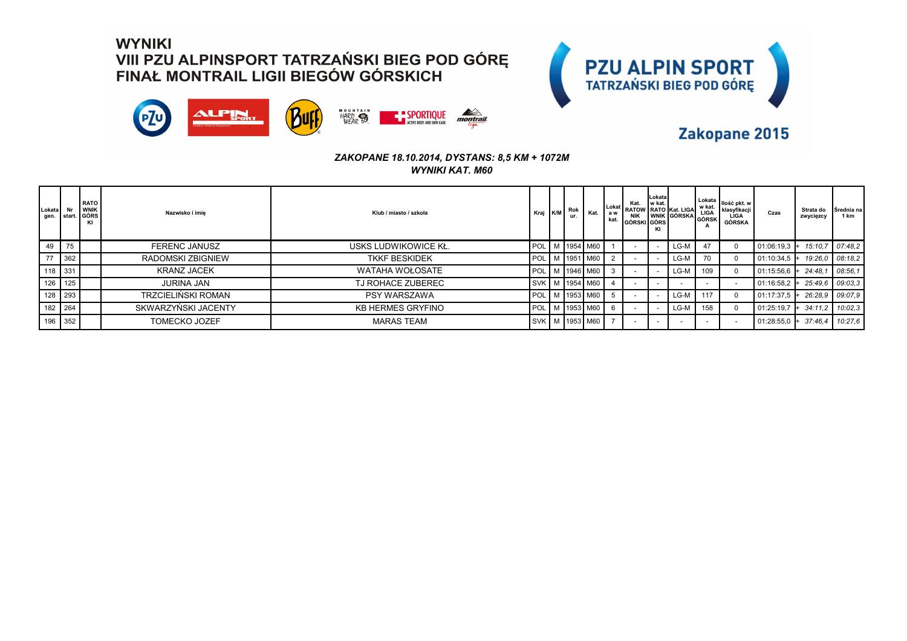



### Zakopane 2015

| Lokata Nr<br>gen. start. |    | <b>RATO</b><br><b>WNIK</b><br>GÓRS<br>K | Nazwisko i imie          | Klub / miasto / szkoła   | Kraj K/M         | Rok<br>ur. |                      |    | GÓRSKI GÓRS | Lokata<br>KI | Kat. LIGAT RATOW RATO Kat. LIGA THE KIRSYLINE RATOW RATO KAT. LIGA KIRSYLINE | A   | Lokata   <sub>Ilość pkt. w</sub> I<br>l klasvfikacii<br>LIGA<br>GÓRSKA | Czas           | Strata do<br>zwycięzcy | Srednia na<br>1 km |
|--------------------------|----|-----------------------------------------|--------------------------|--------------------------|------------------|------------|----------------------|----|-------------|--------------|------------------------------------------------------------------------------|-----|------------------------------------------------------------------------|----------------|------------------------|--------------------|
| 49                       | 75 |                                         | <b>FERENC JANUSZ</b>     | USKS LUDWIKOWICE KŁ.     | POL <sup>1</sup> |            | M 1954 M60           |    |             |              | LG-M                                                                         | 47  |                                                                        | $01:06:19.3$ + | 15:10.7                | 07:48.2            |
| 77 362                   |    |                                         | <b>RADOMSKI ZBIGNIEW</b> | <b>TKKF BESKIDEK</b>     | POL <sup>1</sup> |            | M 1951 M60           |    |             |              | LG-M                                                                         | 70  |                                                                        | 01:10:34.5     | 19:26.0                | 08:18.2            |
| 118 331                  |    |                                         | <b>KRANZ JACEK</b>       | WATAHA WOŁOSATE          | POL <sup>1</sup> |            | M 1946 M60           |    |             |              | LG-M                                                                         | 109 |                                                                        | 01:15:56,6     | 24:48.                 | 08:56.1            |
| 126 125                  |    |                                         | <b>JURINA JAN</b>        | TJ ROHACE ZUBEREC        |                  |            | SVK   M   1954   M60 |    |             |              |                                                                              |     |                                                                        | 01:16:58,2     | 25:49.6                | 09:03.3            |
| 128 293                  |    |                                         | TRZCIELIŃSKI ROMAN       | <b>PSY WARSZAWA</b>      | <b>POL</b>       |            | M   1953   M60       |    |             |              | LG-M                                                                         | 117 |                                                                        | 01:17:37.5     | 26:28.9                | 09:07.9            |
| 182 264                  |    |                                         | SKWARZYŃSKI JACENTY      | <b>KB HERMES GRYFINO</b> | POL I            |            | M 1953 M60           | -6 |             |              | LG-M                                                                         | 158 |                                                                        | 01:25:19,7     | 34:11.2                | 10:02.3            |
| 196 352                  |    |                                         | <b>TOMECKO JOZEF</b>     | <b>MARAS TEAM</b>        |                  |            | SVK M 1953 M60       |    |             |              |                                                                              |     |                                                                        | 01:28:55,0     | 37:46.4<br>$+$         | 10:27.6            |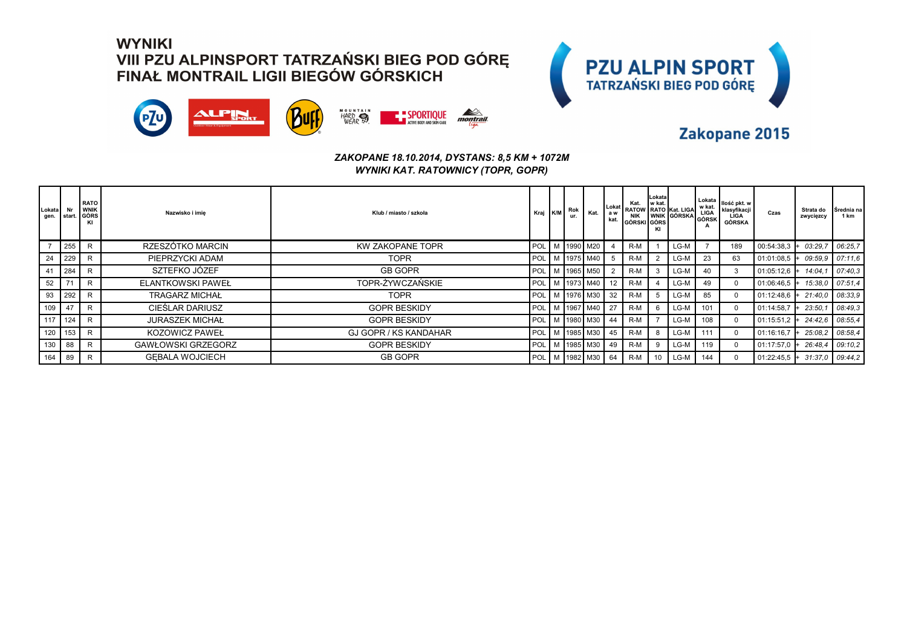



### Zakopane 2015

#### *ZAKOPANE 18.10.2014, DYSTANS: 8,5 KM + 1072M WYNIKI KAT. RATOWNICY (TOPR, GOPR)*

| Lokata<br>gen. | Nr<br><b>start</b> | <b>RATO</b><br><b>WNIK</b><br>  GÓRS<br>KI | Nazwisko i imie           | Klub / miasto / szkoła       | Kraj K/M             | Rok<br>ur. | Kat.                 | Lokat I<br>a w<br>kat. | Kat.<br>GÓRSKI GÓRS | Lokatal<br>I w kat. | RATOW RATO Kat. LIGA What I | w kat. | Lokata   <sub>Ilość pkt. w</sub> I<br>klasyfikacji<br>LÍGA<br>GÓRSKA | Czas           | Strata do<br>zwycięzcy | Srednia na<br>1 km |
|----------------|--------------------|--------------------------------------------|---------------------------|------------------------------|----------------------|------------|----------------------|------------------------|---------------------|---------------------|-----------------------------|--------|----------------------------------------------------------------------|----------------|------------------------|--------------------|
|                | 255                | $\mathsf{R}$                               | RZESZÓTKO MARCIN          | <b>KW ZAKOPANE TOPR</b>      |                      |            | POL   M   1990   M20 |                        | $R-M$               |                     | $LG-M$                      |        | 189                                                                  | 00:54:38,3     | 03:29.7                | 06:25.7            |
| 24             | 229                | $\mathsf{R}$                               | PIEPRZYCKI ADAM           | <b>TOPR</b>                  |                      |            | POL M 1975 M40       |                        | $R-M$               |                     | $LG-M$                      | 23     | 63                                                                   | $01:01:08.5$ + | 09:59.9                | 07:11.6            |
| 41             | 284                | $\mathsf{R}$                               | SZTEFKO JÓZEF             | <b>GB GOPR</b>               | POL   M   1965   M50 |            |                      |                        | $R-M$               |                     | LG-M                        | 40     |                                                                      | $01:05:12.6$ + | 14:04.1                | 07:40.3            |
| 52             | 74                 | $\mathsf{R}$                               | <b>ELANTKOWSKI PAWEŁ</b>  | TOPR-ŻYWCZAŃSKIE             | POL   M   1973   M40 |            |                      | 12                     | $R-M$               |                     | LG-M                        | 49     | $\Omega$                                                             | 01:06:46,5     | 15:38.0                | 07:51.4            |
| 93             | 292                | $\mathsf{R}$                               | <b>TRAGARZ MICHAŁ</b>     | <b>TOPR</b>                  | POL   M   1976   M30 |            |                      | 32                     | $R-M$               | 5                   | LG-M                        | 85     | $\Omega$                                                             | 01:12:48,6     | 21:40.0                | 08:33.9            |
| 109            | 47                 | $\mathsf{R}$                               | CIEŚLAR DARIUSZ           | <b>GOPR BESKIDY</b>          |                      |            | POL M 1967 M40       | 27                     | $R-M$               |                     | LG-M                        | 101    |                                                                      | 01:14:58,7     | 23:50.7                | 08:49.3            |
| 117            | 124                | R                                          | <b>JURASZEK MICHAŁ</b>    | <b>GOPR BESKIDY</b>          |                      |            | POL   M   1980   M30 | 44                     | $R-M$               |                     | LG-M                        | 108    | $\Omega$                                                             | 01:15:51,2     | 24:42.6                | 08:55.4            |
| 120            | 153                | R                                          | <b>KOZOWICZ PAWEŁ</b>     | <b>GJ GOPR / KS KANDAHAR</b> |                      |            | POL   M   1985   M30 | 45                     | $R-M$               | 8                   | LG-M                        | 111    |                                                                      | 01:16:16.7     | 25:08.2                | 08:58.4            |
| 130            | 88                 | $\mathsf{R}$                               | <b>GAWŁOWSKI GRZEGORZ</b> | <b>GOPR BESKIDY</b>          |                      |            | POL M 1985 M30       | 49                     | R-M                 | 9                   | $LG-M$                      | 119    | $\Omega$                                                             | 01:17:57.0     | 26:48.4                | 09:10.2            |
| 164            | 89                 | $\mathsf{R}$                               | <b>GEBALA WOJCIECH</b>    | <b>GB GOPR</b>               | POL <sup>1</sup>     |            | M   1982   M30       | 64                     | $R-M$               |                     | $LG-M$                      | 144    |                                                                      | $01:22:45.5$ + | 31:37.0                | 09:44.2            |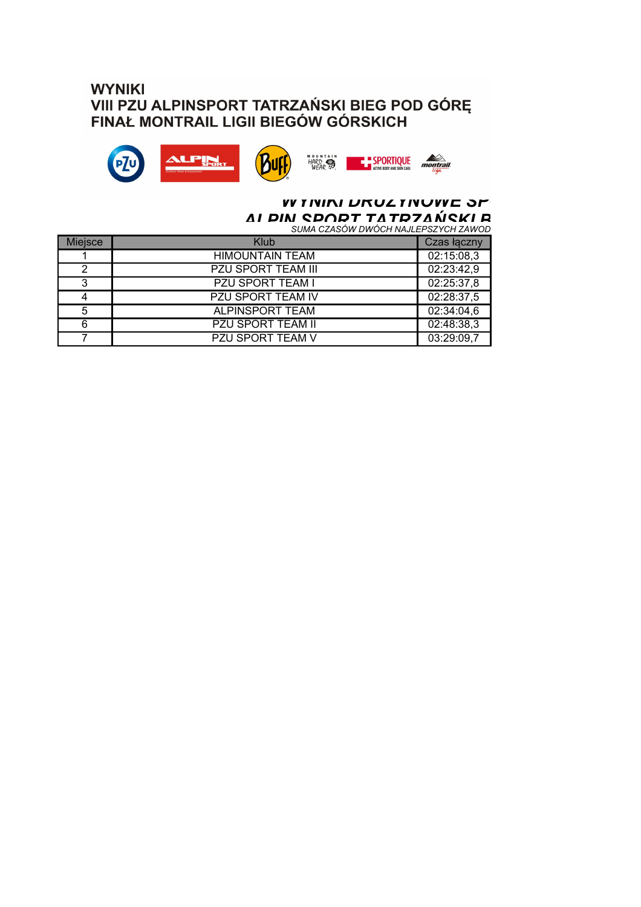



### *A I DIN CDODT TATD7AŃCKI R<br>suma czasów dwóch najlepszych zawod* **WY TININI URUZ TINUWE SP**

| <b>Miejsce</b> | Klub                      | Czas łączny |
|----------------|---------------------------|-------------|
|                | <b>HIMOUNTAIN TEAM</b>    | 02:15:08,3  |
| 2              | <b>PZU SPORT TEAM III</b> | 02:23:42,9  |
| 3              | PZU SPORT TEAM I          | 02:25:37,8  |
| 4              | <b>PZU SPORT TEAM IV</b>  | 02:28:37,5  |
| 5              | <b>ALPINSPORT TEAM</b>    | 02:34:04,6  |
| 6              | <b>PZU SPORT TEAM II</b>  | 02:48:38,3  |
|                | <b>PZU SPORT TEAM V</b>   | 03:29:09,7  |